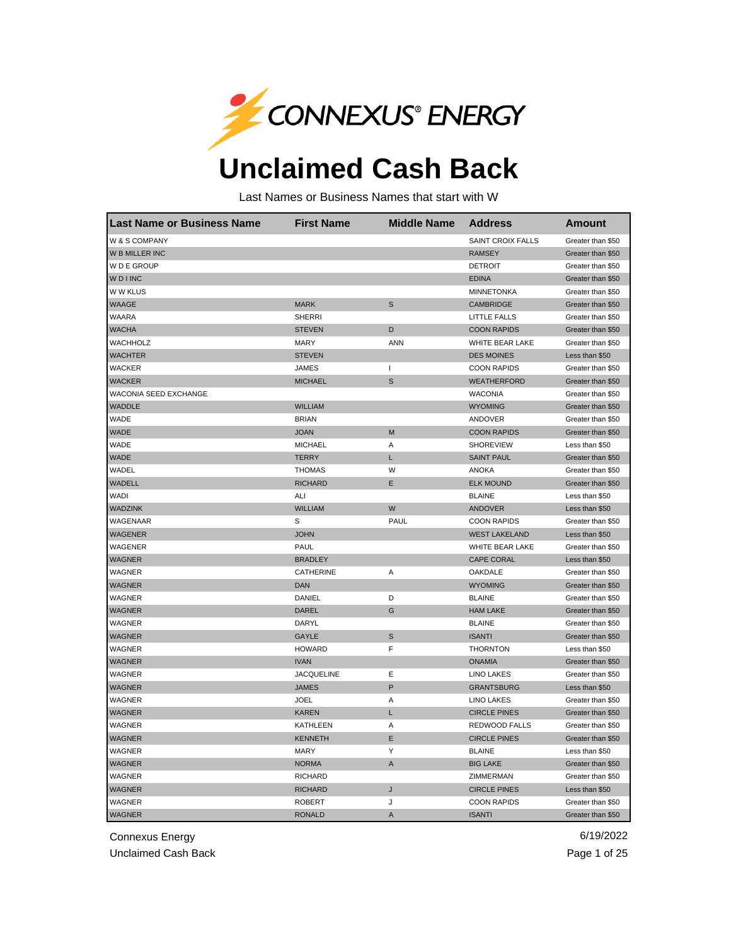

## **Unclaimed Cash Back**

Last Names or Business Names that start with W

| Last Name or Business Name | <b>First Name</b> | <b>Middle Name</b> | <b>Address</b>         | Amount            |
|----------------------------|-------------------|--------------------|------------------------|-------------------|
| W & S COMPANY              |                   |                    | SAINT CROIX FALLS      | Greater than \$50 |
| W B MILLER INC             |                   |                    | <b>RAMSEY</b>          | Greater than \$50 |
| W D E GROUP                |                   |                    | <b>DETROIT</b>         | Greater than \$50 |
| <b>WDINC</b>               |                   |                    | <b>EDINA</b>           | Greater than \$50 |
| W W KLUS                   |                   |                    | <b>MINNETONKA</b>      | Greater than \$50 |
| WAAGE                      | <b>MARK</b>       | S                  | CAMBRIDGE              | Greater than \$50 |
| WAARA                      | <b>SHERRI</b>     |                    | LITTLE FALLS           | Greater than \$50 |
| <b>WACHA</b>               | <b>STEVEN</b>     | D                  | <b>COON RAPIDS</b>     | Greater than \$50 |
| WACHHOLZ                   | MARY              | <b>ANN</b>         | <b>WHITE BEAR LAKE</b> | Greater than \$50 |
| <b>WACHTER</b>             | <b>STEVEN</b>     |                    | <b>DES MOINES</b>      | Less than \$50    |
| <b>WACKER</b>              | <b>JAMES</b>      | $\mathsf{I}$       | <b>COON RAPIDS</b>     | Greater than \$50 |
| <b>WACKER</b>              | <b>MICHAEL</b>    | S                  | WEATHERFORD            | Greater than \$50 |
| WACONIA SEED EXCHANGE      |                   |                    | <b>WACONIA</b>         | Greater than \$50 |
| <b>WADDLE</b>              | <b>WILLIAM</b>    |                    | <b>WYOMING</b>         | Greater than \$50 |
| WADE                       | <b>BRIAN</b>      |                    | ANDOVER                | Greater than \$50 |
| <b>WADE</b>                | <b>JOAN</b>       | М                  | <b>COON RAPIDS</b>     | Greater than \$50 |
| WADE                       | <b>MICHAEL</b>    | Α                  | <b>SHOREVIEW</b>       | Less than \$50    |
| <b>WADE</b>                | <b>TERRY</b>      | L                  | <b>SAINT PAUL</b>      | Greater than \$50 |
| WADEL                      | <b>THOMAS</b>     | W                  | <b>ANOKA</b>           | Greater than \$50 |
| WADELL                     | <b>RICHARD</b>    | Е                  | <b>ELK MOUND</b>       | Greater than \$50 |
| <b>WADI</b>                | ALI               |                    | <b>BLAINE</b>          | Less than \$50    |
| <b>WADZINK</b>             | <b>WILLIAM</b>    | W                  | <b>ANDOVER</b>         | Less than \$50    |
| WAGENAAR                   | s                 | PAUL               | <b>COON RAPIDS</b>     | Greater than \$50 |
| <b>WAGENER</b>             | <b>JOHN</b>       |                    | <b>WEST LAKELAND</b>   | Less than \$50    |
| WAGENER                    | PAUL              |                    | WHITE BEAR LAKE        | Greater than \$50 |
| <b>WAGNER</b>              | <b>BRADLEY</b>    |                    | <b>CAPE CORAL</b>      | Less than \$50    |
| WAGNER                     | <b>CATHERINE</b>  | Α                  | OAKDALE                | Greater than \$50 |
| <b>WAGNER</b>              | <b>DAN</b>        |                    | <b>WYOMING</b>         | Greater than \$50 |
| WAGNER                     | DANIEL            | D                  | <b>BLAINE</b>          | Greater than \$50 |
| <b>WAGNER</b>              | <b>DAREL</b>      | G                  | <b>HAM LAKE</b>        | Greater than \$50 |
| WAGNER                     | DARYL             |                    | <b>BLAINE</b>          | Greater than \$50 |
| <b>WAGNER</b>              | <b>GAYLE</b>      | S                  | <b>ISANTI</b>          | Greater than \$50 |
| WAGNER                     | <b>HOWARD</b>     | F                  | <b>THORNTON</b>        | Less than \$50    |
| <b>WAGNER</b>              | <b>IVAN</b>       |                    | <b>ONAMIA</b>          | Greater than \$50 |
| WAGNER                     | <b>JACQUELINE</b> | Ε                  | <b>LINO LAKES</b>      | Greater than \$50 |
| <b>WAGNER</b>              | <b>JAMES</b>      | P                  | <b>GRANTSBURG</b>      | Less than \$50    |
| WAGNER                     | JOEL              | Α                  | <b>LINO LAKES</b>      | Greater than \$50 |
| <b>WAGNER</b>              | <b>KAREN</b>      | L                  | <b>CIRCLE PINES</b>    | Greater than \$50 |
| WAGNER                     | KATHLEEN          | Α                  | REDWOOD FALLS          | Greater than \$50 |
| WAGNER                     | <b>KENNETH</b>    | E                  | <b>CIRCLE PINES</b>    | Greater than \$50 |
| WAGNER                     | <b>MARY</b>       | Υ                  | <b>BLAINE</b>          | Less than \$50    |
| <b>WAGNER</b>              | <b>NORMA</b>      | A                  | <b>BIG LAKE</b>        | Greater than \$50 |
| WAGNER                     | <b>RICHARD</b>    |                    | ZIMMERMAN              | Greater than \$50 |
| <b>WAGNER</b>              | <b>RICHARD</b>    | J                  | <b>CIRCLE PINES</b>    | Less than \$50    |
| <b>WAGNER</b>              | <b>ROBERT</b>     | J                  | <b>COON RAPIDS</b>     | Greater than \$50 |
| <b>WAGNER</b>              | <b>RONALD</b>     | A                  | <b>ISANTI</b>          | Greater than \$50 |

Connexus Energy 6/19/2022

Unclaimed Cash Back **Page 1 of 25**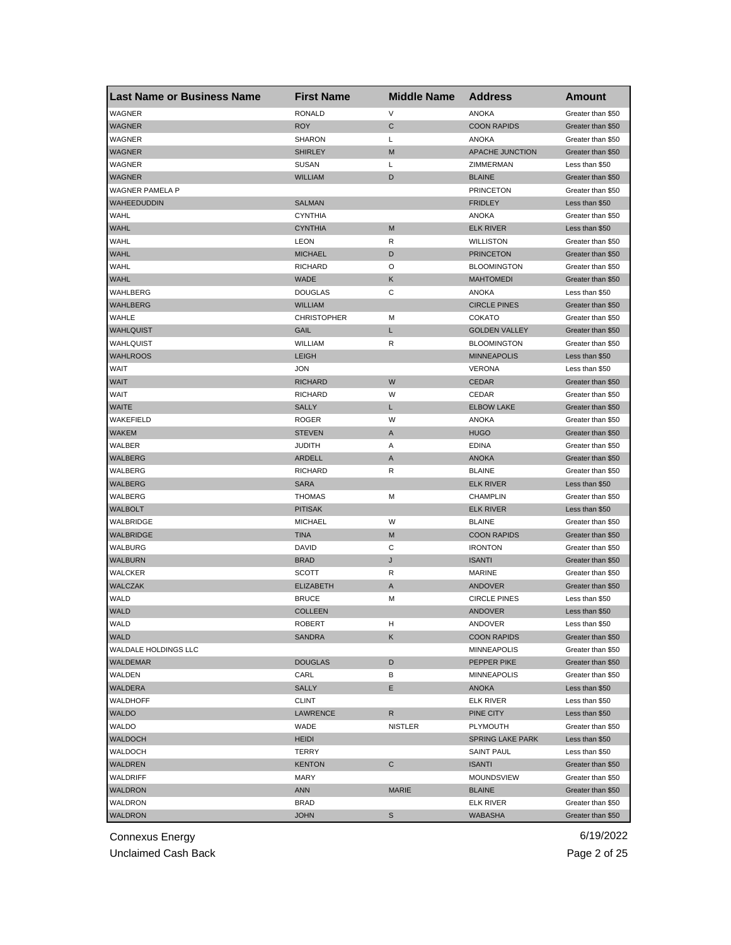| <b>Last Name or Business Name</b> | <b>First Name</b>               | <b>Middle Name</b> | <b>Address</b>                      | <b>Amount</b>                       |
|-----------------------------------|---------------------------------|--------------------|-------------------------------------|-------------------------------------|
| WAGNER                            | <b>RONALD</b>                   | V                  | <b>ANOKA</b>                        | Greater than \$50                   |
| <b>WAGNER</b>                     | <b>ROY</b>                      | C                  | <b>COON RAPIDS</b>                  | Greater than \$50                   |
| WAGNER                            | <b>SHARON</b>                   | Г                  | <b>ANOKA</b>                        | Greater than \$50                   |
| <b>WAGNER</b>                     | <b>SHIRLEY</b>                  | M                  | <b>APACHE JUNCTION</b>              | Greater than \$50                   |
| WAGNER                            | <b>SUSAN</b>                    | Г                  | ZIMMERMAN                           | Less than \$50                      |
| <b>WAGNER</b>                     | WILLIAM                         | D                  | <b>BLAINE</b>                       | Greater than \$50                   |
| WAGNER PAMELA P                   |                                 |                    | <b>PRINCETON</b>                    | Greater than \$50                   |
| WAHEEDUDDIN                       | <b>SALMAN</b>                   |                    | <b>FRIDLEY</b>                      | Less than \$50                      |
| WAHL                              | <b>CYNTHIA</b>                  |                    | <b>ANOKA</b>                        | Greater than \$50                   |
| <b>WAHL</b>                       | <b>CYNTHIA</b>                  | M                  | <b>ELK RIVER</b>                    | Less than \$50                      |
| <b>WAHL</b>                       | LEON                            | R                  | <b>WILLISTON</b>                    | Greater than \$50                   |
| <b>WAHL</b>                       | MICHAEL                         | D                  | <b>PRINCETON</b>                    | Greater than \$50                   |
| WAHL                              | RICHARD                         | O                  | <b>BLOOMINGTON</b>                  | Greater than \$50                   |
| <b>WAHL</b>                       | <b>WADE</b>                     | Κ                  | <b>MAHTOMEDI</b>                    | Greater than \$50                   |
| WAHLBERG                          | <b>DOUGLAS</b>                  | С                  | <b>ANOKA</b>                        | Less than \$50                      |
| <b>WAHLBERG</b>                   | WILLIAM                         |                    | <b>CIRCLE PINES</b>                 | Greater than \$50                   |
| WAHLE                             | <b>CHRISTOPHER</b>              | M                  | <b>COKATO</b>                       | Greater than \$50                   |
| <b>WAHLQUIST</b>                  | GAIL                            | L                  | <b>GOLDEN VALLEY</b>                | Greater than \$50                   |
| WAHLQUIST                         | WILLIAM                         | R                  | <b>BLOOMINGTON</b>                  | Greater than \$50                   |
| <b>WAHLROOS</b>                   | LEIGH                           |                    | <b>MINNEAPOLIS</b>                  | Less than \$50                      |
| WAIT                              | JON                             |                    | <b>VERONA</b>                       | Less than \$50                      |
| <b>WAIT</b>                       | <b>RICHARD</b>                  | W                  | <b>CEDAR</b>                        | Greater than \$50                   |
| WAIT                              | <b>RICHARD</b>                  | W                  | CEDAR                               | Greater than \$50                   |
| <b>WAITE</b>                      | <b>SALLY</b>                    | L                  | <b>ELBOW LAKE</b>                   | Greater than \$50                   |
| WAKEFIELD                         | <b>ROGER</b>                    | W                  | <b>ANOKA</b>                        | Greater than \$50                   |
| <b>WAKEM</b>                      | <b>STEVEN</b>                   | A                  | <b>HUGO</b>                         | Greater than \$50                   |
| WALBER                            | <b>JUDITH</b>                   | Α                  | <b>EDINA</b>                        | Greater than \$50                   |
| WALBERG                           | <b>ARDELL</b>                   | A                  | <b>ANOKA</b>                        | Greater than \$50                   |
| WALBERG                           | RICHARD                         | R                  | <b>BLAINE</b>                       | Greater than \$50                   |
| WALBERG                           | <b>SARA</b>                     |                    | <b>ELK RIVER</b>                    | Less than \$50                      |
|                                   |                                 |                    |                                     |                                     |
| WALBERG<br><b>WALBOLT</b>         | <b>THOMAS</b><br><b>PITISAK</b> | М                  | <b>CHAMPLIN</b><br><b>ELK RIVER</b> | Greater than \$50<br>Less than \$50 |
|                                   |                                 |                    |                                     |                                     |
| WALBRIDGE                         | <b>MICHAEL</b>                  | W                  | <b>BLAINE</b><br><b>COON RAPIDS</b> | Greater than \$50                   |
| <b>WALBRIDGE</b>                  | <b>TINA</b><br><b>DAVID</b>     | M                  |                                     | Greater than \$50                   |
| WALBURG                           |                                 | C                  | <b>IRONTON</b>                      | Greater than \$50                   |
| <b>WALBURN</b>                    | <b>BRAD</b>                     | J                  | <b>ISANTI</b>                       | Greater than \$50                   |
| WALCKER                           | <b>SCOTT</b>                    | R                  | <b>MARINE</b>                       | Greater than \$50                   |
| WALCZAK                           | <b>ELIZABETH</b>                | A                  | <b>ANDOVER</b>                      | Greater than \$50                   |
| <b>WALD</b>                       | <b>BRUCE</b>                    | M                  | <b>CIRCLE PINES</b>                 | Less than \$50                      |
| <b>WALD</b>                       | <b>COLLEEN</b>                  |                    | <b>ANDOVER</b>                      | Less than \$50                      |
| WALD                              | ROBERT                          | н                  | ANDOVER                             | Less than \$50                      |
| <b>WALD</b>                       | <b>SANDRA</b>                   | Κ                  | <b>COON RAPIDS</b>                  | Greater than \$50                   |
| WALDALE HOLDINGS LLC              |                                 |                    | <b>MINNEAPOLIS</b>                  | Greater than \$50                   |
| WALDEMAR                          | <b>DOUGLAS</b>                  | D                  | PEPPER PIKE                         | Greater than \$50                   |
| WALDEN                            | CARL                            | В                  | <b>MINNEAPOLIS</b>                  | Greater than \$50                   |
| <b>WALDERA</b>                    | SALLY                           | E                  | ANOKA                               | Less than \$50                      |
| WALDHOFF                          | CLINT                           |                    | <b>ELK RIVER</b>                    | Less than \$50                      |
| <b>WALDO</b>                      | <b>LAWRENCE</b>                 | R                  | PINE CITY                           | Less than \$50                      |
| <b>WALDO</b>                      | WADE                            | <b>NISTLER</b>     | PLYMOUTH                            | Greater than \$50                   |
| WALDOCH                           | <b>HEIDI</b>                    |                    | <b>SPRING LAKE PARK</b>             | Less than \$50                      |
| WALDOCH                           | TERRY                           |                    | <b>SAINT PAUL</b>                   | Less than \$50                      |
| WALDREN                           | <b>KENTON</b>                   | С                  | <b>ISANTI</b>                       | Greater than \$50                   |
| WALDRIFF                          | MARY                            |                    | <b>MOUNDSVIEW</b>                   | Greater than \$50                   |
| <b>WALDRON</b>                    | ANN                             | <b>MARIE</b>       | <b>BLAINE</b>                       | Greater than \$50                   |
| WALDRON                           | <b>BRAD</b>                     |                    | <b>ELK RIVER</b>                    | Greater than \$50                   |
| <b>WALDRON</b>                    | <b>JOHN</b>                     | S                  | <b>WABASHA</b>                      | Greater than \$50                   |

Unclaimed Cash Back **Page 2 of 25**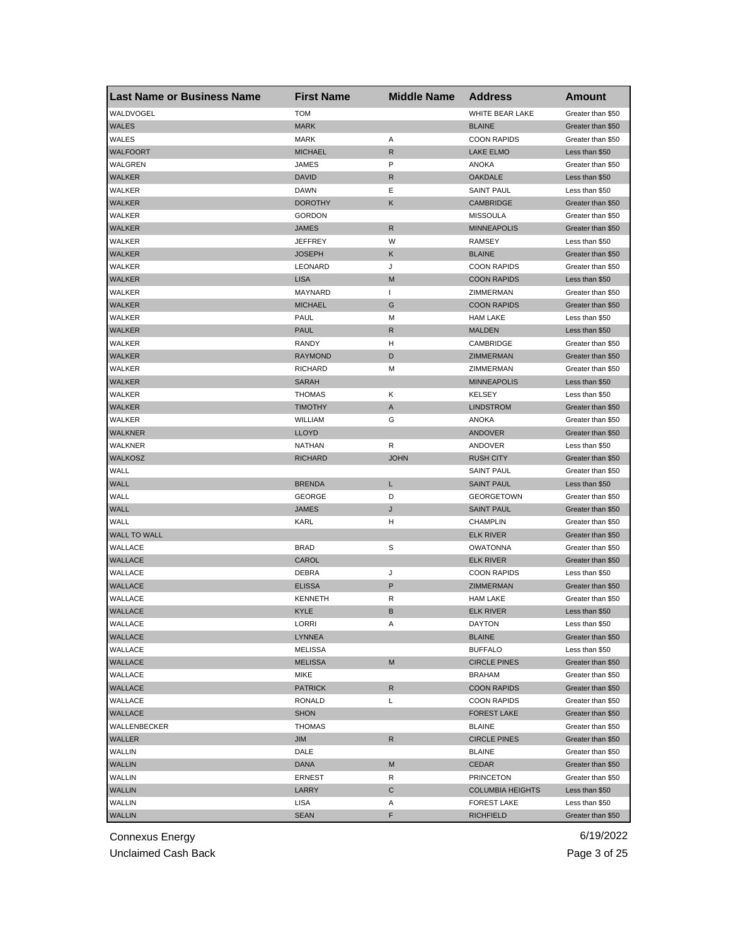| <b>Last Name or Business Name</b> | <b>First Name</b> | <b>Middle Name</b> | <b>Address</b>          | Amount            |
|-----------------------------------|-------------------|--------------------|-------------------------|-------------------|
| WALDVOGEL                         | <b>TOM</b>        |                    | WHITE BEAR LAKE         | Greater than \$50 |
| <b>WALES</b>                      | <b>MARK</b>       |                    | <b>BLAINE</b>           | Greater than \$50 |
| WALES                             | <b>MARK</b>       | Α                  | <b>COON RAPIDS</b>      | Greater than \$50 |
| <b>WALFOORT</b>                   | <b>MICHAEL</b>    | R                  | <b>LAKE ELMO</b>        | Less than \$50    |
| WALGREN                           | <b>JAMES</b>      | P                  | <b>ANOKA</b>            | Greater than \$50 |
| <b>WALKER</b>                     | <b>DAVID</b>      | R                  | <b>OAKDALE</b>          | Less than \$50    |
| WALKER                            | <b>DAWN</b>       | Ε                  | <b>SAINT PAUL</b>       | Less than \$50    |
| <b>WALKER</b>                     | <b>DOROTHY</b>    | Κ                  | <b>CAMBRIDGE</b>        | Greater than \$50 |
| WALKER                            | <b>GORDON</b>     |                    | <b>MISSOULA</b>         | Greater than \$50 |
| <b>WALKER</b>                     | <b>JAMES</b>      | R                  | <b>MINNEAPOLIS</b>      | Greater than \$50 |
| <b>WALKER</b>                     | JEFFREY           | W                  | <b>RAMSEY</b>           | Less than \$50    |
| <b>WALKER</b>                     | <b>JOSEPH</b>     | Κ                  | <b>BLAINE</b>           | Greater than \$50 |
| WALKER                            | LEONARD           | J                  | <b>COON RAPIDS</b>      | Greater than \$50 |
| <b>WALKER</b>                     | <b>LISA</b>       | M                  | <b>COON RAPIDS</b>      | Less than \$50    |
| WALKER                            | MAYNARD           | $\mathbf{I}$       | ZIMMERMAN               | Greater than \$50 |
| <b>WALKER</b>                     | <b>MICHAEL</b>    | G                  | <b>COON RAPIDS</b>      | Greater than \$50 |
| WALKER                            | <b>PAUL</b>       | м                  | <b>HAM LAKE</b>         | Less than \$50    |
| <b>WALKER</b>                     | <b>PAUL</b>       | R                  | <b>MALDEN</b>           | Less than \$50    |
| WALKER                            | RANDY             | н                  | CAMBRIDGE               | Greater than \$50 |
| <b>WALKER</b>                     | <b>RAYMOND</b>    | D                  | ZIMMERMAN               | Greater than \$50 |
| WALKER                            | <b>RICHARD</b>    | м                  | ZIMMERMAN               | Greater than \$50 |
| <b>WALKER</b>                     | <b>SARAH</b>      |                    | <b>MINNEAPOLIS</b>      | Less than \$50    |
| WALKER                            | <b>THOMAS</b>     | Κ                  | <b>KELSEY</b>           | Less than \$50    |
| <b>WALKER</b>                     | <b>TIMOTHY</b>    | Α                  | <b>LINDSTROM</b>        | Greater than \$50 |
| WALKER                            | <b>WILLIAM</b>    | G                  | ANOKA                   | Greater than \$50 |
| <b>WALKNER</b>                    | <b>LLOYD</b>      |                    | <b>ANDOVER</b>          | Greater than \$50 |
| WALKNER                           | NATHAN            | R                  | ANDOVER                 | Less than \$50    |
| <b>WALKOSZ</b>                    | <b>RICHARD</b>    | <b>JOHN</b>        | <b>RUSH CITY</b>        | Greater than \$50 |
| WALL                              |                   |                    | SAINT PAUL              | Greater than \$50 |
| WALL                              | <b>BRENDA</b>     | Г                  | <b>SAINT PAUL</b>       | Less than \$50    |
| WALL                              | <b>GEORGE</b>     | D                  | <b>GEORGETOWN</b>       | Greater than \$50 |
| WALL                              | <b>JAMES</b>      | J                  | <b>SAINT PAUL</b>       | Greater than \$50 |
| WALL                              | KARL              | н                  | <b>CHAMPLIN</b>         | Greater than \$50 |
| <b>WALL TO WALL</b>               |                   |                    | <b>ELK RIVER</b>        | Greater than \$50 |
| WALLACE                           | <b>BRAD</b>       | S                  | <b>OWATONNA</b>         | Greater than \$50 |
| WALLACE                           | CAROL             |                    | <b>ELK RIVER</b>        | Greater than \$50 |
| WALLACE                           | DEBRA             | J                  | <b>COON RAPIDS</b>      | Less than \$50    |
| <b>WALLACE</b>                    | <b>ELISSA</b>     | P                  | ZIMMERMAN               | Greater than \$50 |
| WALLACE                           | <b>KENNETH</b>    | R                  | <b>HAM LAKE</b>         | Greater than \$50 |
| <b>WALLACE</b>                    | KYLE              | B                  | <b>ELK RIVER</b>        | Less than \$50    |
| WALLACE                           | LORRI             | Α                  | DAYTON                  | Less than \$50    |
| WALLACE                           | LYNNEA            |                    | <b>BLAINE</b>           | Greater than \$50 |
| WALLACE                           | MELISSA           |                    | <b>BUFFALO</b>          | Less than \$50    |
| WALLACE                           | <b>MELISSA</b>    | M                  | <b>CIRCLE PINES</b>     | Greater than \$50 |
| WALLACE                           | MIKE              |                    | <b>BRAHAM</b>           | Greater than \$50 |
| WALLACE                           | <b>PATRICK</b>    | R                  | <b>COON RAPIDS</b>      | Greater than \$50 |
| WALLACE                           | <b>RONALD</b>     | Г                  | <b>COON RAPIDS</b>      | Greater than \$50 |
| WALLACE                           | <b>SHON</b>       |                    | <b>FOREST LAKE</b>      | Greater than \$50 |
| WALLENBECKER                      | <b>THOMAS</b>     |                    | <b>BLAINE</b>           | Greater than \$50 |
| WALLER                            | JIM               | R                  | <b>CIRCLE PINES</b>     | Greater than \$50 |
| WALLIN                            | DALE              |                    | <b>BLAINE</b>           | Greater than \$50 |
| <b>WALLIN</b>                     | <b>DANA</b>       | M                  | <b>CEDAR</b>            | Greater than \$50 |
| WALLIN                            | ERNEST            | R                  | <b>PRINCETON</b>        | Greater than \$50 |
| <b>WALLIN</b>                     | LARRY             | С                  | <b>COLUMBIA HEIGHTS</b> | Less than \$50    |
| WALLIN                            | LISA              | Α                  | <b>FOREST LAKE</b>      | Less than \$50    |
| <b>WALLIN</b>                     | <b>SEAN</b>       | F                  | <b>RICHFIELD</b>        | Greater than \$50 |
|                                   |                   |                    |                         |                   |

Unclaimed Cash Back **Page 3 of 25**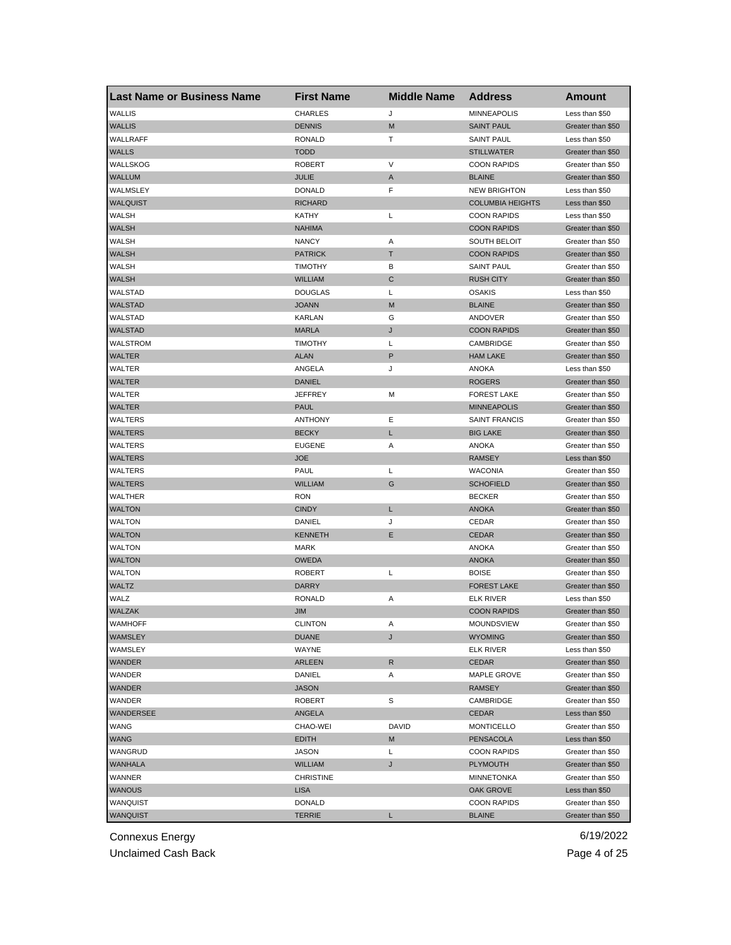| <b>Last Name or Business Name</b> | <b>First Name</b> | <b>Middle Name</b> | <b>Address</b>          | <b>Amount</b>     |
|-----------------------------------|-------------------|--------------------|-------------------------|-------------------|
| <b>WALLIS</b>                     | <b>CHARLES</b>    | J                  | <b>MINNEAPOLIS</b>      | Less than \$50    |
| <b>WALLIS</b>                     | <b>DENNIS</b>     | M                  | <b>SAINT PAUL</b>       | Greater than \$50 |
| WALLRAFF                          | <b>RONALD</b>     | т                  | <b>SAINT PAUL</b>       | Less than \$50    |
| <b>WALLS</b>                      | <b>TODD</b>       |                    | <b>STILLWATER</b>       | Greater than \$50 |
| WALLSKOG                          | <b>ROBERT</b>     | V                  | <b>COON RAPIDS</b>      | Greater than \$50 |
| <b>WALLUM</b>                     | JULIE             | A                  | <b>BLAINE</b>           | Greater than \$50 |
| WALMSLEY                          | <b>DONALD</b>     | F                  | <b>NEW BRIGHTON</b>     | Less than \$50    |
| WALQUIST                          | <b>RICHARD</b>    |                    | <b>COLUMBIA HEIGHTS</b> | Less than \$50    |
| WALSH                             | <b>KATHY</b>      | Г                  | <b>COON RAPIDS</b>      | Less than \$50    |
| <b>WALSH</b>                      | <b>NAHIMA</b>     |                    | <b>COON RAPIDS</b>      | Greater than \$50 |
| <b>WALSH</b>                      | <b>NANCY</b>      | Α                  | <b>SOUTH BELOIT</b>     | Greater than \$50 |
| WALSH                             | <b>PATRICK</b>    | т                  | <b>COON RAPIDS</b>      | Greater than \$50 |
| WALSH                             | <b>TIMOTHY</b>    | В                  | <b>SAINT PAUL</b>       | Greater than \$50 |
| <b>WALSH</b>                      | <b>WILLIAM</b>    | C                  | <b>RUSH CITY</b>        | Greater than \$50 |
| WALSTAD                           | <b>DOUGLAS</b>    | L                  | <b>OSAKIS</b>           | Less than \$50    |
| <b>WALSTAD</b>                    | <b>JOANN</b>      | M                  | <b>BLAINE</b>           | Greater than \$50 |
| WALSTAD                           | <b>KARLAN</b>     | G                  | ANDOVER                 | Greater than \$50 |
| <b>WALSTAD</b>                    | <b>MARLA</b>      | J                  | <b>COON RAPIDS</b>      | Greater than \$50 |
| WALSTROM                          | <b>TIMOTHY</b>    | L                  | CAMBRIDGE               | Greater than \$50 |
| WALTER                            | <b>ALAN</b>       | P                  | <b>HAM LAKE</b>         | Greater than \$50 |
| WALTER                            | ANGELA            | J                  | <b>ANOKA</b>            | Less than \$50    |
| <b>WALTER</b>                     | <b>DANIEL</b>     |                    | <b>ROGERS</b>           | Greater than \$50 |
| WALTER                            | <b>JEFFREY</b>    | М                  | <b>FOREST LAKE</b>      | Greater than \$50 |
| <b>WALTER</b>                     | <b>PAUL</b>       |                    | <b>MINNEAPOLIS</b>      | Greater than \$50 |
| WALTERS                           | <b>ANTHONY</b>    | Ε                  | <b>SAINT FRANCIS</b>    | Greater than \$50 |
| <b>WALTERS</b>                    | <b>BECKY</b>      | L                  | <b>BIG LAKE</b>         | Greater than \$50 |
| WALTERS                           | <b>EUGENE</b>     | Α                  | ANOKA                   | Greater than \$50 |
| <b>WALTERS</b>                    | <b>JOE</b>        |                    | <b>RAMSEY</b>           | Less than \$50    |
| WALTERS                           | PAUL              | L                  | <b>WACONIA</b>          | Greater than \$50 |
| <b>WALTERS</b>                    | <b>WILLIAM</b>    | G                  | <b>SCHOFIELD</b>        | Greater than \$50 |
| WALTHER                           | <b>RON</b>        |                    | <b>BECKER</b>           | Greater than \$50 |
| <b>WALTON</b>                     | <b>CINDY</b>      | Г                  | <b>ANOKA</b>            | Greater than \$50 |
| <b>WALTON</b>                     | DANIEL            | J                  | CEDAR                   | Greater than \$50 |
| <b>WALTON</b>                     | <b>KENNETH</b>    | Ε                  | <b>CEDAR</b>            | Greater than \$50 |
| <b>WALTON</b>                     | <b>MARK</b>       |                    | <b>ANOKA</b>            | Greater than \$50 |
| <b>WALTON</b>                     | <b>OWEDA</b>      |                    | <b>ANOKA</b>            | Greater than \$50 |
| <b>WALTON</b>                     | <b>ROBERT</b>     | L                  | <b>BOISE</b>            | Greater than \$50 |
| <b>WALTZ</b>                      | DARRY             |                    | <b>FOREST LAKE</b>      | Greater than \$50 |
| WALZ                              | <b>RONALD</b>     | Α                  | ELK RIVER               | Less than \$50    |
| WALZAK                            | <b>JIM</b>        |                    | <b>COON RAPIDS</b>      | Greater than \$50 |
| WAMHOFF                           | CLINTON           | A                  | <b>MOUNDSVIEW</b>       | Greater than \$50 |
| WAMSLEY                           | DUANE             | J                  | <b>WYOMING</b>          | Greater than \$50 |
| WAMSLEY                           | WAYNE             |                    | <b>ELK RIVER</b>        | Less than \$50    |
| WANDER                            | ARLEEN            | R                  | CEDAR                   | Greater than \$50 |
| WANDER                            | DANIEL            | Α                  | MAPLE GROVE             | Greater than \$50 |
| WANDER                            | <b>JASON</b>      |                    | RAMSEY                  | Greater than \$50 |
| WANDER                            | <b>ROBERT</b>     | S                  | CAMBRIDGE               | Greater than \$50 |
| WANDERSEE                         | ANGELA            |                    | CEDAR                   | Less than \$50    |
| <b>WANG</b>                       | CHAO-WEI          | DAVID              | <b>MONTICELLO</b>       | Greater than \$50 |
| <b>WANG</b>                       | <b>EDITH</b>      | M                  | PENSACOLA               | Less than \$50    |
| WANGRUD                           | <b>JASON</b>      | Г                  | <b>COON RAPIDS</b>      | Greater than \$50 |
| <b>WANHALA</b>                    | <b>WILLIAM</b>    | J                  | <b>PLYMOUTH</b>         | Greater than \$50 |
| WANNER                            | <b>CHRISTINE</b>  |                    | MINNETONKA              | Greater than \$50 |
| <b>WANOUS</b>                     | <b>LISA</b>       |                    | OAK GROVE               | Less than \$50    |
| WANQUIST                          | <b>DONALD</b>     |                    | <b>COON RAPIDS</b>      | Greater than \$50 |
| WANQUIST                          | <b>TERRIE</b>     | L                  | <b>BLAINE</b>           | Greater than \$50 |
|                                   |                   |                    |                         |                   |

Unclaimed Cash Back **Page 4 of 25**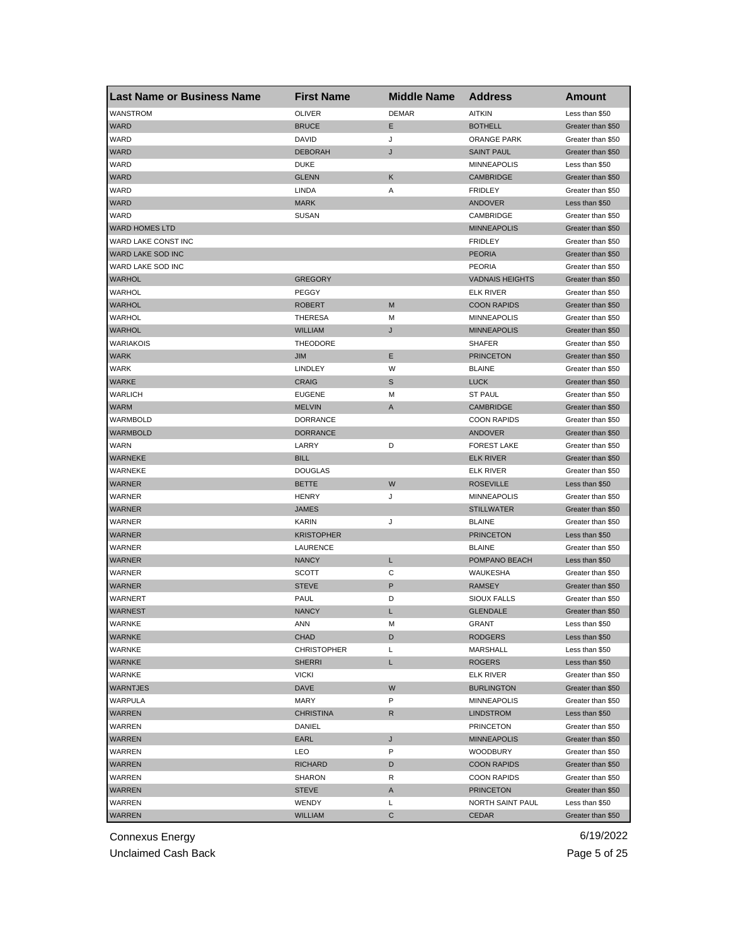| <b>Last Name or Business Name</b> | <b>First Name</b>  | <b>Middle Name</b> | <b>Address</b>         | <b>Amount</b>     |
|-----------------------------------|--------------------|--------------------|------------------------|-------------------|
| WANSTROM                          | <b>OLIVER</b>      | <b>DEMAR</b>       | <b>AITKIN</b>          | Less than \$50    |
| WARD                              | <b>BRUCE</b>       | Е                  | <b>BOTHELL</b>         | Greater than \$50 |
| WARD                              | DAVID              | J                  | <b>ORANGE PARK</b>     | Greater than \$50 |
| <b>WARD</b>                       | <b>DEBORAH</b>     | J                  | <b>SAINT PAUL</b>      | Greater than \$50 |
| WARD                              | <b>DUKE</b>        |                    | <b>MINNEAPOLIS</b>     | Less than \$50    |
| <b>WARD</b>                       | <b>GLENN</b>       | Κ                  | <b>CAMBRIDGE</b>       | Greater than \$50 |
| WARD                              | LINDA              | Α                  | <b>FRIDLEY</b>         | Greater than \$50 |
| <b>WARD</b>                       | <b>MARK</b>        |                    | ANDOVER                | Less than \$50    |
| WARD                              | <b>SUSAN</b>       |                    | CAMBRIDGE              | Greater than \$50 |
| <b>WARD HOMES LTD</b>             |                    |                    | <b>MINNEAPOLIS</b>     | Greater than \$50 |
| WARD LAKE CONST INC               |                    |                    | <b>FRIDLEY</b>         | Greater than \$50 |
| WARD LAKE SOD INC                 |                    |                    | <b>PEORIA</b>          | Greater than \$50 |
| WARD LAKE SOD INC                 |                    |                    | <b>PEORIA</b>          | Greater than \$50 |
| <b>WARHOL</b>                     | <b>GREGORY</b>     |                    | <b>VADNAIS HEIGHTS</b> | Greater than \$50 |
| WARHOL                            | PEGGY              |                    | ELK RIVER              | Greater than \$50 |
| <b>WARHOL</b>                     | <b>ROBERT</b>      | M                  | <b>COON RAPIDS</b>     | Greater than \$50 |
| WARHOL                            | <b>THERESA</b>     | м                  | <b>MINNEAPOLIS</b>     | Greater than \$50 |
| <b>WARHOL</b>                     | WILLIAM            | J                  | <b>MINNEAPOLIS</b>     | Greater than \$50 |
| WARIAKOIS                         | <b>THEODORE</b>    |                    | <b>SHAFER</b>          | Greater than \$50 |
| <b>WARK</b>                       | JIM                | Ε                  | <b>PRINCETON</b>       | Greater than \$50 |
| <b>WARK</b>                       | LINDLEY            | W                  | <b>BLAINE</b>          | Greater than \$50 |
| <b>WARKE</b>                      | <b>CRAIG</b>       | $\mathbb S$        | <b>LUCK</b>            | Greater than \$50 |
| <b>WARLICH</b>                    | <b>EUGENE</b>      | м                  | <b>ST PAUL</b>         | Greater than \$50 |
| <b>WARM</b>                       | <b>MELVIN</b>      | A                  | CAMBRIDGE              | Greater than \$50 |
| WARMBOLD                          | <b>DORRANCE</b>    |                    | <b>COON RAPIDS</b>     | Greater than \$50 |
| <b>WARMBOLD</b>                   | <b>DORRANCE</b>    |                    | ANDOVER                | Greater than \$50 |
| WARN                              | LARRY              | D                  | <b>FOREST LAKE</b>     | Greater than \$50 |
| <b>WARNEKE</b>                    | <b>BILL</b>        |                    | <b>ELK RIVER</b>       | Greater than \$50 |
| WARNEKE                           | <b>DOUGLAS</b>     |                    | ELK RIVER              | Greater than \$50 |
| <b>WARNER</b>                     | BETTE              | W                  | <b>ROSEVILLE</b>       | Less than \$50    |
| WARNER                            | <b>HENRY</b>       | J                  | <b>MINNEAPOLIS</b>     | Greater than \$50 |
| <b>WARNER</b>                     | <b>JAMES</b>       |                    | <b>STILLWATER</b>      | Greater than \$50 |
| WARNER                            | KARIN              | J                  | <b>BLAINE</b>          | Greater than \$50 |
| <b>WARNER</b>                     | <b>KRISTOPHER</b>  |                    | <b>PRINCETON</b>       | Less than \$50    |
| WARNER                            | LAURENCE           |                    | <b>BLAINE</b>          | Greater than \$50 |
| WARNER                            | <b>NANCY</b>       | L                  | POMPANO BEACH          | Less than \$50    |
| WARNER                            | SCOTT              | С                  | WAUKESHA               | Greater than \$50 |
| WARNER                            | STEVE              | P                  | <b>RAMSEY</b>          | Greater than \$50 |
| <b>WARNERT</b>                    | PAUL               | D                  | <b>SIOUX FALLS</b>     | Greater than \$50 |
| <b>WARNEST</b>                    | <b>NANCY</b>       | L                  | <b>GLENDALE</b>        | Greater than \$50 |
| WARNKE                            | ANN                | M                  | GRANT                  | Less than $$50$   |
| <b>WARNKE</b>                     | CHAD               | D                  | <b>RODGERS</b>         | Less than \$50    |
| WARNKE                            | <b>CHRISTOPHER</b> | Г                  | MARSHALL               | Less than \$50    |
| <b>WARNKE</b>                     | SHERRI             | L                  | <b>ROGERS</b>          | Less than \$50    |
| WARNKE                            | <b>VICKI</b>       |                    | <b>ELK RIVER</b>       | Greater than \$50 |
| <b>WARNTJES</b>                   | DAVE               | W                  | <b>BURLINGTON</b>      | Greater than \$50 |
| WARPULA                           | MARY               | P                  | MINNEAPOLIS            | Greater than \$50 |
| WARREN                            | <b>CHRISTINA</b>   | R                  | LINDSTROM              | Less than \$50    |
| WARREN                            | DANIEL             |                    | <b>PRINCETON</b>       | Greater than \$50 |
| WARREN                            | EARL               | J                  | <b>MINNEAPOLIS</b>     | Greater than \$50 |
| WARREN                            | LEO                | P                  | WOODBURY               | Greater than \$50 |
| WARREN                            | <b>RICHARD</b>     | D                  | <b>COON RAPIDS</b>     | Greater than \$50 |
| WARREN                            | SHARON             | R                  | <b>COON RAPIDS</b>     | Greater than \$50 |
| WARREN                            | STEVE              | Α                  | <b>PRINCETON</b>       | Greater than \$50 |
| WARREN                            | WENDY              | Г                  | NORTH SAINT PAUL       | Less than \$50    |
| <b>WARREN</b>                     | <b>WILLIAM</b>     | С                  | CEDAR                  | Greater than \$50 |
|                                   |                    |                    |                        |                   |

Unclaimed Cash Back **Page 5 of 25**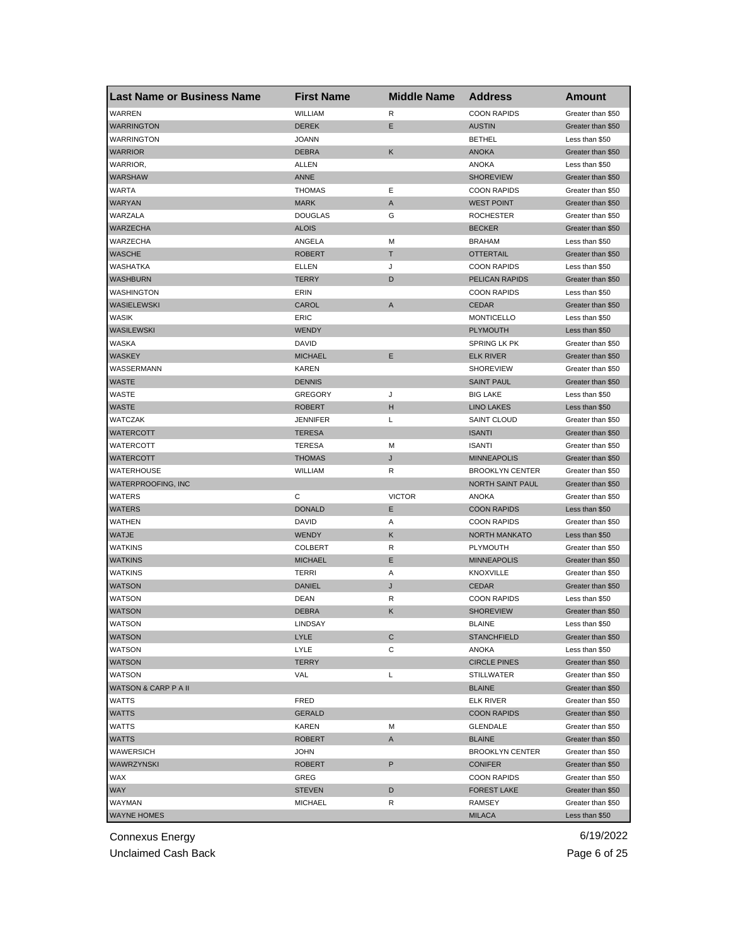| <b>Last Name or Business Name</b> | <b>First Name</b>      | <b>Middle Name</b> | <b>Address</b>                 | <b>Amount</b>     |
|-----------------------------------|------------------------|--------------------|--------------------------------|-------------------|
| WARREN                            | WILLIAM                | R                  | <b>COON RAPIDS</b>             | Greater than \$50 |
| <b>WARRINGTON</b>                 | <b>DEREK</b>           | Ε                  | <b>AUSTIN</b>                  | Greater than \$50 |
| <b>WARRINGTON</b>                 | <b>JOANN</b>           |                    | <b>BETHEL</b>                  | Less than \$50    |
| <b>WARRIOR</b>                    | <b>DEBRA</b>           | Κ                  | <b>ANOKA</b>                   | Greater than \$50 |
| WARRIOR,                          | ALLEN                  |                    | <b>ANOKA</b>                   | Less than \$50    |
| WARSHAW                           | ANNE                   |                    | <b>SHOREVIEW</b>               | Greater than \$50 |
| WARTA                             | <b>THOMAS</b>          | Е                  | <b>COON RAPIDS</b>             | Greater than \$50 |
| <b>WARYAN</b>                     | <b>MARK</b>            | A                  | <b>WEST POINT</b>              | Greater than \$50 |
| WARZALA                           | <b>DOUGLAS</b>         | G                  | <b>ROCHESTER</b>               | Greater than \$50 |
| <b>WARZECHA</b>                   | <b>ALOIS</b>           |                    | <b>BECKER</b>                  | Greater than \$50 |
| WARZECHA                          | ANGELA                 | М                  | <b>BRAHAM</b>                  | Less than \$50    |
| <b>WASCHE</b>                     | <b>ROBERT</b>          | Т                  | <b>OTTERTAIL</b>               | Greater than \$50 |
| WASHATKA                          | ELLEN                  | J                  | <b>COON RAPIDS</b>             | Less than \$50    |
| <b>WASHBURN</b>                   | <b>TERRY</b>           | D                  | PELICAN RAPIDS                 | Greater than \$50 |
| WASHINGTON                        | ERIN                   |                    | <b>COON RAPIDS</b>             | Less than \$50    |
| WASIELEWSKI                       | CAROL                  | Α                  | <b>CEDAR</b>                   | Greater than \$50 |
| WASIK                             | ERIC                   |                    | <b>MONTICELLO</b>              | Less than \$50    |
| WASILEWSKI                        | <b>WENDY</b>           |                    | <b>PLYMOUTH</b>                | Less than \$50    |
| WASKA                             | DAVID                  |                    | SPRING LK PK                   | Greater than \$50 |
| <b>WASKEY</b>                     | <b>MICHAEL</b>         | Ε                  | <b>ELK RIVER</b>               | Greater than \$50 |
| WASSERMANN                        | <b>KAREN</b>           |                    | <b>SHOREVIEW</b>               | Greater than \$50 |
| <b>WASTE</b>                      | <b>DENNIS</b>          |                    | <b>SAINT PAUL</b>              | Greater than \$50 |
| WASTE                             | <b>GREGORY</b>         | J                  | <b>BIG LAKE</b>                | Less than \$50    |
| <b>WASTE</b>                      | <b>ROBERT</b>          | н                  | <b>LINO LAKES</b>              | Less than \$50    |
| WATCZAK                           | <b>JENNIFER</b>        | Г                  | <b>SAINT CLOUD</b>             | Greater than \$50 |
| WATERCOTT                         | <b>TERESA</b>          |                    | <b>ISANTI</b>                  | Greater than \$50 |
| WATERCOTT                         | <b>TERESA</b>          | М                  | <b>ISANTI</b>                  | Greater than \$50 |
| <b>WATERCOTT</b>                  | <b>THOMAS</b>          | J                  | <b>MINNEAPOLIS</b>             | Greater than \$50 |
| WATERHOUSE                        | WILLIAM                | R                  | <b>BROOKLYN CENTER</b>         | Greater than \$50 |
| WATERPROOFING, INC                |                        |                    | NORTH SAINT PAUL               | Greater than \$50 |
| WATERS                            | С                      | <b>VICTOR</b>      | <b>ANOKA</b>                   | Greater than \$50 |
| WATERS                            | <b>DONALD</b>          | Е                  | <b>COON RAPIDS</b>             | Less than \$50    |
| WATHEN                            | <b>DAVID</b>           | Α                  | <b>COON RAPIDS</b>             | Greater than \$50 |
| <b>WATJE</b>                      | <b>WENDY</b>           | Κ                  | <b>NORTH MANKATO</b>           | Less than \$50    |
|                                   |                        | R                  |                                |                   |
| <b>WATKINS</b>                    | <b>COLBERT</b>         | Ε                  | PLYMOUTH<br><b>MINNEAPOLIS</b> | Greater than \$50 |
| <b>WATKINS</b>                    | <b>MICHAEL</b>         |                    | <b>KNOXVILLE</b>               | Greater than \$50 |
| <b>WATKINS</b>                    | TERRI<br><b>DANIEL</b> | Α                  |                                | Greater than \$50 |
| <b>WATSON</b>                     |                        | J                  | <b>CEDAR</b>                   | Greater than \$50 |
| WATSON                            | DEAN                   | R                  | <b>COON RAPIDS</b>             | Less than \$50    |
| <b>WATSON</b>                     | <b>DEBRA</b>           | Κ                  | <b>SHOREVIEW</b>               | Greater than \$50 |
| WAISON                            | LINDSAY                |                    | <b>BLAINE</b>                  | Less than \$50    |
| <b>WATSON</b>                     | <b>LYLE</b>            | С                  | <b>STANCHFIELD</b>             | Greater than \$50 |
| <b>WATSON</b>                     | LYLE                   | С                  | ANOKA                          | Less than \$50    |
| <b>WATSON</b>                     | <b>TERRY</b>           |                    | <b>CIRCLE PINES</b>            | Greater than \$50 |
| <b>WATSON</b>                     | VAL                    | L                  | <b>STILLWATER</b>              | Greater than \$50 |
| <b>WATSON &amp; CARP P A II</b>   |                        |                    | <b>BLAINE</b>                  | Greater than \$50 |
| WATTS                             | FRED                   |                    | <b>ELK RIVER</b>               | Greater than \$50 |
| <b>WATTS</b>                      | <b>GERALD</b>          |                    | <b>COON RAPIDS</b>             | Greater than \$50 |
| WATTS                             | <b>KAREN</b>           | Μ                  | <b>GLENDALE</b>                | Greater than \$50 |
| WATTS                             | <b>ROBERT</b>          | A                  | <b>BLAINE</b>                  | Greater than \$50 |
| WAWERSICH                         | <b>JOHN</b>            |                    | <b>BROOKLYN CENTER</b>         | Greater than \$50 |
| WAWRZYNSKI                        | <b>ROBERT</b>          | P                  | <b>CONIFER</b>                 | Greater than \$50 |
| WAX                               | GREG                   |                    | <b>COON RAPIDS</b>             | Greater than \$50 |
| WAY                               | <b>STEVEN</b>          | D                  | <b>FOREST LAKE</b>             | Greater than \$50 |
| WAYMAN                            | <b>MICHAEL</b>         | R                  | <b>RAMSEY</b>                  | Greater than \$50 |
| <b>WAYNE HOMES</b>                |                        |                    | <b>MILACA</b>                  | Less than \$50    |

Unclaimed Cash Back **Page 6 of 25**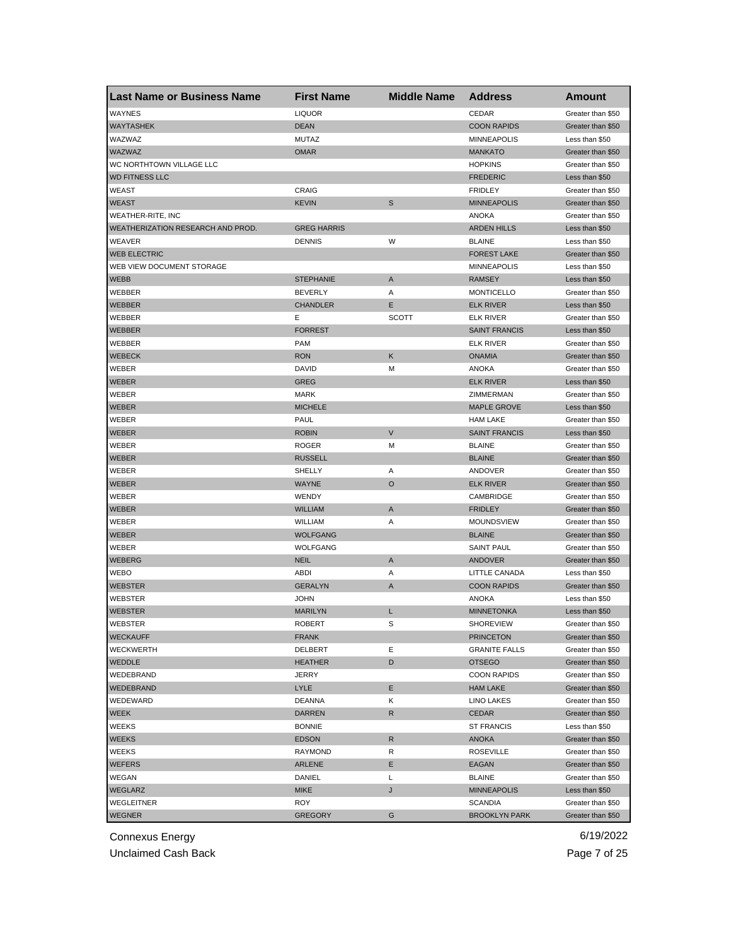| <b>Last Name or Business Name</b> | <b>First Name</b>  | <b>Middle Name</b> | <b>Address</b>       | <b>Amount</b>     |
|-----------------------------------|--------------------|--------------------|----------------------|-------------------|
| WAYNES                            | <b>LIQUOR</b>      |                    | CEDAR                | Greater than \$50 |
| <b>WAYTASHEK</b>                  | <b>DEAN</b>        |                    | <b>COON RAPIDS</b>   | Greater than \$50 |
| WAZWAZ                            | <b>MUTAZ</b>       |                    | <b>MINNEAPOLIS</b>   | Less than \$50    |
| WAZWAZ                            | <b>OMAR</b>        |                    | <b>MANKATO</b>       | Greater than \$50 |
| WC NORTHTOWN VILLAGE LLC          |                    |                    | <b>HOPKINS</b>       | Greater than \$50 |
| <b>WD FITNESS LLC</b>             |                    |                    | <b>FREDERIC</b>      | Less than \$50    |
| WEAST                             | CRAIG              |                    | <b>FRIDLEY</b>       | Greater than \$50 |
| <b>WEAST</b>                      | <b>KEVIN</b>       | S                  | <b>MINNEAPOLIS</b>   | Greater than \$50 |
| WEATHER-RITE, INC                 |                    |                    | <b>ANOKA</b>         | Greater than \$50 |
| WEATHERIZATION RESEARCH AND PROD. | <b>GREG HARRIS</b> |                    | <b>ARDEN HILLS</b>   | Less than \$50    |
| WEAVER                            | <b>DENNIS</b>      | W                  | <b>BLAINE</b>        | Less than \$50    |
| <b>WEB ELECTRIC</b>               |                    |                    | <b>FOREST LAKE</b>   | Greater than \$50 |
| WEB VIEW DOCUMENT STORAGE         |                    |                    | <b>MINNEAPOLIS</b>   | Less than \$50    |
| <b>WEBB</b>                       | <b>STEPHANIE</b>   | A                  | <b>RAMSEY</b>        | Less than \$50    |
| WEBBER                            | <b>BEVERLY</b>     | Α                  | <b>MONTICELLO</b>    | Greater than \$50 |
| <b>WEBBER</b>                     | <b>CHANDLER</b>    | Ε                  | <b>ELK RIVER</b>     | Less than \$50    |
| WEBBER                            | Е                  | <b>SCOTT</b>       | <b>ELK RIVER</b>     | Greater than \$50 |
| WEBBER                            | <b>FORREST</b>     |                    | <b>SAINT FRANCIS</b> | Less than \$50    |
| WEBBER                            | <b>PAM</b>         |                    | <b>ELK RIVER</b>     | Greater than \$50 |
| <b>WEBECK</b>                     | <b>RON</b>         | Κ                  | <b>ONAMIA</b>        | Greater than \$50 |
| WEBER                             | <b>DAVID</b>       | M                  | ANOKA                | Greater than \$50 |
| WEBER                             | <b>GREG</b>        |                    | <b>ELK RIVER</b>     | Less than \$50    |
| WEBER                             | <b>MARK</b>        |                    | ZIMMERMAN            | Greater than \$50 |
| <b>WEBER</b>                      | <b>MICHELE</b>     |                    | <b>MAPLE GROVE</b>   | Less than \$50    |
| WEBER                             | PAUL               |                    | <b>HAM LAKE</b>      | Greater than \$50 |
| WEBER                             | <b>ROBIN</b>       | $\vee$             | <b>SAINT FRANCIS</b> | Less than \$50    |
| WEBER                             | <b>ROGER</b>       | М                  | <b>BLAINE</b>        | Greater than \$50 |
| <b>WEBER</b>                      | <b>RUSSELL</b>     |                    | <b>BLAINE</b>        | Greater than \$50 |
| WEBER                             | SHELLY             | Α                  | ANDOVER              | Greater than \$50 |
| <b>WEBER</b>                      | <b>WAYNE</b>       | $\circ$            | <b>ELK RIVER</b>     | Greater than \$50 |
| WEBER                             | WENDY              |                    | CAMBRIDGE            | Greater than \$50 |
| WEBER                             | <b>WILLIAM</b>     | A                  | <b>FRIDLEY</b>       | Greater than \$50 |
| WEBER                             | WILLIAM            | Α                  | <b>MOUNDSVIEW</b>    | Greater than \$50 |
| <b>WEBER</b>                      | <b>WOLFGANG</b>    |                    | <b>BLAINE</b>        | Greater than \$50 |
| WEBER                             | <b>WOLFGANG</b>    |                    | <b>SAINT PAUL</b>    | Greater than \$50 |
| <b>WEBERG</b>                     | <b>NEIL</b>        | A                  | ANDOVER              | Greater than \$50 |
| WEBO                              | <b>ABDI</b>        | Α                  | LITTLE CANADA        | Less than \$50    |
| <b>WEBSTER</b>                    | <b>GERALYN</b>     | A                  | <b>COON RAPIDS</b>   | Greater than \$50 |
| WEBSTER                           | <b>JOHN</b>        |                    | <b>ANOKA</b>         | Less than \$50    |
| <b>WEBSTER</b>                    | <b>MARILYN</b>     | L                  | <b>MINNETONKA</b>    | Less than \$50    |
| <b>WEBSIER</b>                    | <b>ROBER I</b>     | S                  | <b>SHOREVIEW</b>     | Greater than \$50 |
| <b>WECKAUFF</b>                   | <b>FRANK</b>       |                    | <b>PRINCETON</b>     | Greater than \$50 |
| WECKWERTH                         | DELBERT            | Е                  | <b>GRANITE FALLS</b> | Greater than \$50 |
| WEDDLE                            | <b>HEATHER</b>     | D                  | <b>OTSEGO</b>        | Greater than \$50 |
| WEDEBRAND                         | JERRY              |                    | <b>COON RAPIDS</b>   | Greater than \$50 |
| <b>WEDEBRAND</b>                  | <b>LYLE</b>        | Е                  | <b>HAM LAKE</b>      | Greater than \$50 |
| WEDEWARD                          | <b>DEANNA</b>      | Κ                  | <b>LINO LAKES</b>    | Greater than \$50 |
| WEEK                              | <b>DARREN</b>      | R                  | <b>CEDAR</b>         | Greater than \$50 |
| WEEKS                             | <b>BONNIE</b>      |                    | <b>ST FRANCIS</b>    | Less than \$50    |
| <b>WEEKS</b>                      | <b>EDSON</b>       | R                  | <b>ANOKA</b>         | Greater than \$50 |
| WEEKS                             | RAYMOND            | R                  | <b>ROSEVILLE</b>     | Greater than \$50 |
| <b>WEFERS</b>                     | <b>ARLENE</b>      | Е                  | EAGAN                | Greater than \$50 |
| WEGAN                             | DANIEL             | Г                  | <b>BLAINE</b>        | Greater than \$50 |
| WEGLARZ                           | <b>MIKE</b>        | J                  | <b>MINNEAPOLIS</b>   | Less than \$50    |
| WEGLEITNER                        | ROY                |                    | <b>SCANDIA</b>       | Greater than \$50 |
| <b>WEGNER</b>                     | <b>GREGORY</b>     | G                  | <b>BROOKLYN PARK</b> | Greater than \$50 |
|                                   |                    |                    |                      |                   |

Unclaimed Cash Back **Page 7 of 25**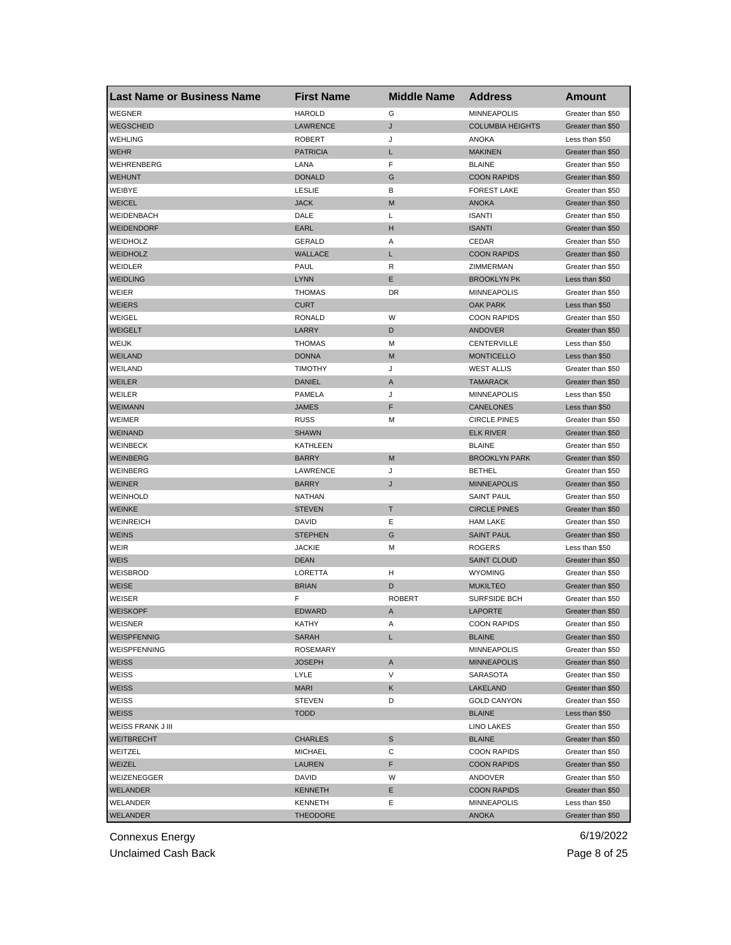| <b>Last Name or Business Name</b> | <b>First Name</b> | <b>Middle Name</b> | <b>Address</b>          | <b>Amount</b>     |
|-----------------------------------|-------------------|--------------------|-------------------------|-------------------|
| <b>WEGNER</b>                     | <b>HAROLD</b>     | G                  | <b>MINNEAPOLIS</b>      | Greater than \$50 |
| <b>WEGSCHEID</b>                  | <b>LAWRENCE</b>   | J                  | <b>COLUMBIA HEIGHTS</b> | Greater than \$50 |
| <b>WEHLING</b>                    | <b>ROBERT</b>     | J                  | <b>ANOKA</b>            | Less than \$50    |
| <b>WEHR</b>                       | <b>PATRICIA</b>   | L                  | <b>MAKINEN</b>          | Greater than \$50 |
| WEHRENBERG                        | LANA              | F                  | <b>BLAINE</b>           | Greater than \$50 |
| <b>WEHUNT</b>                     | <b>DONALD</b>     | G                  | <b>COON RAPIDS</b>      | Greater than \$50 |
| WEIBYE                            | <b>LESLIE</b>     | В                  | <b>FOREST LAKE</b>      | Greater than \$50 |
| <b>WEICEL</b>                     | <b>JACK</b>       | M                  | <b>ANOKA</b>            | Greater than \$50 |
| WEIDENBACH                        | DALE              | L                  | <b>ISANTI</b>           | Greater than \$50 |
| <b>WEIDENDORF</b>                 | <b>EARL</b>       | н                  | <b>ISANTI</b>           | Greater than \$50 |
| WEIDHOLZ                          | GERALD            | Α                  | CEDAR                   | Greater than \$50 |
| <b>WEIDHOLZ</b>                   | <b>WALLACE</b>    | L                  | <b>COON RAPIDS</b>      | Greater than \$50 |
| WEIDLER                           | PAUL              | R                  | ZIMMERMAN               | Greater than \$50 |
| <b>WEIDLING</b>                   | <b>LYNN</b>       | Ε                  | <b>BROOKLYN PK</b>      | Less than \$50    |
| WEIER                             | <b>THOMAS</b>     | DR                 | <b>MINNEAPOLIS</b>      | Greater than \$50 |
| <b>WEIERS</b>                     | <b>CURT</b>       |                    | <b>OAK PARK</b>         | Less than \$50    |
| WEIGEL                            | <b>RONALD</b>     | W                  | <b>COON RAPIDS</b>      | Greater than \$50 |
| <b>WEIGELT</b>                    | LARRY             | D                  | ANDOVER                 | Greater than \$50 |
| WEIJK                             | <b>THOMAS</b>     | М                  | CENTERVILLE             | Less than \$50    |
| WEILAND                           | <b>DONNA</b>      | M                  | <b>MONTICELLO</b>       | Less than \$50    |
| WEILAND                           | <b>TIMOTHY</b>    | J                  | <b>WEST ALLIS</b>       | Greater than \$50 |
| <b>WEILER</b>                     | <b>DANIEL</b>     | Α                  | <b>TAMARACK</b>         | Greater than \$50 |
| WEILER                            | <b>PAMELA</b>     | J                  | <b>MINNEAPOLIS</b>      | Less than \$50    |
| <b>WEIMANN</b>                    | <b>JAMES</b>      | F                  | CANELONES               | Less than \$50    |
| WEIMER                            | <b>RUSS</b>       | M                  | <b>CIRCLE PINES</b>     | Greater than \$50 |
| <b>WEINAND</b>                    | <b>SHAWN</b>      |                    | <b>ELK RIVER</b>        | Greater than \$50 |
| <b>WEINBECK</b>                   | KATHLEEN          |                    | <b>BLAINE</b>           | Greater than \$50 |
| <b>WEINBERG</b>                   | <b>BARRY</b>      | M                  | <b>BROOKLYN PARK</b>    | Greater than \$50 |
| WEINBERG                          | LAWRENCE          | J                  | <b>BETHEL</b>           | Greater than \$50 |
| <b>WEINER</b>                     | <b>BARRY</b>      | J                  | <b>MINNEAPOLIS</b>      | Greater than \$50 |
| <b>WEINHOLD</b>                   | <b>NATHAN</b>     |                    | <b>SAINT PAUL</b>       | Greater than \$50 |
| <b>WEINKE</b>                     | <b>STEVEN</b>     | т                  | <b>CIRCLE PINES</b>     | Greater than \$50 |
| <b>WEINREICH</b>                  | <b>DAVID</b>      | Ε                  | <b>HAM LAKE</b>         | Greater than \$50 |
| <b>WEINS</b>                      | <b>STEPHEN</b>    | G                  | <b>SAINT PAUL</b>       | Greater than \$50 |
| WEIR                              | <b>JACKIE</b>     | М                  | <b>ROGERS</b>           | Less than \$50    |
| <b>WEIS</b>                       | <b>DEAN</b>       |                    | <b>SAINT CLOUD</b>      | Greater than \$50 |
| WEISBROD                          | LORETTA           | н                  | <b>WYOMING</b>          | Greater than \$50 |
| <b>WEISE</b>                      | <b>BRIAN</b>      | D                  | <b>MUKILTEO</b>         | Greater than \$50 |
| WEISER                            | F                 | <b>ROBERT</b>      | <b>SURFSIDE BCH</b>     | Greater than \$50 |
| <b>WEISKOPF</b>                   | <b>EDWARD</b>     | A                  | <b>LAPORTE</b>          | Greater than \$50 |
| WEISNER                           | KAIHY             | A                  | <b>COON RAPIDS</b>      | Greater than \$50 |
| <b>WEISPFENNIG</b>                | <b>SARAH</b>      | L                  | <b>BLAINE</b>           | Greater than \$50 |
| WEISPFENNING                      | <b>ROSEMARY</b>   |                    | <b>MINNEAPOLIS</b>      | Greater than \$50 |
| <b>WEISS</b>                      | <b>JOSEPH</b>     | Α                  | <b>MINNEAPOLIS</b>      | Greater than \$50 |
| WEISS                             | LYLE              | V                  | SARASOTA                | Greater than \$50 |
| <b>WEISS</b>                      | <b>MARI</b>       | Κ                  | LAKELAND                | Greater than \$50 |
| WEISS                             | <b>STEVEN</b>     | D                  | <b>GOLD CANYON</b>      | Greater than \$50 |
| <b>WEISS</b>                      | <b>TODD</b>       |                    | <b>BLAINE</b>           | Less than \$50    |
| WEISS FRANK J III                 |                   |                    | <b>LINO LAKES</b>       | Greater than \$50 |
| <b>WEITBRECHT</b>                 | <b>CHARLES</b>    | S                  | <b>BLAINE</b>           | Greater than \$50 |
| WEITZEL                           | <b>MICHAEL</b>    | С                  | <b>COON RAPIDS</b>      | Greater than \$50 |
| WEIZEL                            | LAUREN            | F                  | <b>COON RAPIDS</b>      | Greater than \$50 |
| WEIZENEGGER                       | DAVID             | W                  | ANDOVER                 | Greater than \$50 |
| WELANDER                          | <b>KENNETH</b>    | Е                  | <b>COON RAPIDS</b>      | Greater than \$50 |
| WELANDER                          | KENNETH           | Ε                  | <b>MINNEAPOLIS</b>      | Less than \$50    |
| WELANDER                          | <b>THEODORE</b>   |                    | ANOKA                   | Greater than \$50 |

Unclaimed Cash Back **Page 8 of 25**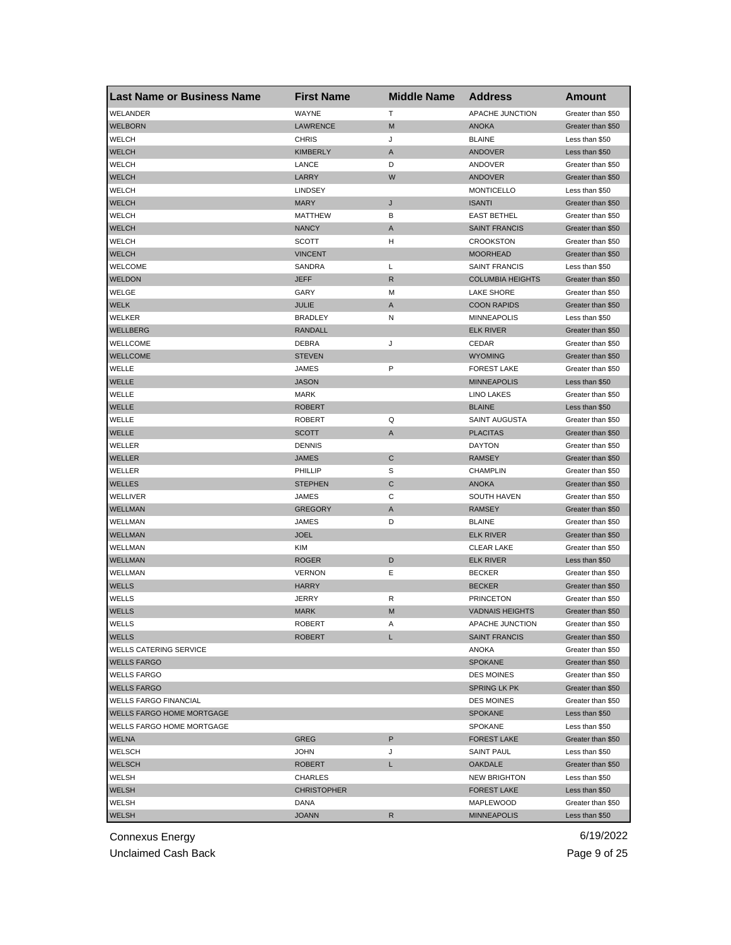| <b>Last Name or Business Name</b> | <b>First Name</b>  | <b>Middle Name</b> | <b>Address</b>          | Amount            |
|-----------------------------------|--------------------|--------------------|-------------------------|-------------------|
| WELANDER                          | WAYNE              | Т                  | APACHE JUNCTION         | Greater than \$50 |
| <b>WELBORN</b>                    | <b>LAWRENCE</b>    | M                  | <b>ANOKA</b>            | Greater than \$50 |
| WELCH                             | <b>CHRIS</b>       | J                  | <b>BLAINE</b>           | Less than \$50    |
| <b>WELCH</b>                      | <b>KIMBERLY</b>    | A                  | ANDOVER                 | Less than \$50    |
| WELCH                             | LANCE              | D                  | ANDOVER                 | Greater than \$50 |
| <b>WELCH</b>                      | LARRY              | W                  | ANDOVER                 | Greater than \$50 |
| WELCH                             | <b>LINDSEY</b>     |                    | <b>MONTICELLO</b>       | Less than \$50    |
| <b>WELCH</b>                      | <b>MARY</b>        | J                  | <b>ISANTI</b>           | Greater than \$50 |
| WELCH                             | MATTHEW            | В                  | <b>EAST BETHEL</b>      | Greater than \$50 |
| <b>WELCH</b>                      | <b>NANCY</b>       | A                  | <b>SAINT FRANCIS</b>    | Greater than \$50 |
| WELCH                             | SCOTT              | н                  | <b>CROOKSTON</b>        | Greater than \$50 |
| <b>WELCH</b>                      | <b>VINCENT</b>     |                    | <b>MOORHEAD</b>         | Greater than \$50 |
| <b>WELCOME</b>                    | SANDRA             | L                  | <b>SAINT FRANCIS</b>    | Less than \$50    |
| <b>WELDON</b>                     | JEFF               | $\mathsf{R}$       | <b>COLUMBIA HEIGHTS</b> | Greater than \$50 |
| WELGE                             | GARY               | M                  | <b>LAKE SHORE</b>       | Greater than \$50 |
| <b>WELK</b>                       | JULIE              | A                  | <b>COON RAPIDS</b>      | Greater than \$50 |
| WELKER                            | <b>BRADLEY</b>     | N                  | <b>MINNEAPOLIS</b>      | Less than \$50    |
| WELLBERG                          | RANDALL            |                    | <b>ELK RIVER</b>        | Greater than \$50 |
| <b>WELLCOME</b>                   | DEBRA              | J                  | CEDAR                   | Greater than \$50 |
| <b>WELLCOME</b>                   | <b>STEVEN</b>      |                    | <b>WYOMING</b>          | Greater than \$50 |
| WELLE                             | JAMES              | P                  | <b>FOREST LAKE</b>      | Greater than \$50 |
| <b>WELLE</b>                      | <b>JASON</b>       |                    | <b>MINNEAPOLIS</b>      | Less than \$50    |
| WELLE                             | <b>MARK</b>        |                    | <b>LINO LAKES</b>       | Greater than \$50 |
| <b>WELLE</b>                      | <b>ROBERT</b>      |                    | <b>BLAINE</b>           | Less than \$50    |
| WELLE                             | <b>ROBERT</b>      | Q                  | SAINT AUGUSTA           | Greater than \$50 |
| <b>WELLE</b>                      | <b>SCOTT</b>       | A                  | <b>PLACITAS</b>         | Greater than \$50 |
| WELLER                            | <b>DENNIS</b>      |                    | <b>DAYTON</b>           | Greater than \$50 |
| WELLER                            | <b>JAMES</b>       | $\mathsf{C}$       | <b>RAMSEY</b>           | Greater than \$50 |
| WELLER                            | PHILLIP            | S                  | <b>CHAMPLIN</b>         | Greater than \$50 |
| <b>WELLES</b>                     | <b>STEPHEN</b>     | C                  | <b>ANOKA</b>            | Greater than \$50 |
| WELLIVER                          | JAMES              | С                  | <b>SOUTH HAVEN</b>      | Greater than \$50 |
| <b>WELLMAN</b>                    | <b>GREGORY</b>     | A                  | <b>RAMSEY</b>           | Greater than \$50 |
| WELLMAN                           | JAMES              | D                  | <b>BLAINE</b>           | Greater than \$50 |
| <b>WELLMAN</b>                    | <b>JOEL</b>        |                    | <b>ELK RIVER</b>        | Greater than \$50 |
| WELLMAN                           | <b>KIM</b>         |                    | <b>CLEAR LAKE</b>       | Greater than \$50 |
| <b>WELLMAN</b>                    | <b>ROGER</b>       | D                  | <b>ELK RIVER</b>        | Less than \$50    |
| WELLMAN                           | <b>VERNON</b>      | Ε                  | <b>BECKER</b>           | Greater than \$50 |
| <b>WELLS</b>                      | <b>HARRY</b>       |                    | <b>BECKER</b>           | Greater than \$50 |
| WELLS                             | JERRY              | R                  | <b>PRINCETON</b>        | Greater than \$50 |
| <b>WELLS</b>                      | <b>MARK</b>        | M                  | <b>VADNAIS HEIGHTS</b>  | Greater than \$50 |
| WELLS                             | ROBERT             | A                  | APACHE JUNCTION         | Greater than \$50 |
| <b>WELLS</b>                      | <b>ROBERT</b>      | L                  | <b>SAINT FRANCIS</b>    | Greater than \$50 |
| <b>WELLS CATERING SERVICE</b>     |                    |                    | ANOKA                   | Greater than \$50 |
| <b>WELLS FARGO</b>                |                    |                    | <b>SPOKANE</b>          | Greater than \$50 |
| <b>WELLS FARGO</b>                |                    |                    | <b>DES MOINES</b>       | Greater than \$50 |
| <b>WELLS FARGO</b>                |                    |                    | <b>SPRING LK PK</b>     | Greater than \$50 |
| <b>WELLS FARGO FINANCIAL</b>      |                    |                    | <b>DES MOINES</b>       | Greater than \$50 |
| <b>WELLS FARGO HOME MORTGAGE</b>  |                    |                    | <b>SPOKANE</b>          | Less than \$50    |
| <b>WELLS FARGO HOME MORTGAGE</b>  |                    |                    | <b>SPOKANE</b>          | Less than \$50    |
| WELNA                             | <b>GREG</b>        | P                  | <b>FOREST LAKE</b>      | Greater than \$50 |
| WELSCH                            | <b>JOHN</b>        | J                  | <b>SAINT PAUL</b>       | Less than \$50    |
| <b>WELSCH</b>                     | <b>ROBERT</b>      | L                  | <b>OAKDALE</b>          | Greater than \$50 |
| WELSH                             | CHARLES            |                    | <b>NEW BRIGHTON</b>     | Less than \$50    |
|                                   | <b>CHRISTOPHER</b> |                    | <b>FOREST LAKE</b>      | Less than \$50    |
| WELSH<br>WELSH                    | DANA               |                    | MAPLEWOOD               | Greater than \$50 |
| <b>WELSH</b>                      | <b>JOANN</b>       | R                  | <b>MINNEAPOLIS</b>      |                   |
|                                   |                    |                    |                         | Less than \$50    |

Unclaimed Cash Back **Page 9 of 25**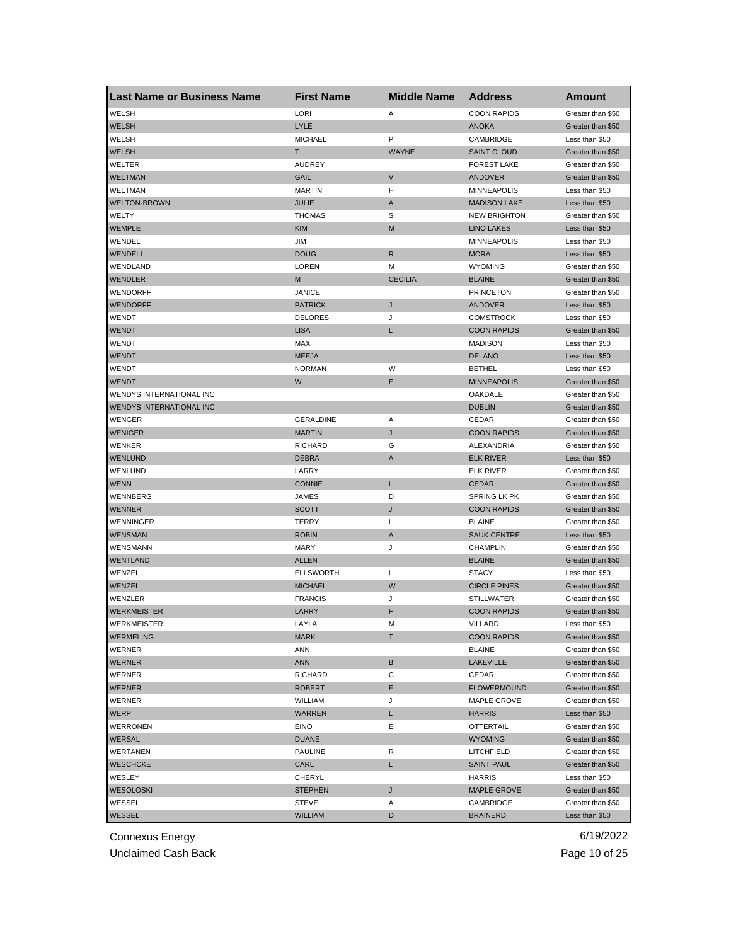| Last Name or Business Name | <b>First Name</b> | <b>Middle Name</b> | <b>Address</b>      | <b>Amount</b>     |
|----------------------------|-------------------|--------------------|---------------------|-------------------|
| WELSH                      | LORI              | Α                  | <b>COON RAPIDS</b>  | Greater than \$50 |
| <b>WELSH</b>               | <b>LYLE</b>       |                    | <b>ANOKA</b>        | Greater than \$50 |
| WELSH                      | <b>MICHAEL</b>    | P                  | CAMBRIDGE           | Less than \$50    |
| <b>WELSH</b>               | T                 | <b>WAYNE</b>       | <b>SAINT CLOUD</b>  | Greater than \$50 |
| <b>WELTER</b>              | <b>AUDREY</b>     |                    | <b>FOREST LAKE</b>  | Greater than \$50 |
| <b>WELTMAN</b>             | GAIL              | V                  | ANDOVER             | Greater than \$50 |
| WELTMAN                    | <b>MARTIN</b>     | H                  | <b>MINNEAPOLIS</b>  | Less than \$50    |
| <b>WELTON-BROWN</b>        | <b>JULIE</b>      | A                  | <b>MADISON LAKE</b> | Less than \$50    |
| WELTY                      | <b>THOMAS</b>     | S                  | <b>NEW BRIGHTON</b> | Greater than \$50 |
| <b>WEMPLE</b>              | <b>KIM</b>        | M                  | <b>LINO LAKES</b>   | Less than \$50    |
| WENDEL                     | JIM               |                    | <b>MINNEAPOLIS</b>  | Less than \$50    |
| WENDELL                    | <b>DOUG</b>       | R                  | <b>MORA</b>         | Less than \$50    |
| WENDLAND                   | LOREN             | М                  | <b>WYOMING</b>      | Greater than \$50 |
| <b>WENDLER</b>             | M                 | <b>CECILIA</b>     | <b>BLAINE</b>       | Greater than \$50 |
| WENDORFF                   | <b>JANICE</b>     |                    | <b>PRINCETON</b>    | Greater than \$50 |
| WENDORFF                   | <b>PATRICK</b>    | J                  | <b>ANDOVER</b>      | Less than \$50    |
| WENDT                      | <b>DELORES</b>    | J                  | <b>COMSTROCK</b>    | Less than \$50    |
| <b>WENDT</b>               | <b>LISA</b>       | L                  | <b>COON RAPIDS</b>  | Greater than \$50 |
| <b>WENDT</b>               | MAX               |                    | <b>MADISON</b>      | Less than \$50    |
| <b>WENDT</b>               | <b>MEEJA</b>      |                    | <b>DELANO</b>       | Less than \$50    |
| WENDT                      | <b>NORMAN</b>     | W                  | <b>BETHEL</b>       | Less than \$50    |
| <b>WENDT</b>               | W                 | Ε                  | <b>MINNEAPOLIS</b>  | Greater than \$50 |
| WENDYS INTERNATIONAL INC   |                   |                    | OAKDALE             | Greater than \$50 |
| WENDYS INTERNATIONAL INC   |                   |                    | <b>DUBLIN</b>       | Greater than \$50 |
| WENGER                     | <b>GERALDINE</b>  | Α                  | CEDAR               | Greater than \$50 |
| <b>WENIGER</b>             | <b>MARTIN</b>     | J                  | <b>COON RAPIDS</b>  | Greater than \$50 |
| WENKER                     | <b>RICHARD</b>    | G                  | ALEXANDRIA          | Greater than \$50 |
| <b>WENLUND</b>             | <b>DEBRA</b>      | A                  | <b>ELK RIVER</b>    | Less than \$50    |
| WENLUND                    | LARRY             |                    | <b>ELK RIVER</b>    | Greater than \$50 |
| <b>WENN</b>                | <b>CONNIE</b>     | Г                  | <b>CEDAR</b>        | Greater than \$50 |
| WENNBERG                   | JAMES             | D                  | <b>SPRING LK PK</b> | Greater than \$50 |
| <b>WENNER</b>              | <b>SCOTT</b>      | J                  | <b>COON RAPIDS</b>  | Greater than \$50 |
| WENNINGER                  | TERRY             | Г                  | <b>BLAINE</b>       | Greater than \$50 |
| <b>WENSMAN</b>             | <b>ROBIN</b>      | A                  | <b>SAUK CENTRE</b>  | Less than \$50    |
| <b>WENSMANN</b>            | <b>MARY</b>       | J                  | <b>CHAMPLIN</b>     | Greater than \$50 |
| WENTLAND                   | <b>ALLEN</b>      |                    | <b>BLAINE</b>       | Greater than \$50 |
| WENZEL                     | <b>ELLSWORTH</b>  | Г                  | <b>STACY</b>        | Less than \$50    |
| WENZEL                     | <b>MICHAEL</b>    | W                  | <b>CIRCLE PINES</b> | Greater than \$50 |
| WENZLER                    | <b>FRANCIS</b>    | J                  | <b>STILLWATER</b>   | Greater than \$50 |
| <b>WERKMEISTER</b>         | LARRY             | F                  | <b>COON RAPIDS</b>  | Greater than \$50 |
| WERKMEISTER                | LAYLA             | M                  | VILLARD             | Less than \$50    |
| <b>WERMELING</b>           | <b>MARK</b>       | т                  | <b>COON RAPIDS</b>  | Greater than \$50 |
| WERNER                     | ANN               |                    | <b>BLAINE</b>       | Greater than \$50 |
| <b>WERNER</b>              | <b>ANN</b>        | В                  | <b>LAKEVILLE</b>    | Greater than \$50 |
| WERNER                     | <b>RICHARD</b>    | С                  | CEDAR               | Greater than \$50 |
| <b>WERNER</b>              | <b>ROBERT</b>     | Е                  | <b>FLOWERMOUND</b>  | Greater than \$50 |
| WERNER                     | WILLIAM           | J                  | MAPLE GROVE         | Greater than \$50 |
| <b>WERP</b>                | <b>WARREN</b>     | L                  | <b>HARRIS</b>       | Less than \$50    |
| WERRONEN                   | EINO              | Ε                  | <b>OTTERTAIL</b>    | Greater than \$50 |
| <b>WERSAL</b>              | <b>DUANE</b>      |                    | <b>WYOMING</b>      | Greater than \$50 |
| WERTANEN                   | <b>PAULINE</b>    | R                  | <b>LITCHFIELD</b>   | Greater than \$50 |
| <b>WESCHCKE</b>            | CARL              | L                  | <b>SAINT PAUL</b>   | Greater than \$50 |
| WESLEY                     | CHERYL            |                    | HARRIS              | Less than \$50    |
| <b>WESOLOSKI</b>           | <b>STEPHEN</b>    | J                  | <b>MAPLE GROVE</b>  | Greater than \$50 |
| WESSEL                     | STEVE             | Α                  | CAMBRIDGE           | Greater than \$50 |
| WESSEL                     | <b>WILLIAM</b>    | D                  | <b>BRAINERD</b>     | Less than \$50    |
|                            |                   |                    |                     |                   |

Unclaimed Cash Back **Page 10 of 25**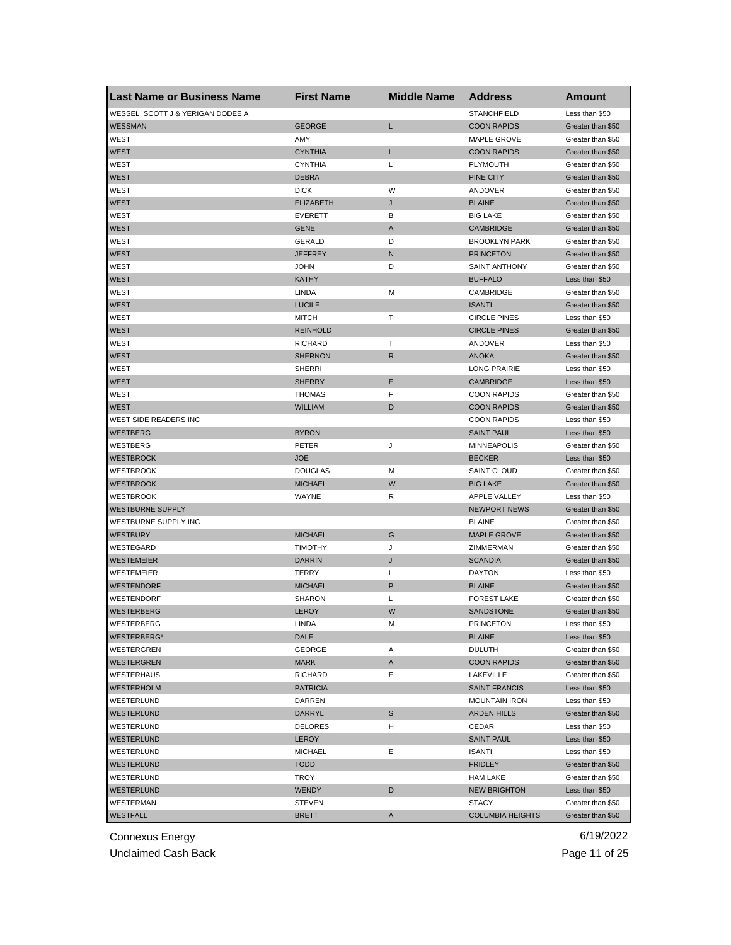| Last Name or Business Name       | <b>First Name</b> | <b>Middle Name</b> | <b>Address</b>          | Amount            |
|----------------------------------|-------------------|--------------------|-------------------------|-------------------|
| WESSEL SCOTT J & YERIGAN DODEE A |                   |                    | <b>STANCHFIELD</b>      | Less than \$50    |
| <b>WESSMAN</b>                   | <b>GEORGE</b>     | Г                  | <b>COON RAPIDS</b>      | Greater than \$50 |
| WEST                             | AMY               |                    | <b>MAPLE GROVE</b>      | Greater than \$50 |
| <b>WEST</b>                      | <b>CYNTHIA</b>    | L                  | <b>COON RAPIDS</b>      | Greater than \$50 |
| WEST                             | <b>CYNTHIA</b>    | Г                  | PLYMOUTH                | Greater than \$50 |
| <b>WEST</b>                      | <b>DEBRA</b>      |                    | <b>PINE CITY</b>        | Greater than \$50 |
| WEST                             | <b>DICK</b>       | W                  | ANDOVER                 | Greater than \$50 |
| <b>WEST</b>                      | <b>ELIZABETH</b>  | J                  | <b>BLAINE</b>           | Greater than \$50 |
| WEST                             | <b>EVERETT</b>    | В                  | <b>BIG LAKE</b>         | Greater than \$50 |
| <b>WEST</b>                      | <b>GENE</b>       | A                  | <b>CAMBRIDGE</b>        | Greater than \$50 |
| WEST                             | <b>GERALD</b>     | D                  | <b>BROOKLYN PARK</b>    | Greater than \$50 |
| <b>WEST</b>                      | <b>JEFFREY</b>    | N                  | <b>PRINCETON</b>        | Greater than \$50 |
| WEST                             | <b>JOHN</b>       | D                  | <b>SAINT ANTHONY</b>    | Greater than \$50 |
| <b>WEST</b>                      | <b>KATHY</b>      |                    | <b>BUFFALO</b>          | Less than \$50    |
| WEST                             | LINDA             | М                  | CAMBRIDGE               | Greater than \$50 |
| <b>WEST</b>                      | <b>LUCILE</b>     |                    | <b>ISANTI</b>           | Greater than \$50 |
| WEST                             | <b>MITCH</b>      | т                  | <b>CIRCLE PINES</b>     | Less than \$50    |
|                                  |                   |                    |                         |                   |
| <b>WEST</b>                      | <b>REINHOLD</b>   |                    | <b>CIRCLE PINES</b>     | Greater than \$50 |
| WEST                             | <b>RICHARD</b>    | т                  | ANDOVER                 | Less than \$50    |
| <b>WEST</b>                      | <b>SHERNON</b>    | R                  | <b>ANOKA</b>            | Greater than \$50 |
| WEST                             | <b>SHERRI</b>     |                    | <b>LONG PRAIRIE</b>     | Less than \$50    |
| <b>WEST</b>                      | <b>SHERRY</b>     | Е.                 | <b>CAMBRIDGE</b>        | Less than \$50    |
| WEST                             | <b>THOMAS</b>     | F                  | <b>COON RAPIDS</b>      | Greater than \$50 |
| <b>WEST</b>                      | <b>WILLIAM</b>    | D                  | <b>COON RAPIDS</b>      | Greater than \$50 |
| WEST SIDE READERS INC            |                   |                    | <b>COON RAPIDS</b>      | Less than \$50    |
| <b>WESTBERG</b>                  | <b>BYRON</b>      |                    | <b>SAINT PAUL</b>       | Less than \$50    |
| WESTBERG                         | PETER             | J                  | <b>MINNEAPOLIS</b>      | Greater than \$50 |
| <b>WESTBROCK</b>                 | <b>JOE</b>        |                    | <b>BECKER</b>           | Less than \$50    |
| <b>WESTBROOK</b>                 | <b>DOUGLAS</b>    | м                  | <b>SAINT CLOUD</b>      | Greater than \$50 |
| <b>WESTBROOK</b>                 | <b>MICHAEL</b>    | W                  | <b>BIG LAKE</b>         | Greater than \$50 |
| <b>WESTBROOK</b>                 | WAYNE             | R                  | APPLE VALLEY            | Less than \$50    |
| <b>WESTBURNE SUPPLY</b>          |                   |                    | <b>NEWPORT NEWS</b>     | Greater than \$50 |
| WESTBURNE SUPPLY INC             |                   |                    | <b>BLAINE</b>           | Greater than \$50 |
| <b>WESTBURY</b>                  | <b>MICHAEL</b>    | G                  | <b>MAPLE GROVE</b>      | Greater than \$50 |
| WESTEGARD                        | <b>TIMOTHY</b>    | J                  | ZIMMERMAN               | Greater than \$50 |
| <b>WESTEMEIER</b>                | <b>DARRIN</b>     | J                  | <b>SCANDIA</b>          | Greater than \$50 |
| WESTEMEIER                       | TERRY             | L                  | <b>DAYTON</b>           | Less than \$50    |
| <b>WESTENDORF</b>                | <b>MICHAEL</b>    | P                  | <b>BLAINE</b>           | Greater than \$50 |
| WESTENDORF                       | <b>SHARON</b>     | L                  | <b>FOREST LAKE</b>      | Greater than \$50 |
| WESTERBERG                       | <b>LEROY</b>      | W                  | SANDSTONE               | Greater than \$50 |
| WESTERBERG                       | LINDA             | М                  | <b>PRINCETON</b>        | Less than \$50    |
| WESTERBERG*                      | DALE              |                    | <b>BLAINE</b>           | Less than \$50    |
| <b>WESTERGREN</b>                | <b>GEORGE</b>     | Α                  | <b>DULUTH</b>           | Greater than \$50 |
| <b>WESTERGREN</b>                | <b>MARK</b>       | A                  | <b>COON RAPIDS</b>      | Greater than \$50 |
| WESTERHAUS                       | <b>RICHARD</b>    | Ε                  | LAKEVILLE               | Greater than \$50 |
| <b>WESTERHOLM</b>                | <b>PATRICIA</b>   |                    | <b>SAINT FRANCIS</b>    | Less than \$50    |
| WESTERLUND                       | DARREN            |                    | <b>MOUNTAIN IRON</b>    | Less than \$50    |
|                                  | DARRYL            |                    |                         |                   |
| <b>WESTERLUND</b>                |                   | S                  | <b>ARDEN HILLS</b>      | Greater than \$50 |
| WESTERLUND                       | <b>DELORES</b>    | H                  | CEDAR                   | Less than \$50    |
| <b>WESTERLUND</b>                | <b>LEROY</b>      |                    | <b>SAINT PAUL</b>       | Less than \$50    |
| WESTERLUND                       | <b>MICHAEL</b>    | Е                  | ISANTI                  | Less than \$50    |
| <b>WESTERLUND</b>                | <b>TODD</b>       |                    | <b>FRIDLEY</b>          | Greater than \$50 |
| WESTERLUND                       | TROY              |                    | HAM LAKE                | Greater than \$50 |
| WESTERLUND                       | <b>WENDY</b>      | D                  | <b>NEW BRIGHTON</b>     | Less than \$50    |
| WESTERMAN                        | <b>STEVEN</b>     |                    | <b>STACY</b>            | Greater than \$50 |
| <b>WESTFALL</b>                  | <b>BRETT</b>      | A                  | <b>COLUMBIA HEIGHTS</b> | Greater than \$50 |

Unclaimed Cash Back **Page 11 of 25**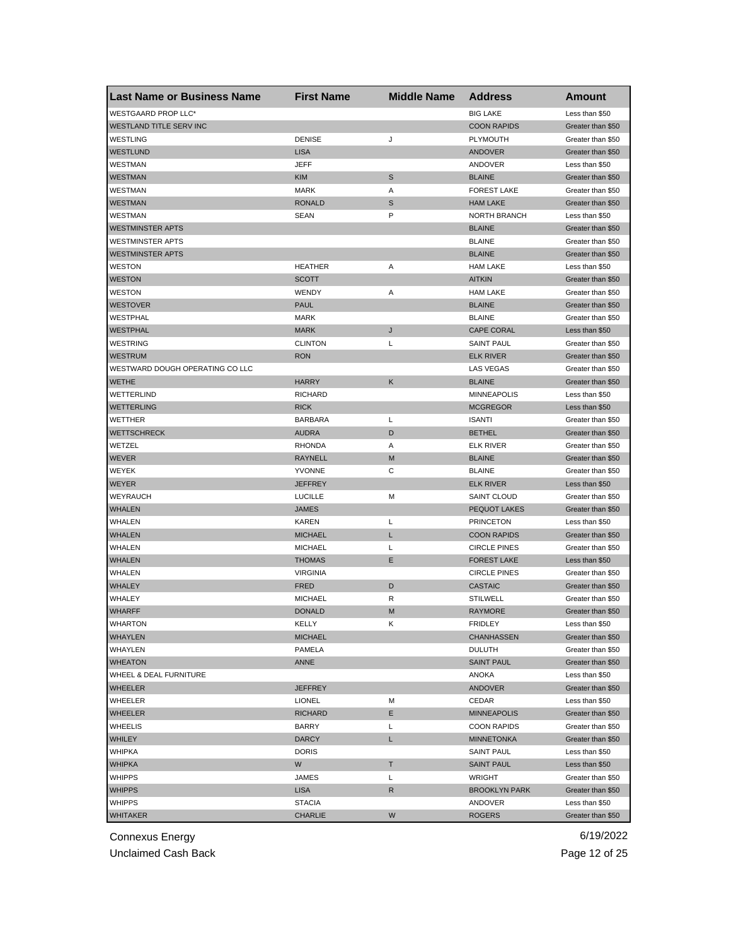| <b>Last Name or Business Name</b> | <b>First Name</b> | <b>Middle Name</b> | <b>Address</b>       | Amount            |
|-----------------------------------|-------------------|--------------------|----------------------|-------------------|
| <b>WESTGAARD PROP LLC*</b>        |                   |                    | <b>BIG LAKE</b>      | Less than \$50    |
| <b>WESTLAND TITLE SERV INC</b>    |                   |                    | <b>COON RAPIDS</b>   | Greater than \$50 |
| <b>WESTLING</b>                   | <b>DENISE</b>     | J                  | PLYMOUTH             | Greater than \$50 |
| <b>WESTLUND</b>                   | <b>LISA</b>       |                    | <b>ANDOVER</b>       | Greater than \$50 |
| WESTMAN                           | <b>JEFF</b>       |                    | ANDOVER              | Less than \$50    |
| <b>WESTMAN</b>                    | <b>KIM</b>        | S                  | <b>BLAINE</b>        | Greater than \$50 |
| WESTMAN                           | <b>MARK</b>       | Α                  | <b>FOREST LAKE</b>   | Greater than \$50 |
| <b>WESTMAN</b>                    | <b>RONALD</b>     | S                  | <b>HAM LAKE</b>      | Greater than \$50 |
| WESTMAN                           | SEAN              | P                  | <b>NORTH BRANCH</b>  | Less than \$50    |
| <b>WESTMINSTER APTS</b>           |                   |                    | <b>BLAINE</b>        | Greater than \$50 |
| <b>WESTMINSTER APTS</b>           |                   |                    | <b>BLAINE</b>        | Greater than \$50 |
| <b>WESTMINSTER APTS</b>           |                   |                    | <b>BLAINE</b>        | Greater than \$50 |
| <b>WESTON</b>                     | <b>HEATHER</b>    | Α                  | <b>HAM LAKE</b>      | Less than \$50    |
| <b>WESTON</b>                     | <b>SCOTT</b>      |                    | <b>AITKIN</b>        | Greater than \$50 |
| <b>WESTON</b>                     | WENDY             | Α                  | <b>HAM LAKE</b>      | Greater than \$50 |
| <b>WESTOVER</b>                   | <b>PAUL</b>       |                    | <b>BLAINE</b>        | Greater than \$50 |
| WESTPHAL                          | <b>MARK</b>       |                    | <b>BLAINE</b>        | Greater than \$50 |
| <b>WESTPHAL</b>                   | <b>MARK</b>       | J                  | <b>CAPE CORAL</b>    | Less than \$50    |
| WESTRING                          | <b>CLINTON</b>    | Г                  | <b>SAINT PAUL</b>    | Greater than \$50 |
| <b>WESTRUM</b>                    | <b>RON</b>        |                    | <b>ELK RIVER</b>     | Greater than \$50 |
| WESTWARD DOUGH OPERATING CO LLC   |                   |                    | <b>LAS VEGAS</b>     | Greater than \$50 |
| <b>WETHE</b>                      | <b>HARRY</b>      | Κ                  | <b>BLAINE</b>        | Greater than \$50 |
| WETTERLIND                        | <b>RICHARD</b>    |                    | <b>MINNEAPOLIS</b>   | Less than \$50    |
| <b>WETTERLING</b>                 | <b>RICK</b>       |                    | <b>MCGREGOR</b>      | Less than \$50    |
| WETTHER                           | <b>BARBARA</b>    | L                  | <b>ISANTI</b>        | Greater than \$50 |
| <b>WETTSCHRECK</b>                | <b>AUDRA</b>      | D                  | <b>BETHEL</b>        | Greater than \$50 |
| WETZEL                            | <b>RHONDA</b>     | Α                  | <b>ELK RIVER</b>     | Greater than \$50 |
|                                   |                   | M                  |                      |                   |
| <b>WEVER</b>                      | RAYNELL           | С                  | <b>BLAINE</b>        | Greater than \$50 |
| <b>WEYEK</b>                      | <b>YVONNE</b>     |                    | <b>BLAINE</b>        | Greater than \$50 |
| <b>WEYER</b>                      | <b>JEFFREY</b>    |                    | <b>ELK RIVER</b>     | Less than \$50    |
| WEYRAUCH                          | <b>LUCILLE</b>    | M                  | <b>SAINT CLOUD</b>   | Greater than \$50 |
| <b>WHALEN</b>                     | <b>JAMES</b>      |                    | <b>PEQUOT LAKES</b>  | Greater than \$50 |
| WHALEN                            | <b>KAREN</b>      | L                  | <b>PRINCETON</b>     | Less than \$50    |
| <b>WHALEN</b>                     | <b>MICHAEL</b>    | L                  | <b>COON RAPIDS</b>   | Greater than \$50 |
| <b>WHALEN</b>                     | <b>MICHAEL</b>    | Г                  | <b>CIRCLE PINES</b>  | Greater than \$50 |
| <b>WHALEN</b>                     | <b>THOMAS</b>     | Ε                  | <b>FOREST LAKE</b>   | Less than \$50    |
| WHALEN                            | <b>VIRGINIA</b>   |                    | <b>CIRCLE PINES</b>  | Greater than \$50 |
| <b>WHALEY</b>                     | <b>FRED</b>       | D                  | <b>CASTAIC</b>       | Greater than \$50 |
| WHALEY                            | <b>MICHAEL</b>    | R                  | <b>STILWELL</b>      | Greater than \$50 |
| <b>WHARFF</b>                     | <b>DONALD</b>     | M                  | <b>RAYMORE</b>       | Greater than \$50 |
| WHARTON                           | KELLY             | κ                  | <b>FRIDLEY</b>       | Less than \$50    |
| <b>WHAYLEN</b>                    | <b>MICHAEL</b>    |                    | CHANHASSEN           | Greater than \$50 |
| WHAYLEN                           | PAMELA            |                    | <b>DULUTH</b>        | Greater than \$50 |
| <b>WHEATON</b>                    | ANNE              |                    | <b>SAINT PAUL</b>    | Greater than \$50 |
| WHEEL & DEAL FURNITURE            |                   |                    | ANOKA                | Less than \$50    |
| <b>WHEELER</b>                    | <b>JEFFREY</b>    |                    | <b>ANDOVER</b>       | Greater than \$50 |
| WHEELER                           | <b>LIONEL</b>     | М                  | CEDAR                | Less than \$50    |
| <b>WHEELER</b>                    | <b>RICHARD</b>    | E.                 | <b>MINNEAPOLIS</b>   | Greater than \$50 |
| <b>WHEELIS</b>                    | <b>BARRY</b>      | Г                  | <b>COON RAPIDS</b>   | Greater than \$50 |
| <b>WHILEY</b>                     | <b>DARCY</b>      | L                  | <b>MINNETONKA</b>    | Greater than \$50 |
| <b>WHIPKA</b>                     | <b>DORIS</b>      |                    | <b>SAINT PAUL</b>    | Less than \$50    |
| <b>WHIPKA</b>                     | W                 | Τ                  | <b>SAINT PAUL</b>    | Less than \$50    |
| <b>WHIPPS</b>                     | JAMES             | Г                  | WRIGHT               | Greater than \$50 |
| <b>WHIPPS</b>                     | <b>LISA</b>       | R                  | <b>BROOKLYN PARK</b> | Greater than \$50 |
| <b>WHIPPS</b>                     | <b>STACIA</b>     |                    | ANDOVER              | Less than \$50    |
| <b>WHITAKER</b>                   | <b>CHARLIE</b>    | W                  | <b>ROGERS</b>        | Greater than \$50 |

Unclaimed Cash Back **Page 12 of 25**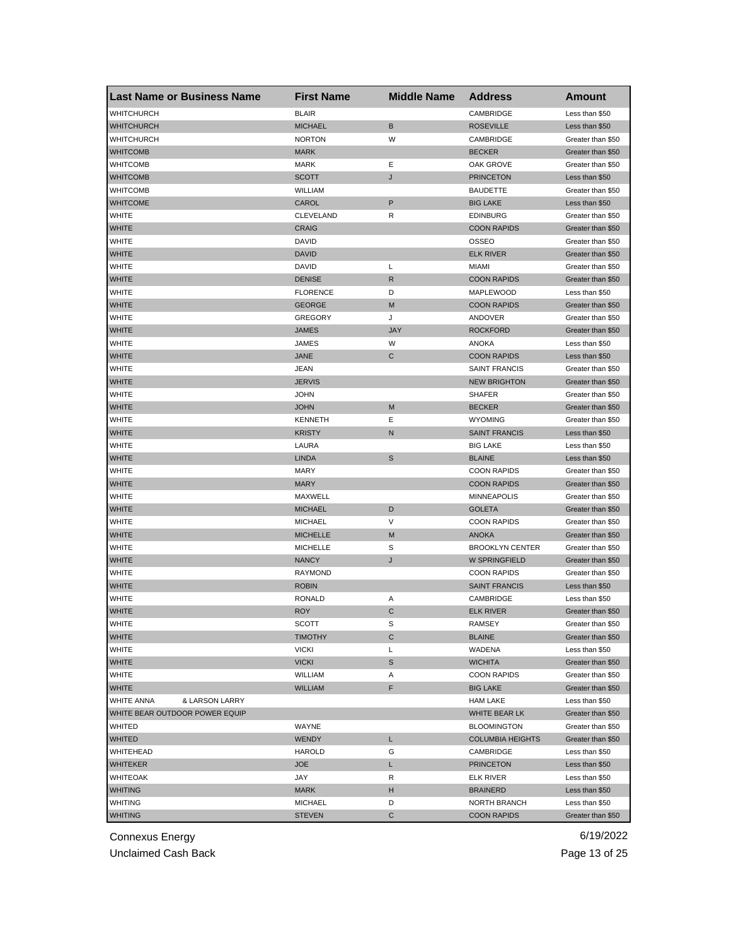| <b>Last Name or Business Name</b>   | <b>First Name</b> | <b>Middle Name</b> | <b>Address</b>          | <b>Amount</b>     |
|-------------------------------------|-------------------|--------------------|-------------------------|-------------------|
| <b>WHITCHURCH</b>                   | <b>BLAIR</b>      |                    | CAMBRIDGE               | Less than \$50    |
| <b>WHITCHURCH</b>                   | <b>MICHAEL</b>    | В                  | <b>ROSEVILLE</b>        | Less than \$50    |
| WHITCHURCH                          | <b>NORTON</b>     | W                  | CAMBRIDGE               | Greater than \$50 |
| <b>WHITCOMB</b>                     | <b>MARK</b>       |                    | <b>BECKER</b>           | Greater than \$50 |
| <b>WHITCOMB</b>                     | <b>MARK</b>       | Ε                  | OAK GROVE               | Greater than \$50 |
| <b>WHITCOMB</b>                     | <b>SCOTT</b>      | J                  | <b>PRINCETON</b>        | Less than \$50    |
| WHITCOMB                            | <b>WILLIAM</b>    |                    | <b>BAUDETTE</b>         | Greater than \$50 |
| <b>WHITCOME</b>                     | CAROL             | P                  | <b>BIG LAKE</b>         | Less than \$50    |
| WHITE                               | CLEVELAND         | R                  | <b>EDINBURG</b>         | Greater than \$50 |
| <b>WHITE</b>                        | <b>CRAIG</b>      |                    | <b>COON RAPIDS</b>      | Greater than \$50 |
| <b>WHITE</b>                        | DAVID             |                    | <b>OSSEO</b>            | Greater than \$50 |
| <b>WHITE</b>                        | <b>DAVID</b>      |                    | <b>ELK RIVER</b>        | Greater than \$50 |
| WHITE                               | <b>DAVID</b>      | L                  | MIAMI                   | Greater than \$50 |
| <b>WHITE</b>                        | <b>DENISE</b>     | R                  | <b>COON RAPIDS</b>      | Greater than \$50 |
| <b>WHITE</b>                        | <b>FLORENCE</b>   | D                  | MAPLEWOOD               | Less than \$50    |
| <b>WHITE</b>                        | <b>GEORGE</b>     | М                  | <b>COON RAPIDS</b>      | Greater than \$50 |
| <b>WHITE</b>                        | <b>GREGORY</b>    | J                  | ANDOVER                 | Greater than \$50 |
| <b>WHITE</b>                        | <b>JAMES</b>      | <b>JAY</b>         | <b>ROCKFORD</b>         | Greater than \$50 |
| <b>WHITE</b>                        | JAMES             | W                  | ANOKA                   | Less than \$50    |
| <b>WHITE</b>                        | <b>JANE</b>       | С                  | <b>COON RAPIDS</b>      | Less than \$50    |
| WHITE                               | JEAN              |                    | <b>SAINT FRANCIS</b>    | Greater than \$50 |
| <b>WHITE</b>                        | <b>JERVIS</b>     |                    | <b>NEW BRIGHTON</b>     | Greater than \$50 |
| WHITE                               | <b>JOHN</b>       |                    | <b>SHAFER</b>           | Greater than \$50 |
| <b>WHITE</b>                        | <b>JOHN</b>       | М                  | <b>BECKER</b>           | Greater than \$50 |
| <b>WHITE</b>                        | <b>KENNETH</b>    | Ε                  | <b>WYOMING</b>          | Greater than \$50 |
| <b>WHITE</b>                        | <b>KRISTY</b>     | N                  | <b>SAINT FRANCIS</b>    | Less than \$50    |
| WHITE                               | LAURA             |                    | <b>BIG LAKE</b>         | Less than \$50    |
| <b>WHITE</b>                        | <b>LINDA</b>      | S                  | <b>BLAINE</b>           | Less than \$50    |
| WHITE                               | <b>MARY</b>       |                    | <b>COON RAPIDS</b>      | Greater than \$50 |
| <b>WHITE</b>                        | <b>MARY</b>       |                    | <b>COON RAPIDS</b>      | Greater than \$50 |
| <b>WHITE</b>                        | MAXWELL           |                    | <b>MINNEAPOLIS</b>      | Greater than \$50 |
| <b>WHITE</b>                        | <b>MICHAEL</b>    | D                  | <b>GOLETA</b>           | Greater than \$50 |
| <b>WHITE</b>                        | <b>MICHAEL</b>    | V                  | <b>COON RAPIDS</b>      | Greater than \$50 |
| <b>WHITE</b>                        | <b>MICHELLE</b>   | М                  | <b>ANOKA</b>            | Greater than \$50 |
| WHITE                               | <b>MICHELLE</b>   | S                  | <b>BROOKLYN CENTER</b>  | Greater than \$50 |
| <b>WHITE</b>                        | <b>NANCY</b>      | J                  | W SPRINGFIELD           | Greater than \$50 |
| WHITE                               | <b>RAYMOND</b>    |                    | <b>COON RAPIDS</b>      | Greater than \$50 |
| <b>WHITE</b>                        | <b>ROBIN</b>      |                    | <b>SAINT FRANCIS</b>    | Less than \$50    |
| <b>WHITE</b>                        | <b>RONALD</b>     | Α                  | CAMBRIDGE               | Less than \$50    |
| <b>WHITE</b>                        | <b>ROY</b>        | С                  | <b>ELK RIVER</b>        | Greater than \$50 |
| WHITE                               | SCOTT             | s                  | RAMSEY                  | Greater than \$50 |
| <b>WHITE</b>                        | <b>TIMOTHY</b>    | С                  | <b>BLAINE</b>           | Greater than \$50 |
| <b>WHITE</b>                        | <b>VICKI</b>      | L                  | WADENA                  | Less than \$50    |
| <b>WHITE</b>                        | <b>VICKI</b>      | S                  | WICHITA                 | Greater than \$50 |
| WHITE                               | WILLIAM           | Α                  | <b>COON RAPIDS</b>      | Greater than \$50 |
| <b>WHITE</b>                        | <b>WILLIAM</b>    | F                  | <b>BIG LAKE</b>         | Greater than \$50 |
| <b>WHITE ANNA</b><br>& LARSON LARRY |                   |                    | <b>HAM LAKE</b>         | Less than \$50    |
| WHITE BEAR OUTDOOR POWER EQUIP      |                   |                    | WHITE BEAR LK           | Greater than \$50 |
| WHITED                              | WAYNE             |                    | <b>BLOOMINGTON</b>      | Greater than \$50 |
| <b>WHITED</b>                       | <b>WENDY</b>      | L                  | <b>COLUMBIA HEIGHTS</b> | Greater than \$50 |
| WHITEHEAD                           | <b>HAROLD</b>     | G                  | CAMBRIDGE               | Less than \$50    |
| <b>WHITEKER</b>                     | <b>JOE</b>        | L                  | <b>PRINCETON</b>        | Less than \$50    |
| WHITEOAK                            | JAY               | R                  | ELK RIVER               | Less than \$50    |
| <b>WHITING</b>                      | <b>MARK</b>       | H                  | <b>BRAINERD</b>         | Less than \$50    |
| <b>WHITING</b>                      | <b>MICHAEL</b>    | D                  | NORTH BRANCH            | Less than \$50    |
| <b>WHITING</b>                      | <b>STEVEN</b>     | С                  | <b>COON RAPIDS</b>      | Greater than \$50 |
|                                     |                   |                    |                         |                   |

Unclaimed Cash Back **Page 13 of 25**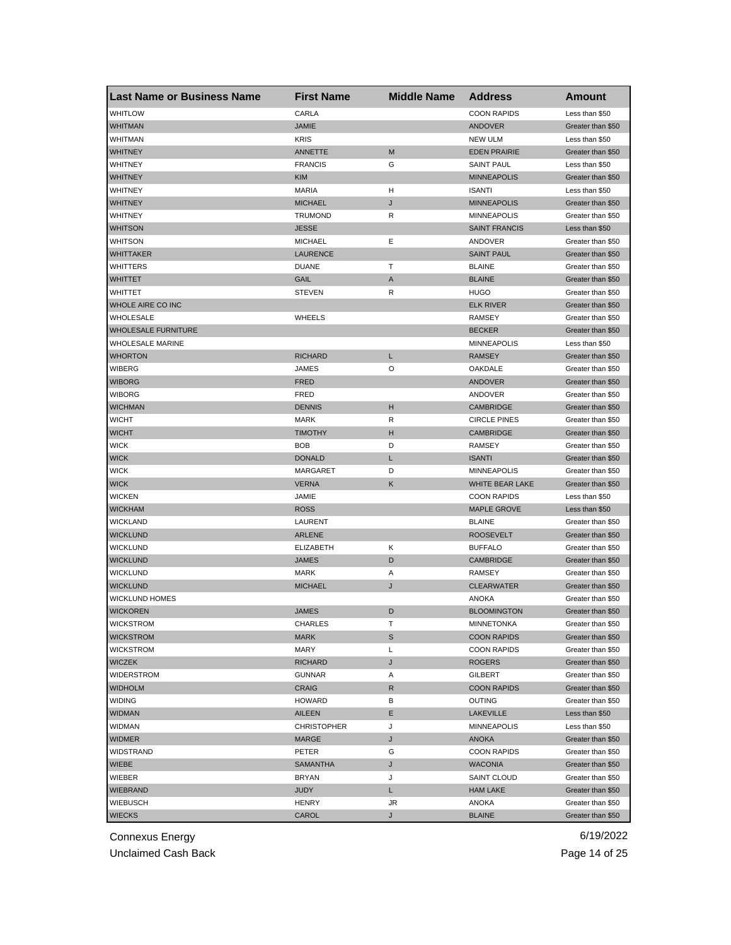| <b>Last Name or Business Name</b> | <b>First Name</b>  | <b>Middle Name</b> | <b>Address</b>       | Amount            |
|-----------------------------------|--------------------|--------------------|----------------------|-------------------|
| <b>WHITLOW</b>                    | CARLA              |                    | <b>COON RAPIDS</b>   | Less than \$50    |
| <b>WHITMAN</b>                    | <b>JAMIE</b>       |                    | ANDOVER              | Greater than \$50 |
| <b>WHITMAN</b>                    | <b>KRIS</b>        |                    | <b>NEW ULM</b>       | Less than \$50    |
| <b>WHITNEY</b>                    | <b>ANNETTE</b>     | M                  | <b>EDEN PRAIRIE</b>  | Greater than \$50 |
| <b>WHITNEY</b>                    | <b>FRANCIS</b>     | G                  | <b>SAINT PAUL</b>    | Less than \$50    |
| <b>WHITNEY</b>                    | <b>KIM</b>         |                    | <b>MINNEAPOLIS</b>   | Greater than \$50 |
| WHITNEY                           | <b>MARIA</b>       | н                  | <b>ISANTI</b>        | Less than \$50    |
| <b>WHITNEY</b>                    | <b>MICHAEL</b>     | J                  | <b>MINNEAPOLIS</b>   | Greater than \$50 |
| WHITNEY                           | <b>TRUMOND</b>     | R                  | <b>MINNEAPOLIS</b>   | Greater than \$50 |
| <b>WHITSON</b>                    | <b>JESSE</b>       |                    | <b>SAINT FRANCIS</b> | Less than \$50    |
| <b>WHITSON</b>                    | <b>MICHAEL</b>     | Ε                  | ANDOVER              | Greater than \$50 |
| <b>WHITTAKER</b>                  | <b>LAURENCE</b>    |                    | <b>SAINT PAUL</b>    | Greater than \$50 |
| <b>WHITTERS</b>                   | <b>DUANE</b>       | т                  | <b>BLAINE</b>        | Greater than \$50 |
| <b>WHITTET</b>                    | GAIL               | A                  | <b>BLAINE</b>        | Greater than \$50 |
| <b>WHITTET</b>                    | <b>STEVEN</b>      | R                  | <b>HUGO</b>          | Greater than \$50 |
| WHOLE AIRE CO INC                 |                    |                    | <b>ELK RIVER</b>     | Greater than \$50 |
| WHOLESALE                         | <b>WHEELS</b>      |                    | <b>RAMSEY</b>        | Greater than \$50 |
| <b>WHOLESALE FURNITURE</b>        |                    |                    | <b>BECKER</b>        | Greater than \$50 |
| <b>WHOLESALE MARINE</b>           |                    |                    | <b>MINNEAPOLIS</b>   | Less than \$50    |
| <b>WHORTON</b>                    | <b>RICHARD</b>     | L                  | <b>RAMSEY</b>        | Greater than \$50 |
| <b>WIBERG</b>                     | JAMES              | O                  | OAKDALE              | Greater than \$50 |
| <b>WIBORG</b>                     | <b>FRED</b>        |                    | ANDOVER              | Greater than \$50 |
| <b>WIBORG</b>                     | FRED               |                    | ANDOVER              | Greater than \$50 |
| <b>WICHMAN</b>                    | <b>DENNIS</b>      | н                  | <b>CAMBRIDGE</b>     | Greater than \$50 |
| <b>WICHT</b>                      | <b>MARK</b>        | R                  | <b>CIRCLE PINES</b>  | Greater than \$50 |
| <b>WICHT</b>                      | <b>TIMOTHY</b>     | н                  | <b>CAMBRIDGE</b>     | Greater than \$50 |
| <b>WICK</b>                       | <b>BOB</b>         | D                  | RAMSEY               | Greater than \$50 |
| <b>WICK</b>                       | <b>DONALD</b>      | L                  | <b>ISANTI</b>        | Greater than \$50 |
| <b>WICK</b>                       | MARGARET           | D                  | <b>MINNEAPOLIS</b>   | Greater than \$50 |
| <b>WICK</b>                       | <b>VERNA</b>       | Κ                  | WHITE BEAR LAKE      | Greater than \$50 |
| <b>WICKEN</b>                     | JAMIE              |                    | <b>COON RAPIDS</b>   | Less than \$50    |
| <b>WICKHAM</b>                    | <b>ROSS</b>        |                    | <b>MAPLE GROVE</b>   | Less than \$50    |
| <b>WICKLAND</b>                   | LAURENT            |                    | <b>BLAINE</b>        | Greater than \$50 |
| <b>WICKLUND</b>                   | <b>ARLENE</b>      |                    | <b>ROOSEVELT</b>     | Greater than \$50 |
| WICKLUND                          | <b>ELIZABETH</b>   | Κ                  | <b>BUFFALO</b>       | Greater than \$50 |
| <b>WICKLUND</b>                   | <b>JAMES</b>       | D                  | <b>CAMBRIDGE</b>     | Greater than \$50 |
| <b>WICKLUND</b>                   | <b>MARK</b>        | Α                  | <b>RAMSEY</b>        | Greater than \$50 |
| <b>WICKLUND</b>                   | <b>MICHAEL</b>     | J                  | <b>CLEARWATER</b>    | Greater than \$50 |
| WICKLUND HOMES                    |                    |                    | <b>ANOKA</b>         | Greater than \$50 |
| <b>WICKOREN</b>                   | <b>JAMES</b>       | D                  | <b>BLOOMINGTON</b>   | Greater than \$50 |
| <b>WICKSTROM</b>                  | CHARLES            | т                  | MINNETONKA           | Greater than \$50 |
| <b>WICKSTROM</b>                  | <b>MARK</b>        | S                  | <b>COON RAPIDS</b>   | Greater than \$50 |
| <b>WICKSTROM</b>                  | MARY               | L                  | <b>COON RAPIDS</b>   | Greater than \$50 |
| <b>WICZEK</b>                     | <b>RICHARD</b>     | J                  | ROGERS               | Greater than \$50 |
| WIDERSTROM                        | GUNNAR             | Α                  | GILBERT              | Greater than \$50 |
| <b>WIDHOLM</b>                    | <b>CRAIG</b>       | $\mathsf{R}$       | <b>COON RAPIDS</b>   | Greater than \$50 |
| <b>WIDING</b>                     | <b>HOWARD</b>      | в                  | OUTING               | Greater than \$50 |
| <b>WIDMAN</b>                     | AILEEN             | Ε                  | <b>LAKEVILLE</b>     | Less than \$50    |
| <b>WIDMAN</b>                     | <b>CHRISTOPHER</b> | J                  | MINNEAPOLIS          | Less than \$50    |
| <b>WIDMER</b>                     | MARGE              | J                  | <b>ANOKA</b>         | Greater than \$50 |
| WIDSTRAND                         | PETER              | G                  | <b>COON RAPIDS</b>   | Greater than \$50 |
| WIEBE                             | SAMANTHA           | J                  | <b>WACONIA</b>       | Greater than \$50 |
| WIEBER                            | <b>BRYAN</b>       | J                  | SAINT CLOUD          | Greater than \$50 |
| <b>WIEBRAND</b>                   | JUDY               | L                  | <b>HAM LAKE</b>      | Greater than \$50 |
| WIEBUSCH                          | HENRY              | JR                 | ANOKA                | Greater than \$50 |
| <b>WIECKS</b>                     | CAROL              | J                  | <b>BLAINE</b>        | Greater than \$50 |
|                                   |                    |                    |                      |                   |

Unclaimed Cash Back **Page 14 of 25**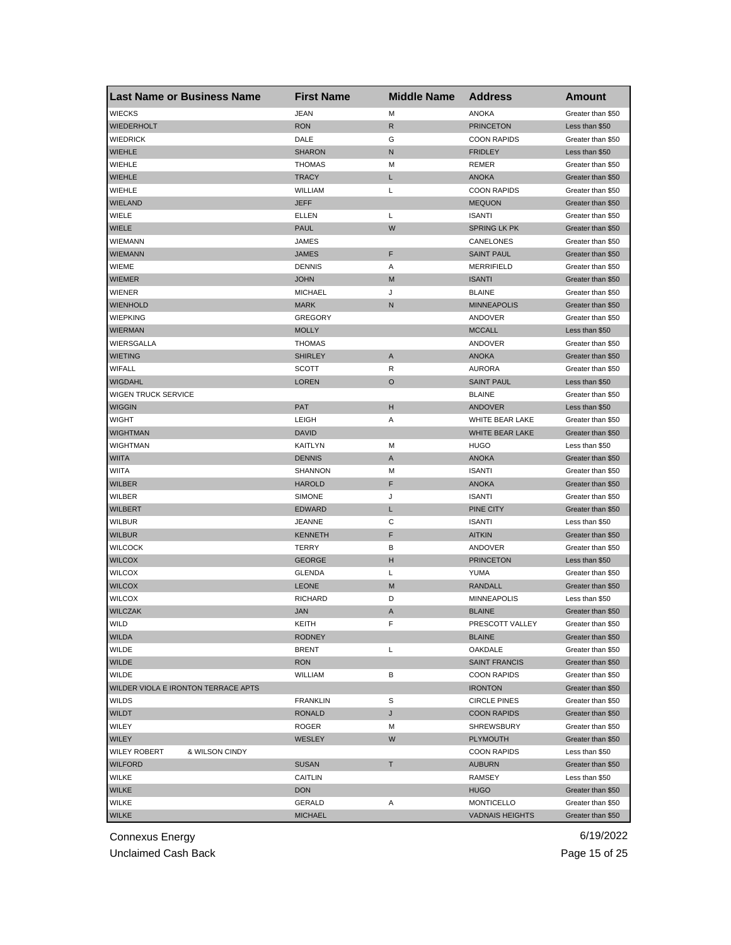| <b>Last Name or Business Name</b>     | <b>First Name</b> | <b>Middle Name</b> | <b>Address</b>                          | Amount                                 |
|---------------------------------------|-------------------|--------------------|-----------------------------------------|----------------------------------------|
| <b>WIECKS</b>                         | <b>JEAN</b>       | M                  | <b>ANOKA</b>                            | Greater than \$50                      |
| <b>WIEDERHOLT</b>                     | <b>RON</b>        | R                  | <b>PRINCETON</b>                        | Less than \$50                         |
| <b>WIEDRICK</b>                       | DALE              | G                  | <b>COON RAPIDS</b>                      | Greater than \$50                      |
| <b>WIEHLE</b>                         | <b>SHARON</b>     | N                  | <b>FRIDLEY</b>                          | Less than \$50                         |
| WIEHLE                                | <b>THOMAS</b>     | M                  | REMER                                   | Greater than \$50                      |
| <b>WIEHLE</b>                         | <b>TRACY</b>      | L                  | <b>ANOKA</b>                            | Greater than \$50                      |
| WIEHLE                                | WILLIAM           | L                  | <b>COON RAPIDS</b>                      | Greater than \$50                      |
| <b>WIELAND</b>                        | JEFF              |                    | <b>MEQUON</b>                           | Greater than \$50                      |
| WIELE                                 | ELLEN             | Г                  | <b>ISANTI</b>                           | Greater than \$50                      |
| WIELE                                 | <b>PAUL</b>       | W                  | <b>SPRING LK PK</b>                     | Greater than \$50                      |
| <b>WIEMANN</b>                        | JAMES             |                    | CANELONES                               | Greater than \$50                      |
| <b>WIEMANN</b>                        | JAMES             | F                  | <b>SAINT PAUL</b>                       | Greater than \$50                      |
| <b>WIEME</b>                          | <b>DENNIS</b>     | Α                  | <b>MERRIFIELD</b>                       | Greater than \$50                      |
| <b>WIEMER</b>                         | <b>JOHN</b>       | M                  | <b>ISANTI</b>                           | Greater than \$50                      |
| <b>WIENER</b>                         | <b>MICHAEL</b>    | J                  | <b>BLAINE</b>                           | Greater than \$50                      |
| <b>WIENHOLD</b>                       | <b>MARK</b>       | ${\sf N}$          | <b>MINNEAPOLIS</b>                      | Greater than \$50                      |
| <b>WIEPKING</b>                       | <b>GREGORY</b>    |                    | ANDOVER                                 | Greater than \$50                      |
| <b>WIERMAN</b>                        | <b>MOLLY</b>      |                    | <b>MCCALL</b>                           | Less than \$50                         |
| WIERSGALLA                            | THOMAS            |                    | ANDOVER                                 | Greater than \$50                      |
| <b>WIETING</b>                        | <b>SHIRLEY</b>    | A                  | <b>ANOKA</b>                            | Greater than \$50                      |
| <b>WIFALL</b>                         | <b>SCOTT</b>      | R                  | <b>AURORA</b>                           | Greater than \$50                      |
| <b>WIGDAHL</b>                        | LOREN             | O                  | <b>SAINT PAUL</b>                       | Less than \$50                         |
| WIGEN TRUCK SERVICE                   |                   |                    | <b>BLAINE</b>                           | Greater than \$50                      |
| <b>WIGGIN</b>                         | PAT               | н                  | <b>ANDOVER</b>                          | Less than \$50                         |
| <b>WIGHT</b>                          | LEIGH             | Α                  | WHITE BEAR LAKE                         | Greater than \$50                      |
| <b>WIGHTMAN</b>                       | <b>DAVID</b>      |                    | <b>WHITE BEAR LAKE</b>                  | Greater than \$50                      |
| WIGHTMAN                              | KAITLYN           | M                  | HUGO                                    | Less than \$50                         |
| <b>WIITA</b>                          | <b>DENNIS</b>     | A                  | <b>ANOKA</b>                            | Greater than \$50                      |
| WIITA                                 | SHANNON           | M                  | <b>ISANTI</b>                           | Greater than \$50                      |
| <b>WILBER</b>                         | <b>HAROLD</b>     | F                  | <b>ANOKA</b>                            | Greater than \$50                      |
| WILBER                                | <b>SIMONE</b>     | J                  | <b>ISANTI</b>                           | Greater than \$50                      |
| <b>WILBERT</b>                        | <b>EDWARD</b>     | L                  | PINE CITY                               | Greater than \$50                      |
| <b>WILBUR</b>                         | JEANNE            | C                  | <b>ISANTI</b>                           | Less than \$50                         |
| <b>WILBUR</b>                         | <b>KENNETH</b>    | F                  | <b>AITKIN</b>                           | Greater than \$50                      |
| <b>WILCOCK</b>                        | TERRY             | в                  | ANDOVER                                 | Greater than \$50                      |
| <b>WILCOX</b>                         | <b>GEORGE</b>     | н                  | <b>PRINCETON</b>                        | Less than \$50                         |
| <b>WILCOX</b>                         | <b>GLENDA</b>     | L                  | YUMA                                    | Greater than \$50                      |
| <b>WILCOX</b>                         | <b>LEONE</b>      | M                  | RANDALL                                 | Greater than \$50                      |
| <b>WILCOX</b>                         | <b>RICHARD</b>    | D                  | <b>MINNEAPOLIS</b>                      | Less than \$50                         |
| <b>WILCZAK</b>                        | JAN               | A                  | <b>BLAINE</b>                           | Greater than \$50                      |
| WILD                                  | KEITH             | F                  | PRESCOTT VALLEY                         | Greater than \$50                      |
| <b>WILDA</b>                          | <b>RODNEY</b>     |                    | <b>BLAINE</b>                           | Greater than \$50                      |
| WILDE                                 | <b>BRENT</b>      | Г                  | OAKDALE                                 | Greater than \$50                      |
| <b>WILDE</b>                          | <b>RON</b>        |                    | <b>SAINT FRANCIS</b>                    | Greater than \$50                      |
| WILDE                                 | <b>WILLIAM</b>    | в                  | <b>COON RAPIDS</b>                      | Greater than \$50                      |
| WILDER VIOLA E IRONTON TERRACE APTS   |                   |                    | <b>IRONTON</b>                          | Greater than \$50                      |
| <b>WILDS</b>                          | <b>FRANKLIN</b>   | S                  | <b>CIRCLE PINES</b>                     | Greater than \$50                      |
| <b>WILDT</b>                          | <b>RONALD</b>     |                    |                                         |                                        |
| WILEY                                 | ROGER             | J<br>M             | <b>COON RAPIDS</b><br><b>SHREWSBURY</b> | Greater than \$50<br>Greater than \$50 |
|                                       | <b>WESLEY</b>     |                    |                                         |                                        |
| WILEY                                 |                   | W                  | <b>PLYMOUTH</b>                         | Greater than \$50                      |
| <b>WILEY ROBERT</b><br>& WILSON CINDY |                   |                    | <b>COON RAPIDS</b>                      | Less than \$50                         |
| <b>WILFORD</b>                        | <b>SUSAN</b>      | Τ                  | <b>AUBURN</b>                           | Greater than \$50                      |
| WILKE                                 | CAITLIN           |                    | RAMSEY                                  | Less than \$50                         |
| <b>WILKE</b>                          | <b>DON</b>        |                    | <b>HUGO</b>                             | Greater than \$50                      |
| WILKE                                 | GERALD            | Α                  | <b>MONTICELLO</b>                       | Greater than \$50                      |
| <b>WILKE</b>                          | <b>MICHAEL</b>    |                    | <b>VADNAIS HEIGHTS</b>                  | Greater than \$50                      |

Unclaimed Cash Back **Page 15 of 25**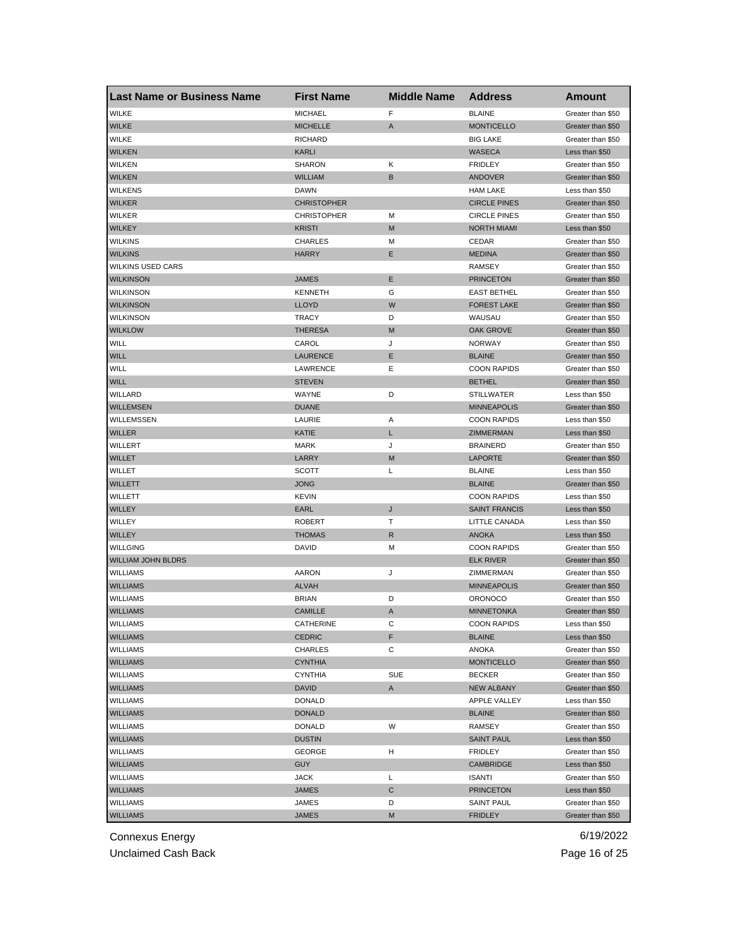| <b>Last Name or Business Name</b> | <b>First Name</b>  | <b>Middle Name</b> | <b>Address</b>       | <b>Amount</b>     |
|-----------------------------------|--------------------|--------------------|----------------------|-------------------|
| <b>WILKE</b>                      | <b>MICHAEL</b>     | F                  | <b>BLAINE</b>        | Greater than \$50 |
| <b>WILKE</b>                      | <b>MICHELLE</b>    | A                  | <b>MONTICELLO</b>    | Greater than \$50 |
| <b>WILKE</b>                      | <b>RICHARD</b>     |                    | <b>BIG LAKE</b>      | Greater than \$50 |
| <b>WILKEN</b>                     | <b>KARLI</b>       |                    | <b>WASECA</b>        | Less than \$50    |
| <b>WILKEN</b>                     | <b>SHARON</b>      | Κ                  | <b>FRIDLEY</b>       | Greater than \$50 |
| <b>WILKEN</b>                     | <b>WILLIAM</b>     | B                  | ANDOVER              | Greater than \$50 |
| <b>WILKENS</b>                    | <b>DAWN</b>        |                    | <b>HAM LAKE</b>      | Less than \$50    |
| <b>WILKER</b>                     | <b>CHRISTOPHER</b> |                    | <b>CIRCLE PINES</b>  | Greater than \$50 |
| <b>WILKER</b>                     | <b>CHRISTOPHER</b> | M                  | <b>CIRCLE PINES</b>  | Greater than \$50 |
| <b>WILKEY</b>                     | <b>KRISTI</b>      | M                  | <b>NORTH MIAMI</b>   | Less than \$50    |
| <b>WILKINS</b>                    | <b>CHARLES</b>     | M                  | CEDAR                | Greater than \$50 |
| <b>WILKINS</b>                    | <b>HARRY</b>       | Ε                  | <b>MEDINA</b>        | Greater than \$50 |
| <b>WILKINS USED CARS</b>          |                    |                    | RAMSEY               | Greater than \$50 |
| <b>WILKINSON</b>                  | <b>JAMES</b>       | E                  | <b>PRINCETON</b>     | Greater than \$50 |
| <b>WILKINSON</b>                  | <b>KENNETH</b>     | G                  | <b>EAST BETHEL</b>   | Greater than \$50 |
| <b>WILKINSON</b>                  | <b>LLOYD</b>       | W                  | <b>FOREST LAKE</b>   | Greater than \$50 |
| <b>WILKINSON</b>                  | <b>TRACY</b>       | D                  | WAUSAU               | Greater than \$50 |
| <b>WILKLOW</b>                    | <b>THERESA</b>     | M                  | <b>OAK GROVE</b>     | Greater than \$50 |
| WILL                              | CAROL              | J                  | <b>NORWAY</b>        | Greater than \$50 |
| <b>WILL</b>                       | <b>LAURENCE</b>    | Ε                  | <b>BLAINE</b>        | Greater than \$50 |
| WILL                              | LAWRENCE           | Е                  | <b>COON RAPIDS</b>   | Greater than \$50 |
| <b>WILL</b>                       | <b>STEVEN</b>      |                    | <b>BETHEL</b>        | Greater than \$50 |
| WILLARD                           | WAYNE              | D                  | <b>STILLWATER</b>    | Less than \$50    |
| <b>WILLEMSEN</b>                  | <b>DUANE</b>       |                    | <b>MINNEAPOLIS</b>   | Greater than \$50 |
| WILLEMSSEN                        | LAURIE             | Α                  | <b>COON RAPIDS</b>   | Less than \$50    |
| <b>WILLER</b>                     | KATIE              | L                  | ZIMMERMAN            | Less than \$50    |
| WILLERT                           | <b>MARK</b>        | J                  | <b>BRAINERD</b>      | Greater than \$50 |
| <b>WILLET</b>                     | LARRY              | M                  | <b>LAPORTE</b>       | Greater than \$50 |
| WILLET                            | SCOTT              | L                  | <b>BLAINE</b>        | Less than \$50    |
| <b>WILLETT</b>                    | <b>JONG</b>        |                    | <b>BLAINE</b>        | Greater than \$50 |
| WILLETT                           | <b>KEVIN</b>       |                    | <b>COON RAPIDS</b>   | Less than \$50    |
| <b>WILLEY</b>                     | EARL               | J                  | <b>SAINT FRANCIS</b> | Less than \$50    |
| WILLEY                            | <b>ROBERT</b>      | т                  | LITTLE CANADA        | Less than \$50    |
| <b>WILLEY</b>                     | <b>THOMAS</b>      | R                  | <b>ANOKA</b>         | Less than \$50    |
| <b>WILLGING</b>                   | <b>DAVID</b>       | М                  | <b>COON RAPIDS</b>   | Greater than \$50 |
| <b>WILLIAM JOHN BLDRS</b>         |                    |                    | <b>ELK RIVER</b>     | Greater than \$50 |
| <b>WILLIAMS</b>                   | AARON              | J                  | ZIMMERMAN            | Greater than \$50 |
| <b>WILLIAMS</b>                   | <b>ALVAH</b>       |                    | <b>MINNEAPOLIS</b>   | Greater than \$50 |
| <b>WILLIAMS</b>                   | <b>BRIAN</b>       | D                  | <b>ORONOCO</b>       | Greater than \$50 |
| <b>WILLIAMS</b>                   | <b>CAMILLE</b>     | A                  | <b>MINNETONKA</b>    | Greater than \$50 |
| WILLIAMS                          | CATHERINE          | C                  | <b>COON RAPIDS</b>   | Less than \$50    |
| <b>WILLIAMS</b>                   | <b>CEDRIC</b>      | F                  | <b>BLAINE</b>        | Less than \$50    |
| <b>WILLIAMS</b>                   | CHARLES            | С                  | ANOKA                | Greater than \$50 |
| <b>WILLIAMS</b>                   | CYNTHIA            |                    | <b>MONTICELLO</b>    | Greater than \$50 |
| WILLIAMS                          | <b>CYNTHIA</b>     | SUE                | <b>BECKER</b>        | Greater than \$50 |
| <b>WILLIAMS</b>                   | DAVID              | A                  | <b>NEW ALBANY</b>    | Greater than \$50 |
| <b>WILLIAMS</b>                   | <b>DONALD</b>      |                    | APPLE VALLEY         | Less than \$50    |
| <b>WILLIAMS</b>                   | <b>DONALD</b>      |                    | <b>BLAINE</b>        | Greater than \$50 |
| <b>WILLIAMS</b>                   | <b>DONALD</b>      | W                  | RAMSEY               | Greater than \$50 |
| <b>WILLIAMS</b>                   | <b>DUSTIN</b>      |                    | <b>SAINT PAUL</b>    | Less than \$50    |
| WILLIAMS                          | <b>GEORGE</b>      | н                  | <b>FRIDLEY</b>       | Greater than \$50 |
| <b>WILLIAMS</b>                   | <b>GUY</b>         |                    | <b>CAMBRIDGE</b>     | Less than \$50    |
| WILLIAMS                          | JACK               | L                  | <b>ISANTI</b>        | Greater than \$50 |
| <b>WILLIAMS</b>                   | JAMES              | С                  | <b>PRINCETON</b>     | Less than \$50    |
| <b>WILLIAMS</b>                   | JAMES              | D                  | <b>SAINT PAUL</b>    | Greater than \$50 |
| <b>WILLIAMS</b>                   | <b>JAMES</b>       | М                  | <b>FRIDLEY</b>       | Greater than \$50 |

Unclaimed Cash Back **Page 16 of 25**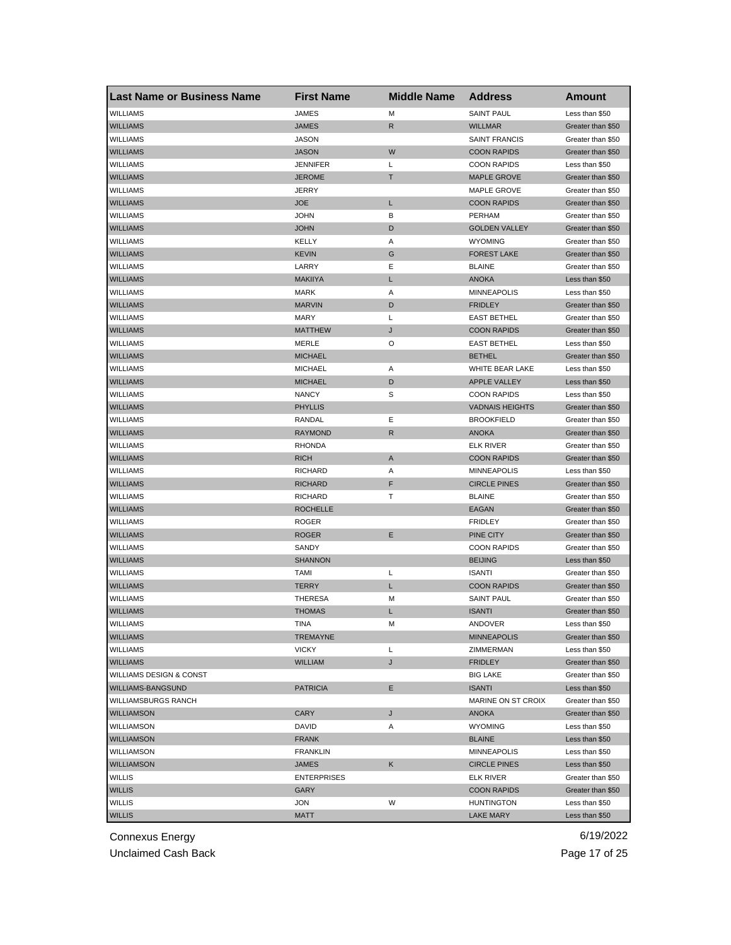| <b>Last Name or Business Name</b>  | <b>First Name</b>  | <b>Middle Name</b> | <b>Address</b>                          | Amount            |
|------------------------------------|--------------------|--------------------|-----------------------------------------|-------------------|
| <b>WILLIAMS</b>                    | <b>JAMES</b>       | M                  | <b>SAINT PAUL</b>                       | Less than \$50    |
| <b>WILLIAMS</b>                    | <b>JAMES</b>       | R                  | <b>WILLMAR</b>                          | Greater than \$50 |
| <b>WILLIAMS</b>                    | <b>JASON</b>       |                    | <b>SAINT FRANCIS</b>                    | Greater than \$50 |
| <b>WILLIAMS</b>                    | <b>JASON</b>       | W                  | <b>COON RAPIDS</b>                      | Greater than \$50 |
| WILLIAMS                           | <b>JENNIFER</b>    | L                  | <b>COON RAPIDS</b>                      | Less than \$50    |
| <b>WILLIAMS</b>                    | <b>JEROME</b>      | т                  | <b>MAPLE GROVE</b>                      | Greater than \$50 |
| WILLIAMS                           | <b>JERRY</b>       |                    | MAPLE GROVE                             | Greater than \$50 |
| <b>WILLIAMS</b>                    | <b>JOE</b>         | L                  | <b>COON RAPIDS</b>                      | Greater than \$50 |
| <b>WILLIAMS</b>                    | <b>JOHN</b>        | В                  | PERHAM                                  | Greater than \$50 |
| <b>WILLIAMS</b>                    | <b>JOHN</b>        | D                  | <b>GOLDEN VALLEY</b>                    | Greater than \$50 |
| <b>WILLIAMS</b>                    | KELLY              | Α                  | <b>WYOMING</b>                          | Greater than \$50 |
| <b>WILLIAMS</b>                    | <b>KEVIN</b>       | G                  | <b>FOREST LAKE</b>                      | Greater than \$50 |
| WILLIAMS                           | LARRY              | Ε                  | <b>BLAINE</b>                           | Greater than \$50 |
| <b>WILLIAMS</b>                    | <b>MAKIIYA</b>     | L                  | <b>ANOKA</b>                            | Less than \$50    |
| <b>WILLIAMS</b>                    | <b>MARK</b>        | Α                  | <b>MINNEAPOLIS</b>                      | Less than \$50    |
| <b>WILLIAMS</b>                    | <b>MARVIN</b>      | D                  | <b>FRIDLEY</b>                          | Greater than \$50 |
| <b>WILLIAMS</b>                    | <b>MARY</b>        | L                  | <b>EAST BETHEL</b>                      | Greater than \$50 |
| <b>WILLIAMS</b>                    | <b>MATTHEW</b>     | J                  | <b>COON RAPIDS</b>                      | Greater than \$50 |
| <b>WILLIAMS</b>                    | MERLE              | O                  | <b>EAST BETHEL</b>                      | Less than \$50    |
| <b>WILLIAMS</b>                    | <b>MICHAEL</b>     |                    | <b>BETHEL</b>                           | Greater than \$50 |
| <b>WILLIAMS</b>                    | <b>MICHAEL</b>     | Α                  | WHITE BEAR LAKE                         | Less than \$50    |
| <b>WILLIAMS</b>                    | <b>MICHAEL</b>     | D                  | <b>APPLE VALLEY</b>                     | Less than \$50    |
| <b>WILLIAMS</b>                    | <b>NANCY</b>       | S                  | <b>COON RAPIDS</b>                      | Less than \$50    |
| <b>WILLIAMS</b>                    | <b>PHYLLIS</b>     |                    | <b>VADNAIS HEIGHTS</b>                  | Greater than \$50 |
| WILLIAMS                           | RANDAL             | Ε                  | <b>BROOKFIELD</b>                       | Greater than \$50 |
| <b>WILLIAMS</b>                    | RAYMOND            | R                  | <b>ANOKA</b>                            | Greater than \$50 |
| WILLIAMS                           | <b>RHONDA</b>      |                    | ELK RIVER                               | Greater than \$50 |
| <b>WILLIAMS</b>                    | <b>RICH</b>        | A                  | <b>COON RAPIDS</b>                      | Greater than \$50 |
| <b>WILLIAMS</b>                    | <b>RICHARD</b>     | Α                  | <b>MINNEAPOLIS</b>                      | Less than \$50    |
| <b>WILLIAMS</b>                    | <b>RICHARD</b>     | F                  | <b>CIRCLE PINES</b>                     | Greater than \$50 |
| <b>WILLIAMS</b>                    | <b>RICHARD</b>     | т                  | <b>BLAINE</b>                           | Greater than \$50 |
| <b>WILLIAMS</b>                    | <b>ROCHELLE</b>    |                    | EAGAN                                   | Greater than \$50 |
| <b>WILLIAMS</b>                    | <b>ROGER</b>       |                    | <b>FRIDLEY</b>                          | Greater than \$50 |
| <b>WILLIAMS</b>                    | <b>ROGER</b>       | Ε                  | PINE CITY                               | Greater than \$50 |
| WILLIAMS                           | SANDY              |                    | <b>COON RAPIDS</b>                      | Greater than \$50 |
| <b>WILLIAMS</b>                    | <b>SHANNON</b>     |                    | <b>BEIJING</b>                          | Less than \$50    |
| <b>WILLIAMS</b>                    | TAMI               | L                  | <b>ISANTI</b>                           | Greater than \$50 |
| <b>WILLIAMS</b>                    | TERRY              | L                  | <b>COON RAPIDS</b>                      | Greater than \$50 |
| <b>WILLIAMS</b>                    | <b>THERESA</b>     | M                  | <b>SAINT PAUL</b>                       | Greater than \$50 |
| <b>WILLIAMS</b>                    | THOMAS             | L                  | <b>ISANTI</b>                           | Greater than \$50 |
| WILLIAMS                           | HNA                | M                  | ANDOVER                                 | Less than \$50    |
| <b>WILLIAMS</b>                    | <b>TREMAYNE</b>    |                    | <b>MINNEAPOLIS</b>                      | Greater than \$50 |
| <b>WILLIAMS</b>                    | <b>VICKY</b>       | Г                  | ZIMMERMAN                               | Less than \$50    |
| <b>WILLIAMS</b>                    | WILLIAM            | J                  | <b>FRIDLEY</b>                          | Greater than \$50 |
| <b>WILLIAMS DESIGN &amp; CONST</b> |                    |                    | <b>BIG LAKE</b>                         | Greater than \$50 |
| <b>WILLIAMS-BANGSUND</b>           | <b>PATRICIA</b>    | Е                  | <b>ISANTI</b>                           | Less than \$50    |
| <b>WILLIAMSBURGS RANCH</b>         |                    |                    | MARINE ON ST CROIX                      | Greater than \$50 |
| <b>WILLIAMSON</b>                  | CARY               | J                  | <b>ANOKA</b>                            | Greater than \$50 |
| <b>WILLIAMSON</b>                  | DAVID              | Α                  | <b>WYOMING</b>                          | Less than \$50    |
| <b>WILLIAMSON</b>                  | FRANK              |                    | <b>BLAINE</b>                           | Less than \$50    |
| WILLIAMSON                         | <b>FRANKLIN</b>    |                    | MINNEAPOLIS                             | Less than \$50    |
| <b>WILLIAMSON</b>                  |                    |                    |                                         |                   |
|                                    | <b>JAMES</b>       | Κ                  | <b>CIRCLE PINES</b>                     | Less than \$50    |
| WILLIS                             | <b>ENTERPRISES</b> |                    | ELK RIVER                               | Greater than \$50 |
| <b>WILLIS</b><br><b>WILLIS</b>     | GARY               | W                  | <b>COON RAPIDS</b><br><b>HUNTINGTON</b> | Greater than \$50 |
|                                    | JON                |                    |                                         | Less than \$50    |
| <b>WILLIS</b>                      | <b>MATT</b>        |                    | <b>LAKE MARY</b>                        | Less than \$50    |

Unclaimed Cash Back **Page 17 of 25**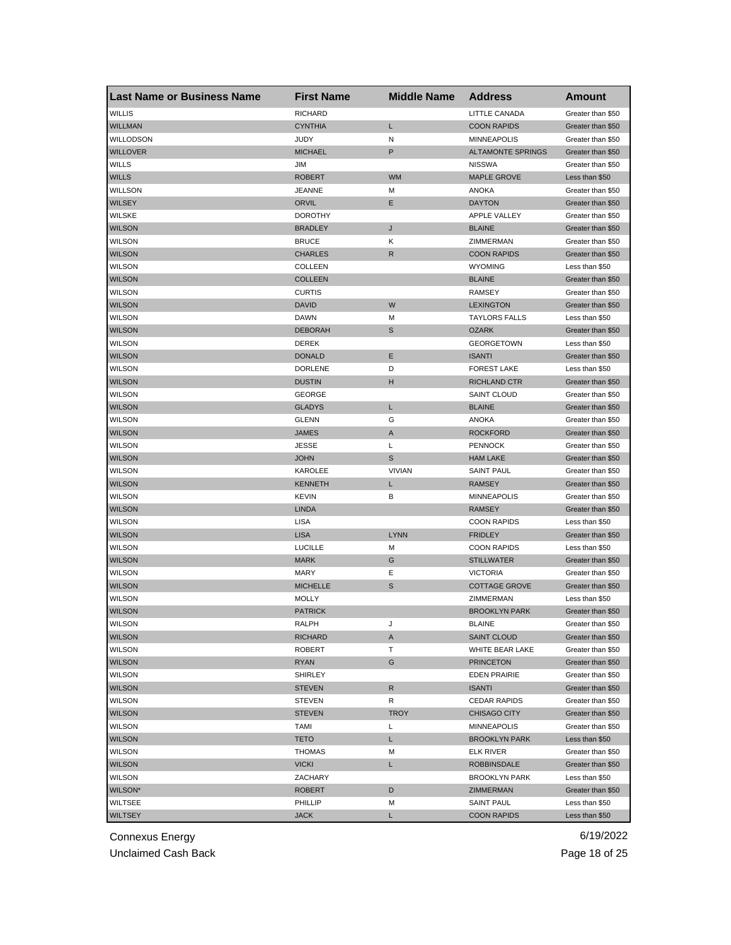| <b>Last Name or Business Name</b> | <b>First Name</b>     | <b>Middle Name</b> | <b>Address</b>                            | Amount                                 |
|-----------------------------------|-----------------------|--------------------|-------------------------------------------|----------------------------------------|
| <b>WILLIS</b>                     | <b>RICHARD</b>        |                    | LITTLE CANADA                             | Greater than \$50                      |
| <b>WILLMAN</b>                    | <b>CYNTHIA</b>        | Г                  | <b>COON RAPIDS</b>                        | Greater than \$50                      |
| WILLODSON                         | <b>JUDY</b>           | N                  | <b>MINNEAPOLIS</b>                        | Greater than \$50                      |
| <b>WILLOVER</b>                   | <b>MICHAEL</b>        | P                  | <b>ALTAMONTE SPRINGS</b>                  | Greater than \$50                      |
| <b>WILLS</b>                      | JIM                   |                    | <b>NISSWA</b>                             | Greater than \$50                      |
| <b>WILLS</b>                      | <b>ROBERT</b>         | <b>WM</b>          | <b>MAPLE GROVE</b>                        | Less than \$50                         |
| WILLSON                           | <b>JEANNE</b>         | М                  | ANOKA                                     | Greater than \$50                      |
| <b>WILSEY</b>                     | ORVIL                 | Ε                  | <b>DAYTON</b>                             | Greater than \$50                      |
| <b>WILSKE</b>                     | <b>DOROTHY</b>        |                    | <b>APPLE VALLEY</b>                       | Greater than \$50                      |
| <b>WILSON</b>                     | <b>BRADLEY</b>        | J                  | <b>BLAINE</b>                             | Greater than \$50                      |
| <b>WILSON</b>                     | <b>BRUCE</b>          | Κ                  | ZIMMERMAN                                 | Greater than \$50                      |
| <b>WILSON</b>                     | <b>CHARLES</b>        | R                  | <b>COON RAPIDS</b>                        | Greater than \$50                      |
| <b>WILSON</b>                     | <b>COLLEEN</b>        |                    | <b>WYOMING</b>                            | Less than \$50                         |
| <b>WILSON</b>                     | <b>COLLEEN</b>        |                    | <b>BLAINE</b>                             | Greater than \$50                      |
| <b>WILSON</b>                     | <b>CURTIS</b>         |                    | <b>RAMSEY</b>                             | Greater than \$50                      |
| <b>WILSON</b>                     | <b>DAVID</b>          | W                  | <b>LEXINGTON</b>                          | Greater than \$50                      |
| <b>WILSON</b>                     | <b>DAWN</b>           | М                  | <b>TAYLORS FALLS</b>                      | Less than \$50                         |
| <b>WILSON</b>                     | <b>DEBORAH</b>        | S                  | <b>OZARK</b>                              | Greater than \$50                      |
| <b>WILSON</b>                     | DEREK                 |                    | <b>GEORGETOWN</b>                         | Less than \$50                         |
| <b>WILSON</b>                     | <b>DONALD</b>         | Ε                  | <b>ISANTI</b>                             | Greater than \$50                      |
| <b>WILSON</b>                     | <b>DORLENE</b>        | D                  | <b>FOREST LAKE</b>                        | Less than \$50                         |
| <b>WILSON</b>                     | <b>DUSTIN</b>         | н                  | <b>RICHLAND CTR</b>                       | Greater than \$50                      |
| <b>WILSON</b>                     | <b>GEORGE</b>         |                    | <b>SAINT CLOUD</b>                        | Greater than \$50                      |
| <b>WILSON</b>                     | <b>GLADYS</b>         | L                  | <b>BLAINE</b>                             | Greater than \$50                      |
| WILSON                            | <b>GLENN</b>          | G                  | <b>ANOKA</b>                              | Greater than \$50                      |
| <b>WILSON</b>                     | <b>JAMES</b>          | A                  | <b>ROCKFORD</b>                           | Greater than \$50                      |
| <b>WILSON</b>                     | <b>JESSE</b>          | L                  | <b>PENNOCK</b>                            | Greater than \$50                      |
| <b>WILSON</b>                     | <b>JOHN</b>           | S                  | <b>HAM LAKE</b>                           | Greater than \$50                      |
| <b>WILSON</b>                     | KAROLEE               | <b>VIVIAN</b>      | <b>SAINT PAUL</b>                         | Greater than \$50                      |
| <b>WILSON</b>                     | KENNETH               | L                  | <b>RAMSEY</b>                             | Greater than \$50                      |
| <b>WILSON</b>                     | <b>KEVIN</b>          | В                  | <b>MINNEAPOLIS</b>                        | Greater than \$50                      |
| <b>WILSON</b>                     | <b>LINDA</b>          |                    | <b>RAMSEY</b>                             | Greater than \$50                      |
| <b>WILSON</b>                     | <b>LISA</b>           |                    | <b>COON RAPIDS</b>                        | Less than \$50                         |
| <b>WILSON</b>                     | <b>LISA</b>           | <b>LYNN</b>        | <b>FRIDLEY</b>                            | Greater than \$50                      |
| <b>WILSON</b>                     | <b>LUCILLE</b>        | М                  | <b>COON RAPIDS</b>                        | Less than \$50                         |
| <b>WILSON</b>                     | <b>MARK</b>           | G                  | <b>STILLWATER</b>                         | Greater than \$50                      |
| <b>WILSON</b>                     | MARY                  | Ε                  | <b>VICTORIA</b>                           | Greater than \$50                      |
| <b>WILSON</b>                     | <b>MICHELLE</b>       | S                  | <b>COTTAGE GROVE</b>                      | Greater than \$50                      |
| <b>WILSON</b>                     | <b>MOLLY</b>          |                    | ZIMMERMAN                                 | Less than \$50                         |
| <b>WILSON</b>                     | <b>PATRICK</b>        |                    | <b>BROOKLYN PARK</b>                      | Greater than \$50                      |
| <b>WILSON</b>                     | RALPH                 | J                  | <b>BLAINE</b>                             | Greater than \$50                      |
| <b>WILSON</b>                     | RICHARD               | A                  | <b>SAINT CLOUD</b>                        | Greater than \$50                      |
| <b>WILSON</b>                     | <b>ROBERT</b>         | т                  | WHITE BEAR LAKE                           | Greater than \$50                      |
| <b>WILSON</b>                     | RYAN                  | G                  | <b>PRINCETON</b>                          | Greater than \$50                      |
| <b>WILSON</b>                     | SHIRLEY               |                    | <b>EDEN PRAIRIE</b>                       | Greater than \$50                      |
| <b>WILSON</b>                     | <b>STEVEN</b>         | R                  | <b>ISANTI</b>                             | Greater than \$50                      |
| <b>WILSON</b>                     | <b>STEVEN</b>         | R                  | <b>CEDAR RAPIDS</b>                       | Greater than \$50                      |
|                                   |                       |                    |                                           |                                        |
| <b>WILSON</b><br>WILSON           | <b>STEVEN</b><br>TAMI | <b>TROY</b><br>Г   | <b>CHISAGO CITY</b><br><b>MINNEAPOLIS</b> | Greater than \$50<br>Greater than \$50 |
|                                   |                       |                    |                                           |                                        |
| <b>WILSON</b>                     | <b>TETO</b>           | L                  | <b>BROOKLYN PARK</b>                      | Less than \$50                         |
| WILSON                            | <b>THOMAS</b>         | М                  | ELK RIVER                                 | Greater than \$50                      |
| <b>WILSON</b>                     | <b>VICKI</b>          | L                  | <b>ROBBINSDALE</b>                        | Greater than \$50                      |
| WILSON                            | ZACHARY               |                    | <b>BROOKLYN PARK</b>                      | Less than \$50                         |
| WILSON*                           | <b>ROBERT</b>         | D                  | ZIMMERMAN                                 | Greater than \$50                      |
| <b>WILTSEE</b>                    | PHILLIP               | М                  | <b>SAINT PAUL</b>                         | Less than \$50                         |
| <b>WILTSEY</b>                    | JACK                  | L                  | <b>COON RAPIDS</b>                        | Less than \$50                         |

Unclaimed Cash Back **Page 18 of 25**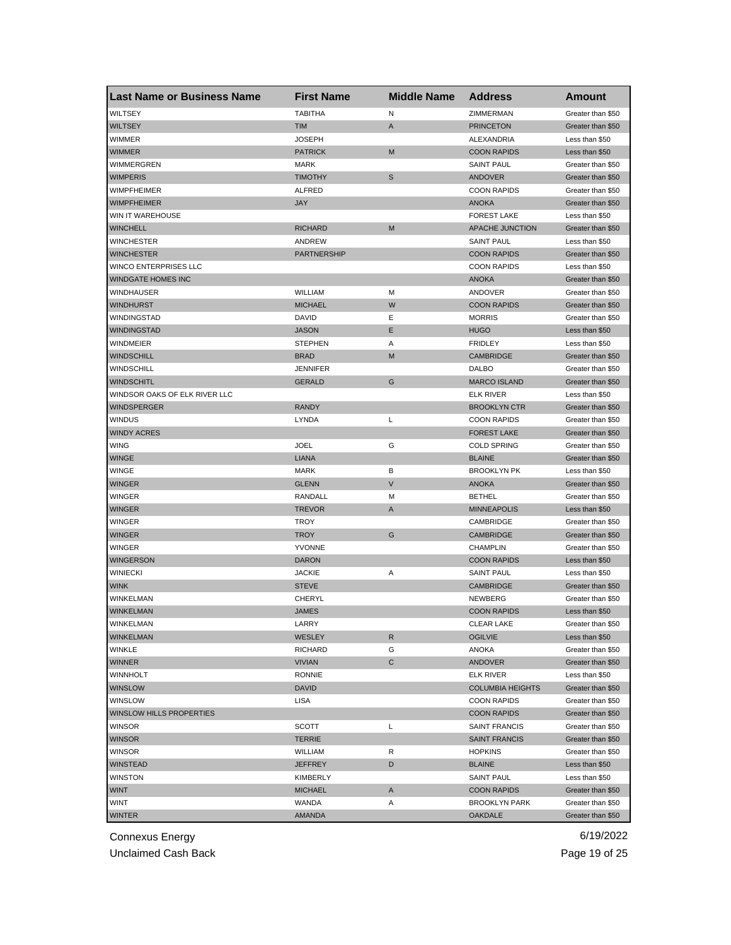| <b>Last Name or Business Name</b> | <b>First Name</b> | <b>Middle Name</b> | <b>Address</b>          | <b>Amount</b>                          |
|-----------------------------------|-------------------|--------------------|-------------------------|----------------------------------------|
| <b>WILTSEY</b>                    | <b>TABITHA</b>    | N                  | ZIMMERMAN               | Greater than \$50                      |
| <b>WILTSEY</b>                    | <b>TIM</b>        | A                  | <b>PRINCETON</b>        | Greater than \$50                      |
| WIMMER                            | <b>JOSEPH</b>     |                    | ALEXANDRIA              | Less than \$50                         |
| <b>WIMMER</b>                     | <b>PATRICK</b>    | M                  | <b>COON RAPIDS</b>      | Less than \$50                         |
| WIMMERGREN                        | MARK              |                    | <b>SAINT PAUL</b>       | Greater than \$50                      |
| <b>WIMPERIS</b>                   | <b>TIMOTHY</b>    | S                  | <b>ANDOVER</b>          | Greater than \$50                      |
| WIMPFHEIMER                       | ALFRED            |                    | <b>COON RAPIDS</b>      | Greater than \$50                      |
| <b>WIMPFHEIMER</b>                | <b>JAY</b>        |                    | <b>ANOKA</b>            | Greater than \$50                      |
| WIN IT WAREHOUSE                  |                   |                    | <b>FOREST LAKE</b>      | Less than \$50                         |
| <b>WINCHELL</b>                   | <b>RICHARD</b>    | M                  | APACHE JUNCTION         | Greater than \$50                      |
| WINCHESTER                        | ANDREW            |                    | <b>SAINT PAUL</b>       | Less than \$50                         |
| <b>WINCHESTER</b>                 | PARTNERSHIP       |                    | <b>COON RAPIDS</b>      | Greater than \$50                      |
| WINCO ENTERPRISES LLC             |                   |                    | <b>COON RAPIDS</b>      | Less than \$50                         |
| <b>WINDGATE HOMES INC</b>         |                   |                    | <b>ANOKA</b>            | Greater than \$50                      |
| <b>WINDHAUSER</b>                 | WILLIAM           | M                  | ANDOVER                 | Greater than \$50                      |
| <b>WINDHURST</b>                  | <b>MICHAEL</b>    | W                  | <b>COON RAPIDS</b>      | Greater than \$50                      |
| WINDINGSTAD                       | <b>DAVID</b>      | Ε                  | <b>MORRIS</b>           | Greater than \$50                      |
| WINDINGSTAD                       | <b>JASON</b>      | E                  | <b>HUGO</b>             | Less than \$50                         |
| <b>WINDMEIER</b>                  | <b>STEPHEN</b>    | Α                  | <b>FRIDLEY</b>          | Less than \$50                         |
| <b>WINDSCHILL</b>                 | <b>BRAD</b>       | M                  | <b>CAMBRIDGE</b>        | Greater than \$50                      |
| <b>WINDSCHILL</b>                 | JENNIFER          |                    | <b>DALBO</b>            | Greater than \$50                      |
| <b>WINDSCHITL</b>                 | <b>GERALD</b>     | G                  | <b>MARCO ISLAND</b>     | Greater than \$50                      |
| WINDSOR OAKS OF ELK RIVER LLC     |                   |                    | <b>ELK RIVER</b>        | Less than \$50                         |
| <b>WINDSPERGER</b>                | <b>RANDY</b>      |                    | <b>BROOKLYN CTR</b>     | Greater than \$50                      |
| <b>WINDUS</b>                     | LYNDA             | Г                  | <b>COON RAPIDS</b>      | Greater than \$50                      |
| <b>WINDY ACRES</b>                |                   |                    | <b>FOREST LAKE</b>      | Greater than \$50                      |
| <b>WING</b>                       | <b>JOEL</b>       | G                  | <b>COLD SPRING</b>      | Greater than \$50                      |
| <b>WINGE</b>                      | <b>LIANA</b>      |                    | <b>BLAINE</b>           | Greater than \$50                      |
| <b>WINGE</b>                      | <b>MARK</b>       | В                  | <b>BROOKLYN PK</b>      | Less than \$50                         |
| <b>WINGER</b>                     | <b>GLENN</b>      | $\vee$             | <b>ANOKA</b>            | Greater than \$50                      |
| <b>WINGER</b>                     | RANDALL           | M                  | <b>BETHEL</b>           | Greater than \$50                      |
| <b>WINGER</b>                     | <b>TREVOR</b>     | A                  | <b>MINNEAPOLIS</b>      | Less than \$50                         |
| <b>WINGER</b>                     | TROY              |                    | CAMBRIDGE               | Greater than \$50                      |
| <b>WINGER</b>                     | <b>TROY</b>       | G                  | <b>CAMBRIDGE</b>        | Greater than \$50                      |
| <b>WINGER</b>                     | <b>YVONNE</b>     |                    | <b>CHAMPLIN</b>         | Greater than \$50                      |
| <b>WINGERSON</b>                  | <b>DARON</b>      |                    | <b>COON RAPIDS</b>      | Less than \$50                         |
| <b>WINIECKI</b>                   | <b>JACKIE</b>     | Α                  | <b>SAINT PAUL</b>       | Less than \$50                         |
| <b>WINK</b>                       | <b>STEVE</b>      |                    | <b>CAMBRIDGE</b>        | Greater than \$50                      |
| WINKELMAN                         | CHERYL            |                    | NEWBERG                 | Greater than \$50                      |
| <b>WINKELMAN</b>                  | JAMES             |                    | <b>COON RAPIDS</b>      | Less than \$50                         |
| WINKELMAN                         | LARRY             |                    | <b>CLEAR LAKE</b>       | Greater than \$50                      |
| <b>WINKELMAN</b>                  | WESLEY            | R                  | <b>OGILVIE</b>          | Less than \$50                         |
| <b>WINKLE</b>                     | <b>RICHARD</b>    | G                  | <b>ANOKA</b>            | Greater than \$50                      |
| WINNER                            | <b>VIVIAN</b>     | С                  | ANDOVER                 | Greater than \$50                      |
| <b>WINNHOLT</b>                   | <b>RONNIE</b>     |                    | <b>ELK RIVER</b>        | Less than \$50                         |
| <b>WINSLOW</b>                    | DAVID             |                    | <b>COLUMBIA HEIGHTS</b> | Greater than \$50                      |
| WINSLOW                           | LISA              |                    | <b>COON RAPIDS</b>      | Greater than \$50                      |
| WINSLOW HILLS PROPERTIES          |                   |                    | <b>COON RAPIDS</b>      | Greater than \$50                      |
| <b>WINSOR</b>                     | SCOTT             | L                  | <b>SAINT FRANCIS</b>    | Greater than \$50                      |
| <b>WINSOR</b>                     | <b>TERRIE</b>     |                    | <b>SAINT FRANCIS</b>    | Greater than \$50                      |
| <b>WINSOR</b>                     | <b>WILLIAM</b>    | R                  | <b>HOPKINS</b>          | Greater than \$50                      |
| <b>WINSTEAD</b>                   | <b>JEFFREY</b>    | D                  | <b>BLAINE</b>           | Less than \$50                         |
|                                   |                   |                    |                         |                                        |
| <b>WINSTON</b>                    | KIMBERLY          |                    | <b>SAINT PAUL</b>       | Less than \$50                         |
| <b>WINT</b><br><b>WINT</b>        | MICHAEL<br>WANDA  | A<br>Α             | <b>COON RAPIDS</b>      | Greater than \$50<br>Greater than \$50 |
|                                   |                   |                    | <b>BROOKLYN PARK</b>    |                                        |
| <b>WINTER</b>                     | <b>AMANDA</b>     |                    | <b>OAKDALE</b>          | Greater than \$50                      |

Unclaimed Cash Back **Page 19 of 25**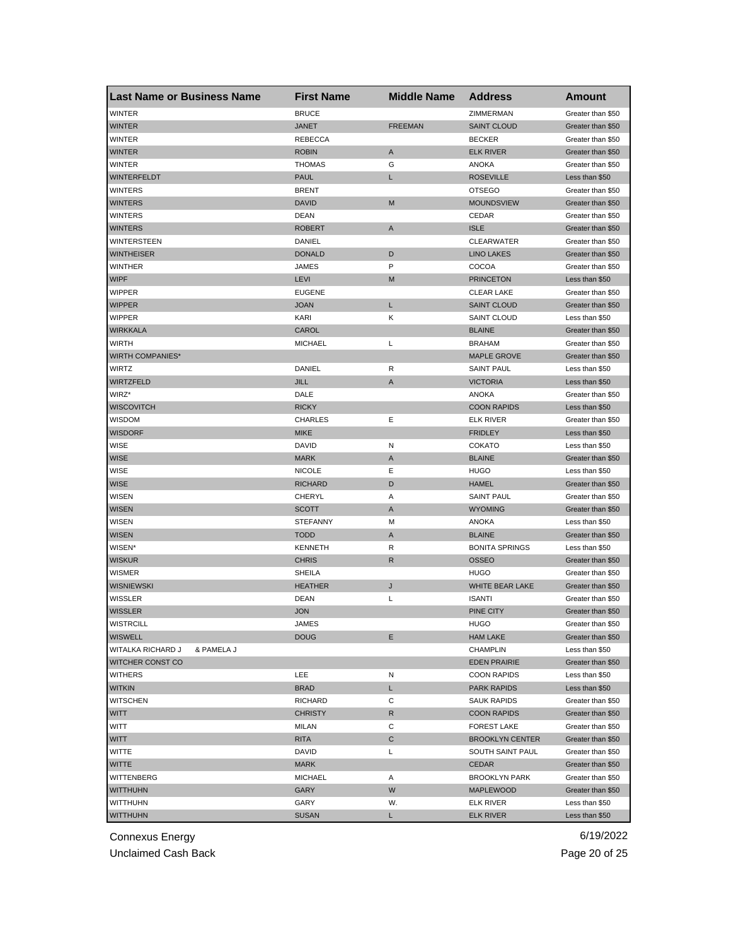| <b>Last Name or Business Name</b> | <b>First Name</b> | <b>Middle Name</b> | <b>Address</b>         | <b>Amount</b>     |
|-----------------------------------|-------------------|--------------------|------------------------|-------------------|
| <b>WINTER</b>                     | <b>BRUCE</b>      |                    | ZIMMERMAN              | Greater than \$50 |
| <b>WINTER</b>                     | JANET             | <b>FREEMAN</b>     | <b>SAINT CLOUD</b>     | Greater than \$50 |
| <b>WINTER</b>                     | <b>REBECCA</b>    |                    | <b>BECKER</b>          | Greater than \$50 |
| <b>WINTER</b>                     | <b>ROBIN</b>      | A                  | <b>ELK RIVER</b>       | Greater than \$50 |
| <b>WINTER</b>                     | <b>THOMAS</b>     | G                  | ANOKA                  | Greater than \$50 |
| <b>WINTERFELDT</b>                | <b>PAUL</b>       | L                  | <b>ROSEVILLE</b>       | Less than \$50    |
| WINTERS                           | <b>BRENT</b>      |                    | <b>OTSEGO</b>          | Greater than \$50 |
| <b>WINTERS</b>                    | <b>DAVID</b>      | M                  | <b>MOUNDSVIEW</b>      | Greater than \$50 |
| WINTERS                           | DEAN              |                    | CEDAR                  | Greater than \$50 |
| <b>WINTERS</b>                    | <b>ROBERT</b>     | A                  | <b>ISLE</b>            | Greater than \$50 |
| WINTERSTEEN                       | DANIEL            |                    | <b>CLEARWATER</b>      | Greater than \$50 |
| <b>WINTHEISER</b>                 | <b>DONALD</b>     | D                  | <b>LINO LAKES</b>      | Greater than \$50 |
| <b>WINTHER</b>                    | JAMES             | P                  | COCOA                  | Greater than \$50 |
| <b>WIPF</b>                       | <b>LEVI</b>       | M                  | <b>PRINCETON</b>       | Less than \$50    |
| WIPPER                            | <b>EUGENE</b>     |                    | <b>CLEAR LAKE</b>      | Greater than \$50 |
| <b>WIPPER</b>                     | JOAN              | Г                  | <b>SAINT CLOUD</b>     | Greater than \$50 |
| <b>WIPPER</b>                     | KARI              | Κ                  | <b>SAINT CLOUD</b>     | Less than \$50    |
| <b>WIRKKALA</b>                   | CAROL             |                    | <b>BLAINE</b>          | Greater than \$50 |
| <b>WIRTH</b>                      | <b>MICHAEL</b>    | Г                  | <b>BRAHAM</b>          | Greater than \$50 |
| <b>WIRTH COMPANIES*</b>           |                   |                    | <b>MAPLE GROVE</b>     | Greater than \$50 |
| <b>WIRTZ</b>                      | DANIEL            | R                  | <b>SAINT PAUL</b>      | Less than \$50    |
| <b>WIRTZFELD</b>                  | <b>JILL</b>       | A                  | <b>VICTORIA</b>        | Less than \$50    |
| WIRZ*                             | DALE              |                    | <b>ANOKA</b>           | Greater than \$50 |
| <b>WISCOVITCH</b>                 | <b>RICKY</b>      |                    | <b>COON RAPIDS</b>     | Less than \$50    |
| WISDOM                            | CHARLES           | Е                  | <b>ELK RIVER</b>       | Greater than \$50 |
| <b>WISDORF</b>                    | <b>MIKE</b>       |                    | <b>FRIDLEY</b>         | Less than \$50    |
| WISE                              | DAVID             | Ν                  | <b>COKATO</b>          | Less than \$50    |
| <b>WISE</b>                       | <b>MARK</b>       | A                  | <b>BLAINE</b>          | Greater than \$50 |
| <b>WISE</b>                       | <b>NICOLE</b>     | Ε                  | HUGO                   | Less than \$50    |
| <b>WISE</b>                       | <b>RICHARD</b>    | D                  | <b>HAMEL</b>           | Greater than \$50 |
|                                   |                   |                    |                        |                   |
| <b>WISEN</b>                      | CHERYL            | Α                  | <b>SAINT PAUL</b>      | Greater than \$50 |
| <b>WISEN</b>                      | <b>SCOTT</b>      | A                  | <b>WYOMING</b>         | Greater than \$50 |
| <b>WISEN</b>                      | <b>STEFANNY</b>   | М                  | <b>ANOKA</b>           | Less than \$50    |
| <b>WISEN</b>                      | <b>TODD</b>       | A                  | <b>BLAINE</b>          | Greater than \$50 |
| WISEN*                            | <b>KENNETH</b>    | R                  | <b>BONITA SPRINGS</b>  | Less than \$50    |
| <b>WISKUR</b>                     | <b>CHRIS</b>      | R                  | <b>OSSEO</b>           | Greater than \$50 |
| <b>WISMER</b>                     | SHEILA            |                    | <b>HUGO</b>            | Greater than \$50 |
| <b>WISNIEWSKI</b>                 | <b>HEATHER</b>    | J                  | WHITE BEAR LAKE        | Greater than \$50 |
| WISSLER                           | DEAN              | L                  | <b>ISANTI</b>          | Greater than \$50 |
| <b>WISSLER</b>                    | JON               |                    | PINE CITY              | Greater than \$50 |
| WISTRCILL                         | JAMES             |                    | <b>HUGO</b>            | Greater than \$50 |
| <b>WISWELL</b>                    | DOUG              | Е                  | <b>HAM LAKE</b>        | Greater than \$50 |
| WITALKA RICHARD J<br>& PAMELA J   |                   |                    | <b>CHAMPLIN</b>        | Less than \$50    |
| WITCHER CONST CO                  |                   |                    | <b>EDEN PRAIRIE</b>    | Greater than \$50 |
| <b>WITHERS</b>                    | LEE               | Ν                  | <b>COON RAPIDS</b>     | Less than \$50    |
| <b>WITKIN</b>                     | BRAD              | L.                 | <b>PARK RAPIDS</b>     | Less than \$50    |
| <b>WITSCHEN</b>                   | RICHARD           | С                  | <b>SAUK RAPIDS</b>     | Greater than \$50 |
| <b>WITT</b>                       | <b>CHRISTY</b>    | R                  | <b>COON RAPIDS</b>     | Greater than \$50 |
| <b>WITT</b>                       | <b>MILAN</b>      | С                  | <b>FOREST LAKE</b>     | Greater than \$50 |
| WITT                              | <b>RITA</b>       | С                  | <b>BROOKLYN CENTER</b> | Greater than \$50 |
| WITTE                             | DAVID             | L                  | SOUTH SAINT PAUL       | Greater than \$50 |
| <b>WITTE</b>                      | <b>MARK</b>       |                    | <b>CEDAR</b>           | Greater than \$50 |
| WITTENBERG                        | MICHAEL           | Α                  | <b>BROOKLYN PARK</b>   | Greater than \$50 |
| <b>WITTHUHN</b>                   | GARY              | W                  | <b>MAPLEWOOD</b>       | Greater than \$50 |
| WITTHUHN                          | GARY              | W.                 | <b>ELK RIVER</b>       | Less than \$50    |
| <b>WITTHUHN</b>                   | <b>SUSAN</b>      | L.                 | <b>ELK RIVER</b>       | Less than \$50    |

Unclaimed Cash Back **Page 20 of 25**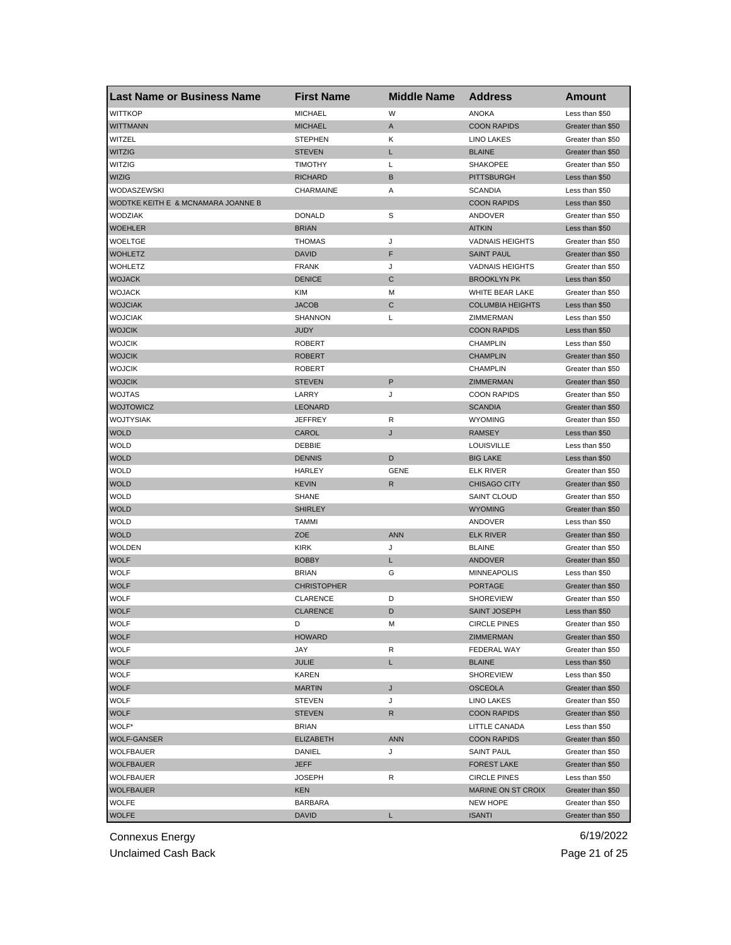| <b>Last Name or Business Name</b>  | <b>First Name</b>  | <b>Middle Name</b> | <b>Address</b>          | <b>Amount</b>     |
|------------------------------------|--------------------|--------------------|-------------------------|-------------------|
| <b>WITTKOP</b>                     | <b>MICHAEL</b>     | W                  | <b>ANOKA</b>            | Less than \$50    |
| <b>WITTMANN</b>                    | <b>MICHAEL</b>     | A                  | <b>COON RAPIDS</b>      | Greater than \$50 |
| WITZEL                             | <b>STEPHEN</b>     | Κ                  | <b>LINO LAKES</b>       | Greater than \$50 |
| <b>WITZIG</b>                      | <b>STEVEN</b>      | L                  | <b>BLAINE</b>           | Greater than \$50 |
| WITZIG                             | TIMOTHY            | L                  | <b>SHAKOPEE</b>         | Greater than \$50 |
| <b>WIZIG</b>                       | <b>RICHARD</b>     | B                  | <b>PITTSBURGH</b>       | Less than \$50    |
| WODASZEWSKI                        | CHARMAINE          | Α                  | <b>SCANDIA</b>          | Less than \$50    |
| WODTKE KEITH E & MCNAMARA JOANNE B |                    |                    | <b>COON RAPIDS</b>      | Less than \$50    |
| <b>WODZIAK</b>                     | <b>DONALD</b>      | S                  | ANDOVER                 | Greater than \$50 |
| <b>WOEHLER</b>                     | <b>BRIAN</b>       |                    | <b>AITKIN</b>           | Less than \$50    |
| WOELTGE                            | <b>THOMAS</b>      | J                  | <b>VADNAIS HEIGHTS</b>  | Greater than \$50 |
| <b>WOHLETZ</b>                     | <b>DAVID</b>       | F                  | <b>SAINT PAUL</b>       | Greater than \$50 |
| <b>WOHLETZ</b>                     | <b>FRANK</b>       | J                  | <b>VADNAIS HEIGHTS</b>  | Greater than \$50 |
| <b>WOJACK</b>                      | <b>DENICE</b>      | C                  | <b>BROOKLYN PK</b>      | Less than \$50    |
| <b>WOJACK</b>                      | KIM                | M                  | WHITE BEAR LAKE         | Greater than \$50 |
| <b>WOJCIAK</b>                     | <b>JACOB</b>       | C                  | <b>COLUMBIA HEIGHTS</b> | Less than \$50    |
| <b>WOJCIAK</b>                     | <b>SHANNON</b>     | L                  | ZIMMERMAN               | Less than \$50    |
| <b>WOJCIK</b>                      | <b>JUDY</b>        |                    | <b>COON RAPIDS</b>      | Less than \$50    |
| <b>WOJCIK</b>                      | <b>ROBERT</b>      |                    | <b>CHAMPLIN</b>         | Less than \$50    |
| <b>WOJCIK</b>                      | <b>ROBERT</b>      |                    | <b>CHAMPLIN</b>         | Greater than \$50 |
| <b>WOJCIK</b>                      | <b>ROBERT</b>      |                    | <b>CHAMPLIN</b>         | Greater than \$50 |
| <b>WOJCIK</b>                      | <b>STEVEN</b>      | P                  | ZIMMERMAN               | Greater than \$50 |
| <b>WOJTAS</b>                      | LARRY              | J                  | <b>COON RAPIDS</b>      | Greater than \$50 |
| <b>WOJTOWICZ</b>                   | <b>LEONARD</b>     |                    | <b>SCANDIA</b>          | Greater than \$50 |
| WOJTYSIAK                          | <b>JEFFREY</b>     | R                  | <b>WYOMING</b>          | Greater than \$50 |
| <b>WOLD</b>                        | CAROL              | J                  | <b>RAMSEY</b>           | Less than \$50    |
| <b>WOLD</b>                        | DEBBIE             |                    | <b>LOUISVILLE</b>       | Less than \$50    |
| <b>WOLD</b>                        | <b>DENNIS</b>      | D                  | <b>BIG LAKE</b>         | Less than \$50    |
| <b>WOLD</b>                        | HARLEY             | GENE               | <b>ELK RIVER</b>        | Greater than \$50 |
| <b>WOLD</b>                        | <b>KEVIN</b>       | R                  | <b>CHISAGO CITY</b>     | Greater than \$50 |
| <b>WOLD</b>                        | <b>SHANE</b>       |                    | <b>SAINT CLOUD</b>      | Greater than \$50 |
| <b>WOLD</b>                        | <b>SHIRLEY</b>     |                    | <b>WYOMING</b>          | Greater than \$50 |
| <b>WOLD</b>                        | <b>TAMMI</b>       |                    | ANDOVER                 | Less than \$50    |
| <b>WOLD</b>                        | <b>ZOE</b>         | <b>ANN</b>         | <b>ELK RIVER</b>        | Greater than \$50 |
| <b>WOLDEN</b>                      | <b>KIRK</b>        | J                  | <b>BLAINE</b>           | Greater than \$50 |
| <b>WOLF</b>                        | <b>BOBBY</b>       | L                  | <b>ANDOVER</b>          | Greater than \$50 |
| <b>WOLF</b>                        | <b>BRIAN</b>       | G                  | <b>MINNEAPOLIS</b>      | Less than \$50    |
| <b>WOLF</b>                        | <b>CHRISTOPHER</b> |                    | <b>PORTAGE</b>          | Greater than \$50 |
| <b>WOLF</b>                        | <b>CLARENCE</b>    | D                  | <b>SHOREVIEW</b>        | Greater than \$50 |
| <b>WOLF</b>                        | <b>CLARENCE</b>    | D                  | <b>SAINT JOSEPH</b>     | Less than \$50    |
| WOLF                               | D.                 | M                  | <b>CIRCLE PINES</b>     | Greater than \$50 |
| <b>WOLF</b>                        | <b>HOWARD</b>      |                    | ZIMMERMAN               | Greater than \$50 |
| <b>WOLF</b>                        | JAY                | R                  | FEDERAL WAY             | Greater than \$50 |
| <b>WOLF</b>                        | JULIE              | L.                 | <b>BLAINE</b>           | Less than \$50    |
| <b>WOLF</b>                        | KAREN              |                    | <b>SHOREVIEW</b>        | Less than \$50    |
| <b>WOLF</b>                        | <b>MARTIN</b>      | J                  | <b>OSCEOLA</b>          | Greater than \$50 |
| <b>WOLF</b>                        | <b>STEVEN</b>      | J                  | <b>LINO LAKES</b>       | Greater than \$50 |
| <b>WOLF</b>                        | <b>STEVEN</b>      | R                  | <b>COON RAPIDS</b>      | Greater than \$50 |
| WOLF*                              | <b>BRIAN</b>       |                    | LITTLE CANADA           | Less than \$50    |
| WOLF-GANSER                        | <b>ELIZABETH</b>   | <b>ANN</b>         | <b>COON RAPIDS</b>      | Greater than \$50 |
| WOLFBAUER                          | DANIEL             | J                  | <b>SAINT PAUL</b>       | Greater than \$50 |
| <b>WOLFBAUER</b>                   | <b>JEFF</b>        |                    | <b>FOREST LAKE</b>      | Greater than \$50 |
| WOLFBAUER                          | JOSEPH             | R                  | <b>CIRCLE PINES</b>     | Less than \$50    |
| <b>WOLFBAUER</b>                   | KEN                |                    | MARINE ON ST CROIX      | Greater than \$50 |
| <b>WOLFE</b>                       | BARBARA            |                    | NEW HOPE                | Greater than \$50 |
| <b>WOLFE</b>                       | <b>DAVID</b>       | L                  | <b>ISANTI</b>           | Greater than \$50 |

Unclaimed Cash Back **Page 21 of 25**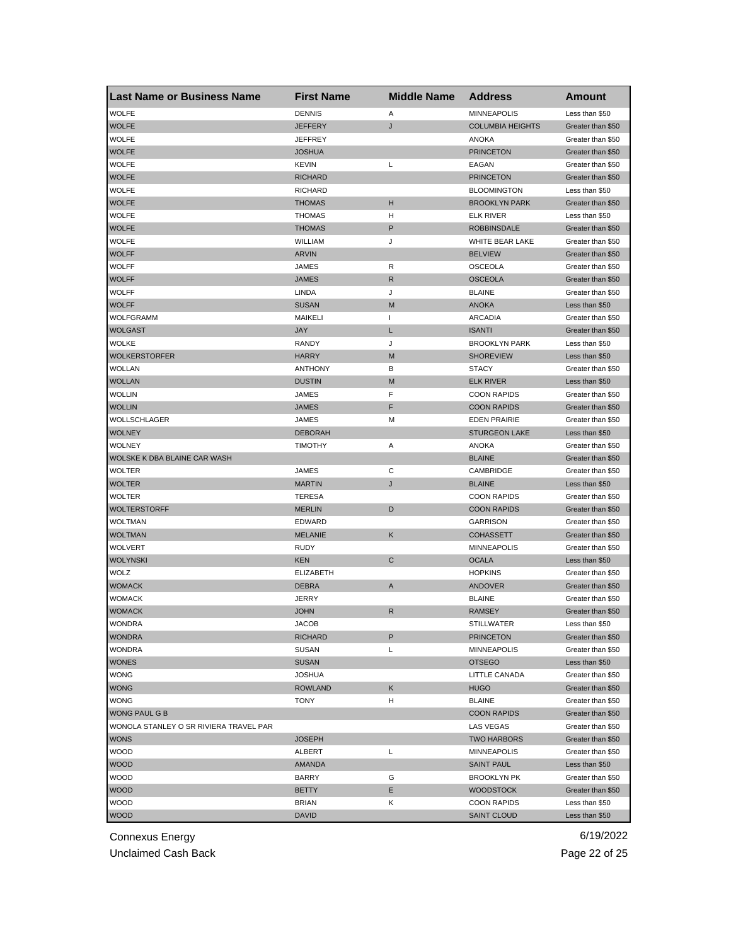| <b>Last Name or Business Name</b>      | <b>First Name</b> | <b>Middle Name</b>       | <b>Address</b>          | Amount            |
|----------------------------------------|-------------------|--------------------------|-------------------------|-------------------|
| <b>WOLFE</b>                           | <b>DENNIS</b>     | Α                        | <b>MINNEAPOLIS</b>      | Less than \$50    |
| <b>WOLFE</b>                           | <b>JEFFERY</b>    | J                        | <b>COLUMBIA HEIGHTS</b> | Greater than \$50 |
| <b>WOLFE</b>                           | <b>JEFFREY</b>    |                          | <b>ANOKA</b>            | Greater than \$50 |
| <b>WOLFE</b>                           | <b>JOSHUA</b>     |                          | <b>PRINCETON</b>        | Greater than \$50 |
| <b>WOLFE</b>                           | <b>KEVIN</b>      | Г                        | EAGAN                   | Greater than \$50 |
| <b>WOLFE</b>                           | <b>RICHARD</b>    |                          | <b>PRINCETON</b>        | Greater than \$50 |
| WOLFE                                  | <b>RICHARD</b>    |                          | <b>BLOOMINGTON</b>      | Less than \$50    |
| <b>WOLFE</b>                           | <b>THOMAS</b>     | н                        | <b>BROOKLYN PARK</b>    | Greater than \$50 |
| <b>WOLFE</b>                           | <b>THOMAS</b>     | н                        | <b>ELK RIVER</b>        | Less than \$50    |
| <b>WOLFE</b>                           | <b>THOMAS</b>     | P                        | <b>ROBBINSDALE</b>      | Greater than \$50 |
| <b>WOLFE</b>                           | WILLIAM           | J                        | WHITE BEAR LAKE         | Greater than \$50 |
| <b>WOLFF</b>                           | ARVIN             |                          | <b>BELVIEW</b>          | Greater than \$50 |
| <b>WOLFF</b>                           | JAMES             | R                        | <b>OSCEOLA</b>          | Greater than \$50 |
| <b>WOLFF</b>                           | <b>JAMES</b>      | R                        | <b>OSCEOLA</b>          | Greater than \$50 |
| <b>WOLFF</b>                           | LINDA             | J                        | <b>BLAINE</b>           | Greater than \$50 |
| <b>WOLFF</b>                           | <b>SUSAN</b>      | M                        | <b>ANOKA</b>            | Less than \$50    |
| WOLFGRAMM                              | <b>MAIKELI</b>    | $\overline{\phantom{a}}$ | <b>ARCADIA</b>          | Greater than \$50 |
| <b>WOLGAST</b>                         | <b>JAY</b>        | L                        | <b>ISANTI</b>           | Greater than \$50 |
| <b>WOLKE</b>                           | RANDY             | J                        | <b>BROOKLYN PARK</b>    | Less than \$50    |
| <b>WOLKERSTORFER</b>                   | <b>HARRY</b>      | M                        | <b>SHOREVIEW</b>        | Less than \$50    |
| <b>WOLLAN</b>                          | <b>ANTHONY</b>    | В                        | <b>STACY</b>            | Greater than \$50 |
| <b>WOLLAN</b>                          | <b>DUSTIN</b>     | M                        | <b>ELK RIVER</b>        | Less than \$50    |
| <b>WOLLIN</b>                          | JAMES             | F                        | <b>COON RAPIDS</b>      | Greater than \$50 |
| <b>WOLLIN</b>                          | <b>JAMES</b>      | F                        | <b>COON RAPIDS</b>      | Greater than \$50 |
| WOLLSCHLAGER                           | JAMES             | M                        | <b>EDEN PRAIRIE</b>     | Greater than \$50 |
| <b>WOLNEY</b>                          | <b>DEBORAH</b>    |                          | <b>STURGEON LAKE</b>    | Less than \$50    |
| WOLNEY                                 | <b>TIMOTHY</b>    | Α                        | ANOKA                   | Greater than \$50 |
| WOLSKE K DBA BLAINE CAR WASH           |                   |                          | <b>BLAINE</b>           | Greater than \$50 |
| WOLTER                                 | JAMES             | С                        | CAMBRIDGE               | Greater than \$50 |
| <b>WOLTER</b>                          | <b>MARTIN</b>     | J                        | <b>BLAINE</b>           | Less than \$50    |
| <b>WOLTER</b>                          | <b>TERESA</b>     |                          | <b>COON RAPIDS</b>      | Greater than \$50 |
| <b>WOLTERSTORFF</b>                    | <b>MERLIN</b>     | D                        | <b>COON RAPIDS</b>      | Greater than \$50 |
| WOLTMAN                                | EDWARD            |                          | <b>GARRISON</b>         | Greater than \$50 |
| <b>WOLTMAN</b>                         | <b>MELANIE</b>    | Κ                        | <b>COHASSETT</b>        | Greater than \$50 |
| WOLVERT                                | <b>RUDY</b>       |                          | <b>MINNEAPOLIS</b>      | Greater than \$50 |
| <b>WOLYNSKI</b>                        | <b>KEN</b>        | $\mathbf C$              | <b>OCALA</b>            | Less than \$50    |
| WOLZ                                   | <b>ELIZABETH</b>  |                          | <b>HOPKINS</b>          | Greater than \$50 |
| <b>WOMACK</b>                          | <b>DEBRA</b>      | Α                        | ANDOVER                 | Greater than \$50 |
| WOMACK                                 | JERRY             |                          | <b>BLAINE</b>           | Greater than \$50 |
| <b>WOMACK</b>                          | JOHN              | R                        | <b>RAMSEY</b>           | Greater than \$50 |
| WONDRA                                 | <b>JACOB</b>      |                          | SIILLWAIER              | Less than \$50    |
| <b>WONDRA</b>                          | <b>RICHARD</b>    | P                        | <b>PRINCETON</b>        | Greater than \$50 |
| <b>WONDRA</b>                          | <b>SUSAN</b>      | L                        | <b>MINNEAPOLIS</b>      | Greater than \$50 |
| <b>WONES</b>                           | <b>SUSAN</b>      |                          | <b>OTSEGO</b>           | Less than \$50    |
| WONG                                   | <b>JOSHUA</b>     |                          | LITTLE CANADA           | Greater than \$50 |
| <b>WONG</b>                            | <b>ROWLAND</b>    | Κ                        | <b>HUGO</b>             | Greater than \$50 |
| <b>WONG</b>                            | <b>TONY</b>       | н                        | <b>BLAINE</b>           | Greater than \$50 |
| <b>WONG PAUL G B</b>                   |                   |                          | <b>COON RAPIDS</b>      | Greater than \$50 |
| WONOLA STANLEY O SR RIVIERA TRAVEL PAR |                   |                          | LAS VEGAS               | Greater than \$50 |
| <b>WONS</b>                            | <b>JOSEPH</b>     |                          | <b>TWO HARBORS</b>      | Greater than \$50 |
| <b>WOOD</b>                            | ALBERT            | L                        | MINNEAPOLIS             | Greater than \$50 |
| <b>WOOD</b>                            | <b>AMANDA</b>     |                          | <b>SAINT PAUL</b>       | Less than \$50    |
| <b>WOOD</b>                            | <b>BARRY</b>      | G                        | <b>BROOKLYN PK</b>      | Greater than \$50 |
| <b>WOOD</b>                            | BETTY             | Е                        | <b>WOODSTOCK</b>        | Greater than \$50 |
| <b>WOOD</b>                            | <b>BRIAN</b>      | Κ                        | <b>COON RAPIDS</b>      | Less than \$50    |
|                                        | <b>DAVID</b>      |                          |                         |                   |
| <b>WOOD</b>                            |                   |                          | <b>SAINT CLOUD</b>      | Less than \$50    |

Unclaimed Cash Back **Page 22 of 25**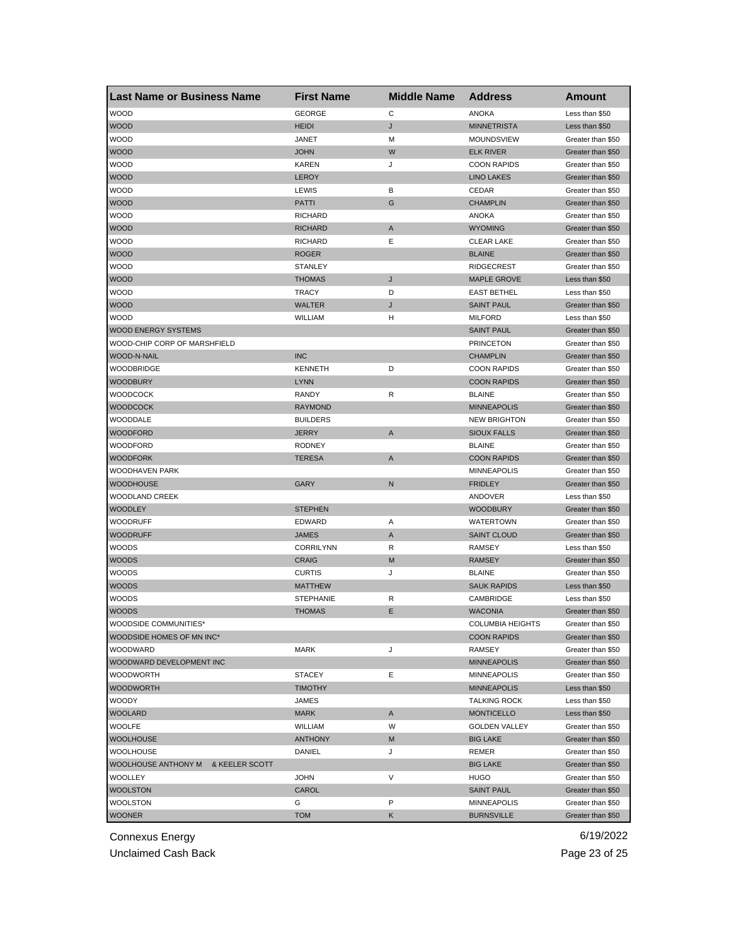| <b>Last Name or Business Name</b> | <b>First Name</b> | <b>Middle Name</b> | <b>Address</b>          | <b>Amount</b>     |
|-----------------------------------|-------------------|--------------------|-------------------------|-------------------|
| <b>WOOD</b>                       | <b>GEORGE</b>     | С                  | <b>ANOKA</b>            | Less than \$50    |
| <b>WOOD</b>                       | <b>HEIDI</b>      | J                  | <b>MINNETRISTA</b>      | Less than \$50    |
| <b>WOOD</b>                       | JANET             | М                  | MOUNDSVIEW              | Greater than \$50 |
| <b>WOOD</b>                       | <b>JOHN</b>       | W                  | <b>ELK RIVER</b>        | Greater than \$50 |
| <b>WOOD</b>                       | <b>KAREN</b>      | J                  | <b>COON RAPIDS</b>      | Greater than \$50 |
| <b>WOOD</b>                       | <b>LEROY</b>      |                    | <b>LINO LAKES</b>       | Greater than \$50 |
| <b>WOOD</b>                       | LEWIS             | в                  | CEDAR                   | Greater than \$50 |
| <b>WOOD</b>                       | <b>PATTI</b>      | G                  | <b>CHAMPLIN</b>         | Greater than \$50 |
| <b>WOOD</b>                       | <b>RICHARD</b>    |                    | ANOKA                   | Greater than \$50 |
| <b>WOOD</b>                       | <b>RICHARD</b>    | Α                  | <b>WYOMING</b>          | Greater than \$50 |
| <b>WOOD</b>                       | <b>RICHARD</b>    | Ε                  | <b>CLEAR LAKE</b>       | Greater than \$50 |
| <b>WOOD</b>                       | <b>ROGER</b>      |                    | <b>BLAINE</b>           | Greater than \$50 |
| <b>WOOD</b>                       | <b>STANLEY</b>    |                    | <b>RIDGECREST</b>       | Greater than \$50 |
| <b>WOOD</b>                       | <b>THOMAS</b>     | J                  | <b>MAPLE GROVE</b>      | Less than \$50    |
| <b>WOOD</b>                       | <b>TRACY</b>      | D                  | <b>EAST BETHEL</b>      | Less than \$50    |
| <b>WOOD</b>                       | <b>WALTER</b>     | J                  | <b>SAINT PAUL</b>       | Greater than \$50 |
| <b>WOOD</b>                       | WILLIAM           | н                  | <b>MILFORD</b>          | Less than \$50    |
| <b>WOOD ENERGY SYSTEMS</b>        |                   |                    | <b>SAINT PAUL</b>       | Greater than \$50 |
| WOOD-CHIP CORP OF MARSHFIELD      |                   |                    | <b>PRINCETON</b>        | Greater than \$50 |
| WOOD-N-NAIL                       | <b>INC</b>        |                    | <b>CHAMPLIN</b>         | Greater than \$50 |
| <b>WOODBRIDGE</b>                 | <b>KENNETH</b>    | D                  | <b>COON RAPIDS</b>      | Greater than \$50 |
| <b>WOODBURY</b>                   | <b>LYNN</b>       |                    | <b>COON RAPIDS</b>      | Greater than \$50 |
| <b>WOODCOCK</b>                   | <b>RANDY</b>      | R                  | <b>BLAINE</b>           | Greater than \$50 |
| <b>WOODCOCK</b>                   | <b>RAYMOND</b>    |                    | <b>MINNEAPOLIS</b>      | Greater than \$50 |
| WOODDALE                          | <b>BUILDERS</b>   |                    | <b>NEW BRIGHTON</b>     | Greater than \$50 |
| <b>WOODFORD</b>                   | <b>JERRY</b>      | A                  | <b>SIOUX FALLS</b>      | Greater than \$50 |
| WOODFORD                          | <b>RODNEY</b>     |                    | <b>BLAINE</b>           | Greater than \$50 |
| <b>WOODFORK</b>                   | TERESA            | A                  | <b>COON RAPIDS</b>      | Greater than \$50 |
| WOODHAVEN PARK                    |                   |                    | <b>MINNEAPOLIS</b>      | Greater than \$50 |
| <b>WOODHOUSE</b>                  | GARY              | N                  | <b>FRIDLEY</b>          | Greater than \$50 |
| <b>WOODLAND CREEK</b>             |                   |                    | ANDOVER                 | Less than \$50    |
| <b>WOODLEY</b>                    | <b>STEPHEN</b>    |                    | <b>WOODBURY</b>         | Greater than \$50 |
| <b>WOODRUFF</b>                   | EDWARD            | Α                  | <b>WATERTOWN</b>        | Greater than \$50 |
| WOODRUFF                          | <b>JAMES</b>      | A                  | <b>SAINT CLOUD</b>      | Greater than \$50 |
| WOODS                             | <b>CORRILYNN</b>  | R                  | <b>RAMSEY</b>           | Less than \$50    |
| <b>WOODS</b>                      | <b>CRAIG</b>      | M                  | <b>RAMSEY</b>           | Greater than \$50 |
| <b>WOODS</b>                      | <b>CURTIS</b>     | J                  | <b>BLAINE</b>           | Greater than \$50 |
| <b>WOODS</b>                      | <b>MATTHEW</b>    |                    | <b>SAUK RAPIDS</b>      | Less than \$50    |
| WOODS                             | <b>STEPHANIE</b>  | R                  | CAMBRIDGE               | Less than \$50    |
| <b>WOODS</b>                      | <b>THOMAS</b>     | Ε                  | WACONIA                 | Greater than \$50 |
| WOODSIDE COMMUNITIES*             |                   |                    | <b>COLUMBIA HEIGHTS</b> | Greater than \$50 |
| WOODSIDE HOMES OF MN INC*         |                   |                    | <b>COON RAPIDS</b>      | Greater than \$50 |
| WOODWARD                          | MARK              | J                  | <b>RAMSEY</b>           | Greater than \$50 |
| WOODWARD DEVELOPMENT INC          |                   |                    | <b>MINNEAPOLIS</b>      | Greater than \$50 |
| WOODWORTH                         | <b>STACEY</b>     | Ε                  | <b>MINNEAPOLIS</b>      | Greater than \$50 |
| <b>WOODWORTH</b>                  | <b>TIMOTHY</b>    |                    | <b>MINNEAPOLIS</b>      | Less than \$50    |
| WOODY                             | JAMES             |                    | <b>TALKING ROCK</b>     | Less than \$50    |
| <b>WOOLARD</b>                    | <b>MARK</b>       | A                  | <b>MONTICELLO</b>       | Less than \$50    |
| WOOLFE                            | <b>WILLIAM</b>    | W                  | <b>GOLDEN VALLEY</b>    | Greater than \$50 |
| <b>WOOLHOUSE</b>                  | <b>ANTHONY</b>    | M                  | <b>BIG LAKE</b>         | Greater than \$50 |
| <b>WOOLHOUSE</b>                  | DANIEL            | J                  | REMER                   | Greater than \$50 |
| WOOLHOUSE ANTHONY M               |                   |                    |                         |                   |
| & KEELER SCOTT                    |                   | V                  | <b>BIG LAKE</b>         | Greater than \$50 |
| WOOLLEY                           | <b>JOHN</b>       |                    | <b>HUGO</b>             | Greater than \$50 |
| <b>WOOLSTON</b>                   | CAROL             |                    | <b>SAINT PAUL</b>       | Greater than \$50 |
| WOOLSTON                          | G                 | P                  | MINNEAPOLIS             | Greater than \$50 |
| <b>WOONER</b>                     | <b>TOM</b>        | Κ                  | <b>BURNSVILLE</b>       | Greater than \$50 |

Unclaimed Cash Back **Page 23 of 25**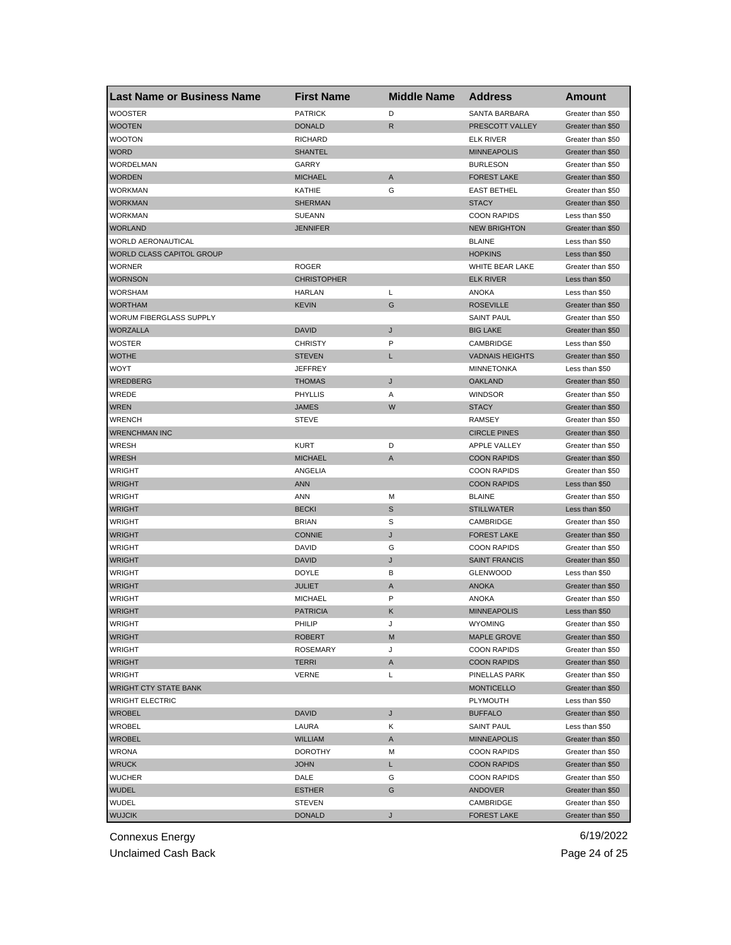| <b>Last Name or Business Name</b> | <b>First Name</b>  | <b>Middle Name</b> | <b>Address</b>         | <b>Amount</b>     |
|-----------------------------------|--------------------|--------------------|------------------------|-------------------|
| <b>WOOSTER</b>                    | <b>PATRICK</b>     | D                  | <b>SANTA BARBARA</b>   | Greater than \$50 |
| <b>WOOTEN</b>                     | <b>DONALD</b>      | R                  | PRESCOTT VALLEY        | Greater than \$50 |
| <b>WOOTON</b>                     | <b>RICHARD</b>     |                    | <b>ELK RIVER</b>       | Greater than \$50 |
| <b>WORD</b>                       | <b>SHANTEL</b>     |                    | <b>MINNEAPOLIS</b>     | Greater than \$50 |
| WORDELMAN                         | GARRY              |                    | <b>BURLESON</b>        | Greater than \$50 |
| <b>WORDEN</b>                     | <b>MICHAEL</b>     | A                  | <b>FOREST LAKE</b>     | Greater than \$50 |
| WORKMAN                           | KATHIE             | G                  | <b>EAST BETHEL</b>     | Greater than \$50 |
| <b>WORKMAN</b>                    | <b>SHERMAN</b>     |                    | <b>STACY</b>           | Greater than \$50 |
| <b>WORKMAN</b>                    | <b>SUEANN</b>      |                    | <b>COON RAPIDS</b>     | Less than \$50    |
| <b>WORLAND</b>                    | <b>JENNIFER</b>    |                    | <b>NEW BRIGHTON</b>    | Greater than \$50 |
| WORLD AERONAUTICAL                |                    |                    | <b>BLAINE</b>          | Less than \$50    |
| WORLD CLASS CAPITOL GROUP         |                    |                    | <b>HOPKINS</b>         | Less than \$50    |
| <b>WORNER</b>                     | <b>ROGER</b>       |                    | WHITE BEAR LAKE        | Greater than \$50 |
| <b>WORNSON</b>                    | <b>CHRISTOPHER</b> |                    | <b>ELK RIVER</b>       | Less than \$50    |
| <b>WORSHAM</b>                    | HARLAN             | L                  | <b>ANOKA</b>           | Less than \$50    |
| <b>WORTHAM</b>                    | <b>KEVIN</b>       | G                  | <b>ROSEVILLE</b>       | Greater than \$50 |
| <b>WORUM FIBERGLASS SUPPLY</b>    |                    |                    | <b>SAINT PAUL</b>      | Greater than \$50 |
| <b>WORZALLA</b>                   | <b>DAVID</b>       | J                  | <b>BIG LAKE</b>        | Greater than \$50 |
| <b>WOSTER</b>                     | <b>CHRISTY</b>     | P                  | CAMBRIDGE              | Less than \$50    |
| <b>WOTHE</b>                      | <b>STEVEN</b>      | L                  | <b>VADNAIS HEIGHTS</b> | Greater than \$50 |
| WOYT                              | <b>JEFFREY</b>     |                    | <b>MINNETONKA</b>      | Less than \$50    |
| WREDBERG                          | <b>THOMAS</b>      | J                  | <b>OAKLAND</b>         | Greater than \$50 |
| WREDE                             | PHYLLIS            | Α                  | <b>WINDSOR</b>         | Greater than \$50 |
| <b>WREN</b>                       | <b>JAMES</b>       | W                  | <b>STACY</b>           | Greater than \$50 |
| <b>WRENCH</b>                     | <b>STEVE</b>       |                    | <b>RAMSEY</b>          | Greater than \$50 |
| <b>WRENCHMAN INC</b>              |                    |                    | <b>CIRCLE PINES</b>    | Greater than \$50 |
| WRESH                             | <b>KURT</b>        | D                  | APPLE VALLEY           | Greater than \$50 |
| <b>WRESH</b>                      | <b>MICHAEL</b>     | A                  | <b>COON RAPIDS</b>     | Greater than \$50 |
| WRIGHT                            | ANGELIA            |                    | <b>COON RAPIDS</b>     | Greater than \$50 |
| <b>WRIGHT</b>                     | <b>ANN</b>         |                    | <b>COON RAPIDS</b>     | Less than \$50    |
| <b>WRIGHT</b>                     | <b>ANN</b>         | M                  | <b>BLAINE</b>          | Greater than \$50 |
| <b>WRIGHT</b>                     | <b>BECKI</b>       | $\mathbb S$        | <b>STILLWATER</b>      | Less than \$50    |
| <b>WRIGHT</b>                     | <b>BRIAN</b>       | S                  | CAMBRIDGE              | Greater than \$50 |
| <b>WRIGHT</b>                     | <b>CONNIE</b>      | J                  | <b>FOREST LAKE</b>     | Greater than \$50 |
| <b>WRIGHT</b>                     | DAVID              | G                  | <b>COON RAPIDS</b>     | Greater than \$50 |
| <b>WRIGHT</b>                     | <b>DAVID</b>       | J                  | <b>SAINT FRANCIS</b>   | Greater than \$50 |
| <b>WRIGHT</b>                     | <b>DOYLE</b>       | В                  | <b>GLENWOOD</b>        | Less than \$50    |
| <b>WRIGHT</b>                     | <b>JULIET</b>      | A                  | <b>ANOKA</b>           | Greater than \$50 |
| <b>WRIGHT</b>                     | <b>MICHAEL</b>     | P                  | <b>ANOKA</b>           | Greater than \$50 |
| <b>WRIGHT</b>                     | <b>PATRICIA</b>    | Κ                  | <b>MINNEAPOLIS</b>     | Less than \$50    |
| WRIGHT                            | PHILIP             | J                  | <b>WYOMING</b>         | Greater than \$50 |
| <b>WRIGHT</b>                     | <b>ROBERT</b>      | M                  | <b>MAPLE GROVE</b>     | Greater than \$50 |
| WRIGHT                            | <b>ROSEMARY</b>    | J                  | <b>COON RAPIDS</b>     | Greater than \$50 |
| <b>WRIGHT</b>                     | TERRI              | A                  | <b>COON RAPIDS</b>     | Greater than \$50 |
| <b>WRIGHT</b>                     | <b>VERNE</b>       | L                  | PINELLAS PARK          | Greater than \$50 |
| <b>WRIGHT CTY STATE BANK</b>      |                    |                    | <b>MONTICELLO</b>      | Greater than \$50 |
| <b>WRIGHT ELECTRIC</b>            |                    |                    | PLYMOUTH               | Less than \$50    |
| <b>WROBEL</b>                     | <b>DAVID</b>       | J                  | <b>BUFFALO</b>         | Greater than \$50 |
| <b>WROBEL</b>                     | LAURA              | Κ                  | <b>SAINT PAUL</b>      | Less than \$50    |
| <b>WROBEL</b>                     | <b>WILLIAM</b>     |                    | <b>MINNEAPOLIS</b>     | Greater than \$50 |
|                                   |                    | A                  |                        | Greater than \$50 |
| WRONA                             | <b>DOROTHY</b>     | M                  | <b>COON RAPIDS</b>     |                   |
| <b>WRUCK</b>                      | <b>JOHN</b>        | L                  | <b>COON RAPIDS</b>     | Greater than \$50 |
| <b>WUCHER</b>                     | DALE               | G                  | <b>COON RAPIDS</b>     | Greater than \$50 |
| <b>WUDEL</b>                      | <b>ESTHER</b>      | G                  | <b>ANDOVER</b>         | Greater than \$50 |
| WUDEL                             | <b>STEVEN</b>      |                    | CAMBRIDGE              | Greater than \$50 |
| <b>WUJCIK</b>                     | <b>DONALD</b>      | J                  | <b>FOREST LAKE</b>     | Greater than \$50 |

Unclaimed Cash Back **Page 24 of 25**